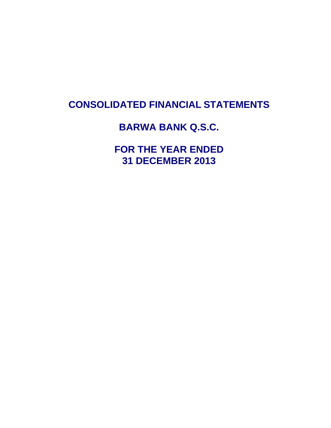# **CONSOLIDATED FINANCIAL STATEMENTS**

# **BARWA BANK Q.S.C.**

**FOR THE YEAR ENDED 31 DECEMBER 2013**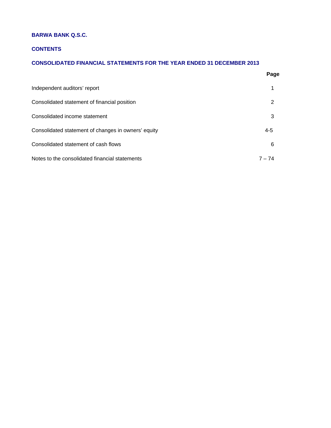# **BARWA BANK Q.S.C.**

# **CONTENTS**

# **CONSOLIDATED FINANCIAL STATEMENTS FOR THE YEAR ENDED 31 DECEMBER 2013**

|                                                     | Page     |
|-----------------------------------------------------|----------|
| Independent auditors' report                        | 1        |
| Consolidated statement of financial position        | 2        |
| Consolidated income statement                       | 3        |
| Consolidated statement of changes in owners' equity | $4 - 5$  |
| Consolidated statement of cash flows                | 6        |
| Notes to the consolidated financial statements      | $7 - 74$ |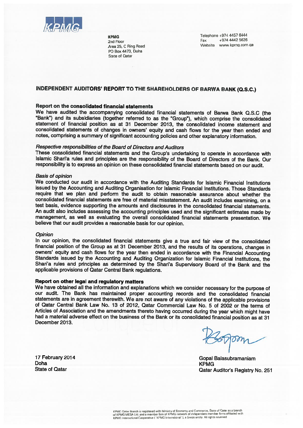

**KPMG** 2nd Floor Area 25, C Ring Road PO Box 4473, Doha **State of Qatar** 

Telephone +974 4457 6444 +974 4442 5626 Fax Website www.kpmg.com.qa

# INDEPENDENT AUDITORS' REPORT TO THE SHAREHOLDERS OF BARWA BANK (Q.S.C.)

# Report on the consolidated financial statements

We have audited the accompanying consolidated financial statements of Barwa Bank Q.S.C (the "Bank") and its subsidiaries (together referred to as the "Group"), which comprise the consolidated statement of financial position as at 31 December 2013, the consolidated income statement and consolidated statements of changes in owners' equity and cash flows for the year then ended and notes, comprising a summary of significant accounting policies and other explanatory information.

# Respective responsibilities of the Board of Directors and Auditors

These consolidated financial statements and the Group's undertaking to operate in accordance with Islamic Shari'a rules and principles are the responsibility of the Board of Directors of the Bank. Our responsibility is to express an opinion on these consolidated financial statements based on our audit.

# **Basis of opinion**

We conducted our audit in accordance with the Auditing Standards for Islamic Financial Institutions issued by the Accounting and Auditing Organisation for Islamic Financial Institutions. Those Standards require that we plan and perform the audit to obtain reasonable assurance about whether the consolidated financial statements are free of material misstatement. An audit includes examining, on a test basis, evidence supporting the amounts and disclosures in the consolidated financial statements. An audit also includes assessing the accounting principles used and the significant estimates made by management, as well as evaluating the overall consolidated financial statements presentation. We believe that our audit provides a reasonable basis for our opinion.

#### **Opinion**

In our opinion, the consolidated financial statements give a true and fair view of the consolidated financial position of the Group as at 31 December 2013, and the results of its operations, changes in owners' equity and cash flows for the year then ended in accordance with the Financial Accounting Standards issued by the Accounting and Auditing Organization for Islamic Financial Institutions, the Shari'a rules and principles as determined by the Shari'a Supervisory Board of the Bank and the applicable provisions of Qatar Central Bank regulations.

#### Report on other legal and regulatory matters

We have obtained all the information and explanations which we consider necessary for the purpose of our audit. The Bank has maintained proper accounting records and the consolidated financial statements are in agreement therewith. We are not aware of any violations of the applicable provisions of Qatar Central Bank Law No. 13 of 2012, Qatar Commercial Law No. 5 of 2002 or the terms of Articles of Association and the amendments thereto having occurred during the year which might have had a material adverse effect on the business of the Bank or its consolidated financial position as at 31 December 2013.

 $557$ 

Gopal Balasubramaniam **KPMG** Qatar Auditor's Registry No. 251

17 February 2014 Doha **State of Qatar**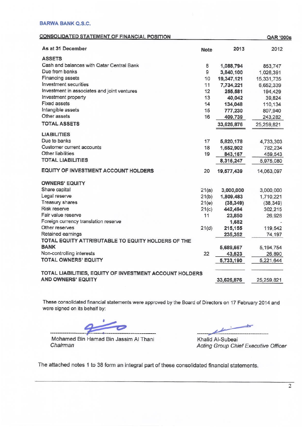# **BARWA BANK Q.S.C.**

# **CONSOLIDATED STATEMENT OF FINANCIAL POSITION**

| <b>CONSOLIDATED STATEMENT OF FINANCIAL POSITION</b>     |             |            | <b>QAR '000s</b> |
|---------------------------------------------------------|-------------|------------|------------------|
| As at 31 December                                       | <b>Note</b> | 2013       | 2012             |
| <b>ASSETS</b>                                           |             |            |                  |
| Cash and balances with Qatar Central Bank               | 8           | 1,088,794  | 853,747          |
| Due from banks                                          | 9           | 3,840,100  | 1,026,391        |
| <b>Financing assets</b>                                 | 10          | 19,347,121 | 15,331,735       |
| Investment securities                                   | 11          | 7,734,221  | 6,652,339        |
| Investment in associates and joint ventures             | 12          | 255,581    | 194,429          |
| Investment property                                     | 13          | 40,042     | 39,824           |
| <b>Fixed assets</b>                                     | 14          | 134,048    | 110,134          |
| Intangible assets                                       | 15          | 777,230    | 807,940          |
| Other assets                                            | 16          | 409,739    | 243,282          |
| <b>TOTAL ASSETS</b>                                     |             | 33,626,876 | 25,259,821       |
| <b>LIABILITIES</b>                                      |             |            |                  |
| Due to banks                                            | 17          | 5,820,178  | 4,733,303        |
| <b>Customer current accounts</b>                        | 18          | 1,652,902  | 782,234          |
| Other liabilities                                       | 19          | 843,167    | 459,543          |
| <b>TOTAL LIABILITIES</b>                                |             | 8,316,247  | 5,975,080        |
| <b>EQUITY OF INVESTMENT ACCOUNT HOLDERS</b>             | 20          | 19,577,439 | 14,063,097       |
| <b>OWNERS' EQUITY</b>                                   |             |            |                  |
| Share capital                                           | 21(a)       | 3,000,000  | 3,000,000        |
| Legal reserve                                           | 21(b)       | 1,809,483  | 1,710,221        |
| Treasury shares                                         | 21(e)       | (38, 349)  | (38, 349)        |
| Risk reserve                                            | 21(c)       | 442,494    | 302,215          |
| Fair value reserve                                      | 11          | 23,850     | 26,928           |
| Foreign currency translation reserve                    |             | 1,682      |                  |
| Other reserves                                          | 21(d)       | 215,155    | 119,542          |
| Retained earnings                                       |             | 235,352    | 74,197           |
| TOTAL EQUITY ATTRIBUTABLE TO EQUITY HOLDERS OF THE      |             |            |                  |
| <b>BANK</b>                                             |             | 5,689,667  | 5, 194, 754      |
| Non-controlling interests                               | 22          | 43,523     | 26,890           |
| <b>TOTAL OWNERS' EQUITY</b>                             |             | 5,733,190  | 5,221,644        |
| TOTAL LIABILITIES, EQUITY OF INVESTMENT ACCOUNT HOLDERS |             |            |                  |
| <b>AND OWNERS' EQUITY</b>                               |             | 33,626,876 | 25,259,821       |

These consolidated financial statements were approved by the Board of Directors on 17 February 2014 and were signed on its behalf by:

ے

Mohamed Bin Hamad Bin Jassim Al Thani Chairman

Khalid Al-Subeai Acting Group Chief Executive Officer

The attached notes 1 to 38 form an integral part of these consolidated financial statements.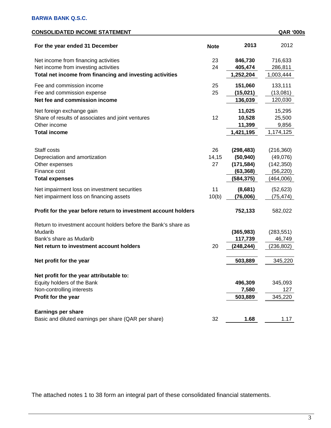| <b>CONSOLIDATED INCOME STATEMENT</b>                            |             |            | <b>QAR '000s</b> |
|-----------------------------------------------------------------|-------------|------------|------------------|
| For the year ended 31 December                                  | <b>Note</b> | 2013       | 2012             |
| Net income from financing activities                            | 23          | 846,730    | 716,633          |
| Net income from investing activities                            | 24          | 405,474    | 286,811          |
| Total net income from financing and investing activities        |             | 1,252,204  | 1,003,444        |
| Fee and commission income                                       | 25          | 151,060    | 133,111          |
| Fee and commission expense                                      | 25          | (15, 021)  | (13,081)         |
| Net fee and commission income                                   |             | 136,039    | 120,030          |
| Net foreign exchange gain                                       |             | 11,025     | 15,295           |
| Share of results of associates and joint ventures               | 12          | 10,528     | 25,500           |
| Other income                                                    |             | 11,399     | 9,856            |
| <b>Total income</b>                                             |             | 1,421,195  | 1,174,125        |
|                                                                 |             |            |                  |
| Staff costs                                                     | 26          | (298, 483) | (216, 360)       |
| Depreciation and amortization                                   | 14,15       | (50, 940)  | (49,076)         |
| Other expenses                                                  | 27          | (171, 584) | (142, 350)       |
| Finance cost                                                    |             | (63, 368)  | (56, 220)        |
| <b>Total expenses</b>                                           |             | (584,375)  | (464,006)        |
| Net impairment loss on investment securities                    | 11          | (8,681)    | (52, 623)        |
| Net impairment loss on financing assets                         | 10(b)       | (76,006)   | (75, 474)        |
| Profit for the year before return to investment account holders |             | 752,133    | 582,022          |
| Return to investment account holders before the Bank's share as |             |            |                  |
| Mudarib                                                         |             | (365, 983) | (283, 551)       |
| Bank's share as Mudarib                                         |             | 117,739    | 46,749           |
| Net return to investment account holders                        | 20          | (248,244)  | (236, 802)       |
|                                                                 |             |            |                  |
| Net profit for the year                                         |             | 503,889    | 345,220          |
| Net profit for the year attributable to:                        |             |            |                  |
| Equity holders of the Bank                                      |             | 496,309    | 345,093          |
| Non-controlling interests                                       |             | 7,580      | 127              |
| Profit for the year                                             |             | 503,889    | 345,220          |
| <b>Earnings per share</b>                                       |             |            |                  |
| Basic and diluted earnings per share (QAR per share)            | 32          | 1.68       | 1.17             |
|                                                                 |             |            |                  |

The attached notes 1 to 38 form an integral part of these consolidated financial statements.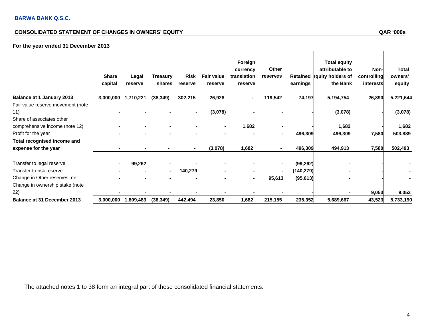# **CONSOLIDATED STATEMENT OF CHANGES IN OWNERS' EQUITY**

# **For the year ended 31 December 2013**

|                                                                       | <b>Share</b><br>capital | Legal<br>reserve | Treasury<br>shares | Risk<br>reserve | <b>Fair value</b><br>reserve | Foreign<br>currency<br>translation<br>reserve | Other<br>reserves | Retained<br>earnings | <b>Total equity</b><br>attributable to<br>equity holders of<br>the Bank | Non-<br>controlling<br>interests | <b>Total</b><br>owners'<br>equity |
|-----------------------------------------------------------------------|-------------------------|------------------|--------------------|-----------------|------------------------------|-----------------------------------------------|-------------------|----------------------|-------------------------------------------------------------------------|----------------------------------|-----------------------------------|
| <b>Balance at 1 January 2013</b>                                      | 3,000,000               | 1,710,221        | (38, 349)          | 302,215         | 26,928                       |                                               | 119,542           | 74,197               | 5,194,754                                                               | 26,890                           | 5,221,644                         |
| Fair value reserve movement (note<br>11)<br>Share of associates other |                         |                  |                    | $\blacksquare$  | (3,078)                      |                                               |                   |                      | (3,078)                                                                 |                                  | (3,078)                           |
| comprehensive income (note 12)                                        |                         |                  |                    |                 |                              | 1,682                                         |                   |                      | 1,682                                                                   |                                  | 1,682                             |
| Profit for the year                                                   |                         |                  |                    |                 |                              |                                               |                   | 496,309              | 496,309                                                                 | 7,580                            | 503,889                           |
| Total recognised income and                                           |                         |                  |                    |                 |                              |                                               |                   |                      |                                                                         |                                  |                                   |
| expense for the year                                                  |                         |                  |                    | $\blacksquare$  | (3,078)                      | 1,682                                         | $\sim$            | 496,309              | 494,913                                                                 | 7,580                            | 502,493                           |
| Transfer to legal reserve                                             |                         | 99,262           |                    |                 |                              |                                               | $\blacksquare$    | (99, 262)            |                                                                         |                                  |                                   |
| Transfer to risk reserve                                              |                         |                  | $\blacksquare$     | 140,279         |                              |                                               | $\blacksquare$    | (140, 279)           |                                                                         |                                  |                                   |
| Change in Other reserves, net                                         |                         |                  |                    |                 |                              | ۰                                             | 95,613            | (95, 613)            |                                                                         |                                  |                                   |
| Change in ownership stake (note<br>22)                                |                         |                  |                    |                 |                              |                                               |                   |                      |                                                                         | 9,053                            | 9,053                             |
| Balance at 31 December 2013                                           | 3,000,000               | 1,809,483        | (38, 349)          | 442,494         | 23,850                       | 1,682                                         | 215,155           | 235,352              | 5,689,667                                                               | 43,523                           | 5,733,190                         |

The attached notes 1 to 38 form an integral part of these consolidated financial statements.

 $\overline{1}$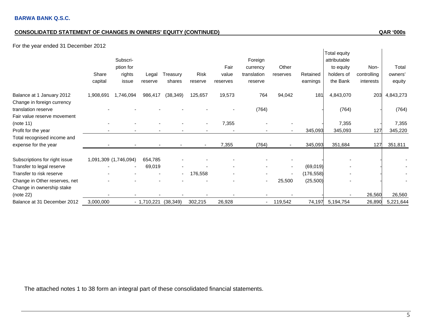# **CONSOLIDATED STATEMENT OF CHANGES IN OWNERS' EQUITY (CONTINUED) QAR '000s**

# For the year ended 31 December 2012

| <b>1 OF the year chaca of December 2012</b> |                  |                                          |                  |                    |                 |                           |                                               |                   |                      |                                                                            |                                  |                            |
|---------------------------------------------|------------------|------------------------------------------|------------------|--------------------|-----------------|---------------------------|-----------------------------------------------|-------------------|----------------------|----------------------------------------------------------------------------|----------------------------------|----------------------------|
|                                             | Share<br>capital | Subscri-<br>ption for<br>rights<br>issue | Legal<br>reserve | Treasury<br>shares | Risk<br>reserve | Fair<br>value<br>reserves | Foreign<br>currency<br>translation<br>reserve | Other<br>reserves | Retained<br>earnings | <b>Total equity</b><br>attributable<br>to equity<br>holders of<br>the Bank | Non-<br>controlling<br>interests | Total<br>owners'<br>equity |
| Balance at 1 January 2012                   | 1,908,691        | 1,746,094                                | 986,417          | (38, 349)          | 125,657         | 19,573                    | 764                                           | 94,042            | 181                  | 4,843,070                                                                  | 203                              | 4,843,273                  |
| Change in foreign currency                  |                  |                                          |                  |                    |                 |                           |                                               |                   |                      |                                                                            |                                  |                            |
| translation reserve                         |                  |                                          |                  |                    |                 |                           | (764)                                         |                   |                      | (764)                                                                      |                                  | (764)                      |
| Fair value reserve movement                 |                  |                                          |                  |                    |                 |                           |                                               |                   |                      |                                                                            |                                  |                            |
| (note 11)                                   |                  |                                          |                  |                    |                 | 7,355                     |                                               |                   |                      | 7,355                                                                      |                                  | 7,355                      |
| Profit for the year                         |                  |                                          |                  |                    |                 |                           |                                               |                   | 345,093              | 345,093                                                                    | 127                              | 345,220                    |
| Total recognised income and                 |                  |                                          |                  |                    |                 |                           |                                               |                   |                      |                                                                            |                                  |                            |
| expense for the year                        |                  |                                          |                  |                    |                 | 7,355                     | (764)                                         |                   | 345,093              | 351,684                                                                    | 127                              | 351,811                    |
|                                             |                  |                                          |                  |                    |                 |                           |                                               |                   |                      |                                                                            |                                  |                            |
| Subscriptions for right issue               |                  | 1,091,309 (1,746,094)                    | 654,785          |                    |                 |                           |                                               |                   |                      |                                                                            |                                  |                            |
| Transfer to legal reserve                   |                  | $\sim$                                   | 69,019           |                    |                 |                           |                                               |                   | (69, 019)            |                                                                            |                                  |                            |
| Transfer to risk reserve                    |                  |                                          |                  |                    | 176,558         |                           |                                               |                   | (176, 558)           |                                                                            |                                  |                            |
| Change in Other reserves, net               |                  |                                          |                  |                    |                 |                           |                                               | 25,500            | (25,500)             |                                                                            |                                  |                            |
| Change in ownership stake                   |                  |                                          |                  |                    |                 |                           |                                               |                   |                      |                                                                            |                                  |                            |
| (note 22)                                   |                  |                                          |                  |                    |                 |                           |                                               |                   |                      |                                                                            | 26,560                           | 26,560                     |
| Balance at 31 December 2012                 | 3,000,000        |                                          | $-1,710,221$     | (38, 349)          | 302,215         | 26,928                    |                                               | 119,542           | 74,197               | 5,194,754                                                                  | 26,890                           | 5,221,644                  |

The attached notes 1 to 38 form an integral part of these consolidated financial statements.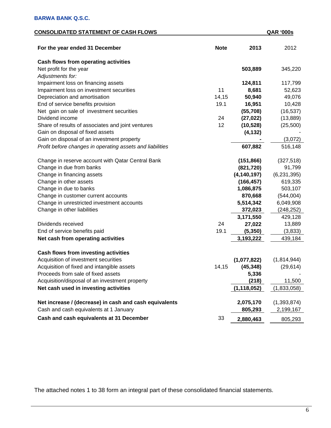# **CONSOLIDATED STATEMENT OF CASH FLOWS QAR '000s**

| For the year ended 31 December                            | <b>Note</b> | 2013          | 2012          |
|-----------------------------------------------------------|-------------|---------------|---------------|
| <b>Cash flows from operating activities</b>               |             |               |               |
| Net profit for the year                                   |             | 503,889       | 345,220       |
| Adjustments for:                                          |             |               |               |
| Impairment loss on financing assets                       |             | 124,811       | 117,799       |
| Impairment loss on investment securities                  | 11          | 8,681         | 52,623        |
| Depreciation and amortisation                             | 14,15       | 50,940        | 49,076        |
| End of service benefits provision                         | 19.1        | 16,951        | 10,428        |
| Net gain on sale of investment securities                 |             | (55,708)      | (16, 537)     |
| Dividend income                                           | 24          | (27, 022)     | (13, 889)     |
| Share of results of associates and joint ventures         | 12          | (10, 528)     | (25,500)      |
| Gain on disposal of fixed assets                          |             | (4, 132)      |               |
| Gain on disposal of an investment property                |             |               | (3,072)       |
| Profit before changes in operating assets and liabilities |             | 607,882       | 516,148       |
|                                                           |             |               |               |
| Change in reserve account with Qatar Central Bank         |             | (151, 866)    | (327, 518)    |
| Change in due from banks                                  |             | (821, 720)    | 91,799        |
| Change in financing assets                                |             | (4, 140, 197) | (6,231,395)   |
| Change in other assets                                    |             | (166, 457)    | 619,335       |
| Change in due to banks                                    |             | 1,086,875     | 503,107       |
| Change in customer current accounts                       |             | 870,668       | (544,004)     |
| Change in unrestricted investment accounts                |             | 5,514,342     | 6,049,908     |
| Change in other liabilities                               |             | 372,023       | (248, 252)    |
|                                                           |             | 3,171,550     | 429,128       |
| Dividends received                                        | 24          | 27,022        | 13,889        |
| End of service benefits paid                              | 19.1        | (5, 350)      | (3,833)       |
| Net cash from operating activities                        |             | 3,193,222     | 439,184       |
|                                                           |             |               |               |
| <b>Cash flows from investing activities</b>               |             |               |               |
| Acquisition of investment securities                      |             | (1,077,822)   | (1,814,944)   |
| Acquisition of fixed and intangible assets                | 14,15       | (45, 348)     | (29, 614)     |
| Proceeds from sale of fixed assets                        |             | 5,336         |               |
| Acquisition/disposal of an investment property            |             | (218)         | 11,500        |
| Net cash used in investing activities                     |             | (1, 118, 052) | (1,833,058)   |
|                                                           |             |               |               |
| Net increase / (decrease) in cash and cash equivalents    |             | 2,075,170     | (1, 393, 874) |
| Cash and cash equivalents at 1 January                    |             | 805,293       | 2,199,167     |
| Cash and cash equivalents at 31 December                  | 33          | 2,880,463     | 805,293       |
|                                                           |             |               |               |

The attached notes 1 to 38 form an integral part of these consolidated financial statements.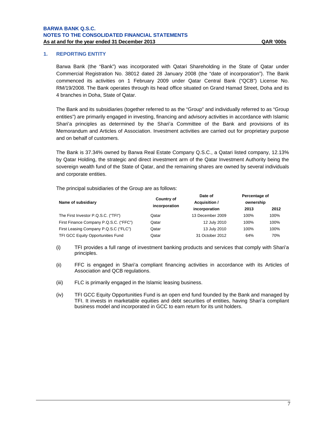# **1. REPORTING ENTITY**

Barwa Bank (the "Bank") was incorporated with Qatari Shareholding in the State of Qatar under Commercial Registration No. 38012 dated 28 January 2008 (the "date of incorporation"). The Bank commenced its activities on 1 February 2009 under Qatar Central Bank ("QCB") License No. RM/19/2008. The Bank operates through its head office situated on Grand Hamad Street, Doha and its 4 branches in Doha, State of Qatar.

The Bank and its subsidiaries (together referred to as the "Group" and individually referred to as "Group entities") are primarily engaged in investing, financing and advisory activities in accordance with Islamic Shari'a principles as determined by the Shari'a Committee of the Bank and provisions of its Memorandum and Articles of Association. Investment activities are carried out for proprietary purpose and on behalf of customers.

The Bank is 37.34% owned by Barwa Real Estate Company Q.S.C., a Qatari listed company, 12.13% by Qatar Holding, the strategic and direct investment arm of the Qatar Investment Authority being the sovereign wealth fund of the State of Qatar, and the remaining shares are owned by several individuals and corporate entities.

The principal subsidiaries of the Group are as follows:

|                                          | <b>Country of</b> | Date of          | Percentage of |      |  |
|------------------------------------------|-------------------|------------------|---------------|------|--|
| Name of subsidiary                       |                   | Acquisition /    | ownership     |      |  |
|                                          |                   | incorporation    | 2013          | 2012 |  |
| The First Investor P.Q.S.C. ("TFI")      | Qatar             | 13 December 2009 | 100%          | 100% |  |
| First Finance Company P.Q.S.C. ("FFC")   | Qatar             | 12 July 2010     | 100%          | 100% |  |
| First Leasing Company P.Q.S.C ("FLC")    | Qatar             | 13 July 2010     | 100%          | 100% |  |
| <b>TFI GCC Equity Opportunities Fund</b> | Qatar             | 31 October 2012  | 64%           | 70%  |  |
|                                          | incorporation     |                  |               |      |  |

- (i) TFI provides a full range of investment banking products and services that comply with Shari'a principles.
- (ii) FFC is engaged in Shari'a compliant financing activities in accordance with its Articles of Association and QCB regulations.
- (iii) FLC is primarily engaged in the Islamic leasing business.
- (iv) TFI GCC Equity Opportunities Fund is an open end fund founded by the Bank and managed by TFI. It invests in marketable equities and debt securities of entities, having Shari'a compliant business model and incorporated in GCC to earn return for its unit holders.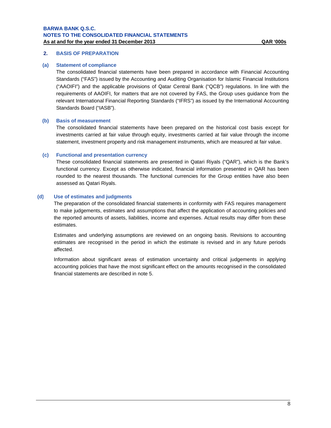# **2. BASIS OF PREPARATION**

#### **(a) Statement of compliance**

The consolidated financial statements have been prepared in accordance with Financial Accounting Standards ("FAS") issued by the Accounting and Auditing Organisation for Islamic Financial Institutions ("AAOIFI") and the applicable provisions of Qatar Central Bank ("QCB") regulations. In line with the requirements of AAOIFI, for matters that are not covered by FAS, the Group uses guidance from the relevant International Financial Reporting Standards ("IFRS") as issued by the International Accounting Standards Board ("IASB").

### **(b) Basis of measurement**

The consolidated financial statements have been prepared on the historical cost basis except for investments carried at fair value through equity, investments carried at fair value through the income statement, investment property and risk management instruments, which are measured at fair value.

### **(c) Functional and presentation currency**

These consolidated financial statements are presented in Qatari Riyals ("QAR"), which is the Bank's functional currency. Except as otherwise indicated, financial information presented in QAR has been rounded to the nearest thousands. The functional currencies for the Group entities have also been assessed as Qatari Riyals.

### **(d) Use of estimates and judgments**

The preparation of the consolidated financial statements in conformity with FAS requires management to make judgements, estimates and assumptions that affect the application of accounting policies and the reported amounts of assets, liabilities, income and expenses. Actual results may differ from these estimates.

Estimates and underlying assumptions are reviewed on an ongoing basis. Revisions to accounting estimates are recognised in the period in which the estimate is revised and in any future periods affected.

Information about significant areas of estimation uncertainty and critical judgements in applying accounting policies that have the most significant effect on the amounts recognised in the consolidated financial statements are described in note 5.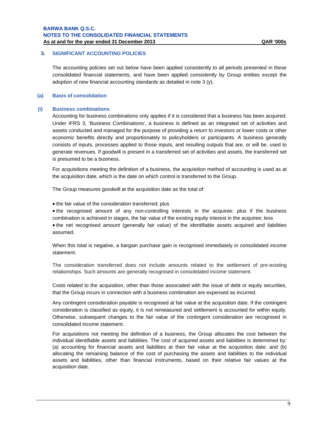# **3. SIGNIFICANT ACCOUNTING POLICIES**

The accounting policies set out below have been applied consistently to all periods presented in these consolidated financial statements, and have been applied consistently by Group entities except the adoption of new financial accounting standards as detailed in note 3 (y).

# **(a) Basis of consolidation**

#### **(i) Business combinations**

Accounting for business combinations only applies if it is considered that a business has been acquired. Under IFRS 3, 'Business Combinations', a business is defined as an integrated set of activities and assets conducted and managed for the purpose of providing a return to investors or lower costs or other economic benefits directly and proportionately to policyholders or participants. A business generally consists of inputs, processes applied to those inputs, and resulting outputs that are, or will be, used to generate revenues. If goodwill is present in a transferred set of activities and assets, the transferred set is presumed to be a business.

For acquisitions meeting the definition of a business, the acquisition method of accounting is used as at the acquisition date, which is the date on which control is transferred to the Group.

The Group measures goodwill at the acquisition date as the total of:

• the fair value of the consideration transferred; plus

• the recognised amount of any non-controlling interests in the acquiree; plus if the business combination is achieved in stages, the fair value of the existing equity interest in the acquiree; less

• the net recognised amount (generally fair value) of the identifiable assets acquired and liabilities assumed.

When this total is negative, a bargain purchase gain is recognised immediately in consolidated income statement.

The consideration transferred does not include amounts related to the settlement of pre-existing relationships. Such amounts are generally recognised in consolidated income statement.

Costs related to the acquisition, other than those associated with the issue of debt or equity securities, that the Group incurs in connection with a business combination are expensed as incurred.

Any contingent consideration payable is recognised at fair value at the acquisition date. If the contingent consideration is classified as equity, it is not remeasured and settlement is accounted for within equity. Otherwise, subsequent changes to the fair value of the contingent consideration are recognised in consolidated income statement.

For acquisitions not meeting the definition of a business, the Group allocates the cost between the individual identifiable assets and liabilities. The cost of acquired assets and liabilities is determined by: (a) accounting for financial assets and liabilities at their fair value at the acquisition date; and (b) allocating the remaining balance of the cost of purchasing the assets and liabilities to the individual assets and liabilities, other than financial instruments, based on their relative fair values at the acquisition date.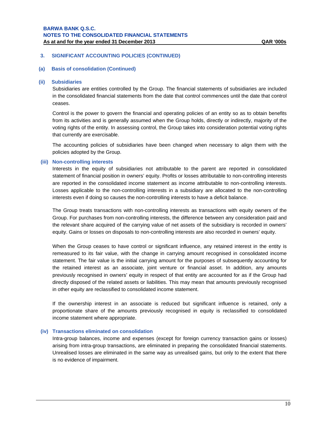# **(a) Basis of consolidation (Continued)**

#### **(ii) Subsidiaries**

Subsidiaries are entities controlled by the Group. The financial statements of subsidiaries are included in the consolidated financial statements from the date that control commences until the date that control ceases.

Control is the power to govern the financial and operating policies of an entity so as to obtain benefits from its activities and is generally assumed when the Group holds, directly or indirectly, majority of the voting rights of the entity. In assessing control, the Group takes into consideration potential voting rights that currently are exercisable.

The accounting policies of subsidiaries have been changed when necessary to align them with the policies adopted by the Group.

#### **(iii) Non-controlling interests**

Interests in the equity of subsidiaries not attributable to the parent are reported in consolidated statement of financial position in owners' equity. Profits or losses attributable to non-controlling interests are reported in the consolidated income statement as income attributable to non-controlling interests. Losses applicable to the non-controlling interests in a subsidiary are allocated to the non-controlling interests even if doing so causes the non-controlling interests to have a deficit balance.

The Group treats transactions with non-controlling interests as transactions with equity owners of the Group. For purchases from non-controlling interests, the difference between any consideration paid and the relevant share acquired of the carrying value of net assets of the subsidiary is recorded in owners' equity. Gains or losses on disposals to non-controlling interests are also recorded in owners' equity.

When the Group ceases to have control or significant influence, any retained interest in the entity is remeasured to its fair value, with the change in carrying amount recognised in consolidated income statement. The fair value is the initial carrying amount for the purposes of subsequently accounting for the retained interest as an associate, joint venture or financial asset. In addition, any amounts previously recognised in owners' equity in respect of that entity are accounted for as if the Group had directly disposed of the related assets or liabilities. This may mean that amounts previously recognised in other equity are reclassified to consolidated income statement.

If the ownership interest in an associate is reduced but significant influence is retained, only a proportionate share of the amounts previously recognised in equity is reclassified to consolidated income statement where appropriate.

#### **(iv) Transactions eliminated on consolidation**

Intra-group balances, income and expenses (except for foreign currency transaction gains or losses) arising from intra-group transactions, are eliminated in preparing the consolidated financial statements. Unrealised losses are eliminated in the same way as unrealised gains, but only to the extent that there is no evidence of impairment.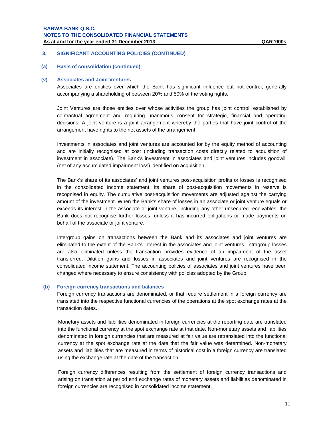## **3. SIGNIFICANT ACCOUNTING POLICIES (CONTINUED)**

**(a) Basis of consolidation (continued)**

#### **(v) Associates and Joint Ventures**

Associates are entities over which the Bank has significant influence but not control, generally accompanying a shareholding of between 20% and 50% of the voting rights.

Joint Ventures are those entities over whose activities the group has joint control, established by contractual agreement and requiring unanimous consent for strategic, financial and operating decisions. A joint venture is a joint arrangement whereby the parties that have joint control of the arrangement have rights to the net assets of the arrangement.

Investments in associates and joint ventures are accounted for by the equity method of accounting and are initially recognised at cost (including transaction costs directly related to acquisition of investment in associate). The Bank's investment in associates and joint ventures includes goodwill (net of any accumulated impairment loss) identified on acquisition.

The Bank's share of its associates' and joint ventures post-acquisition profits or losses is recognised in the consolidated income statement; its share of post-acquisition movements in reserve is recognised in equity. The cumulative post-acquisition movements are adjusted against the carrying amount of the investment. When the Bank's share of losses in an associate or joint venture equals or exceeds its interest in the associate or joint venture, including any other unsecured receivables, the Bank does not recognise further losses, unless it has incurred obligations or made payments on behalf of the associate or joint venture.

Intergroup gains on transactions between the Bank and its associates and joint ventures are eliminated to the extent of the Bank's interest in the associates and joint ventures. Intragroup losses are also eliminated unless the transaction provides evidence of an impairment of the asset transferred. Dilution gains and losses in associates and joint ventures are recognised in the consolidated income statement. The accounting policies of associates and joint ventures have been changed where necessary to ensure consistency with policies adopted by the Group.

#### **(b) Foreign currency transactions and balances**

Foreign currency transactions are denominated, or that require settlement in a foreign currency are translated into the respective functional currencies of the operations at the spot exchange rates at the transaction dates.

Monetary assets and liabilities denominated in foreign currencies at the reporting date are translated into the functional currency at the spot exchange rate at that date. Non-monetary assets and liabilities denominated in foreign currencies that are measured at fair value are retranslated into the functional currency at the spot exchange rate at the date that the fair value was determined. Non-monetary assets and liabilities that are measured in terms of historical cost in a foreign currency are translated using the exchange rate at the date of the transaction.

Foreign currency differences resulting from the settlement of foreign currency transactions and arising on translation at period end exchange rates of monetary assets and liabilities denominated in foreign currencies are recognised in consolidated income statement.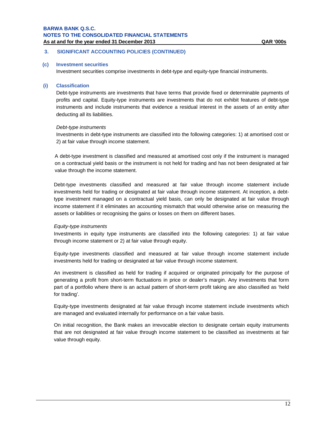# **3. SIGNIFICANT ACCOUNTING POLICIES (CONTINUED)**

### **(c) Investment securities**

Investment securities comprise investments in debt-type and equity-type financial instruments.

### **(i) Classification**

Debt-type instruments are investments that have terms that provide fixed or determinable payments of profits and capital. Equity-type instruments are investments that do not exhibit features of debt-type instruments and include instruments that evidence a residual interest in the assets of an entity after deducting all its liabilities.

### *Debt-type instruments*

Investments in debt-type instruments are classified into the following categories: 1) at amortised cost or 2) at fair value through income statement.

A debt-type investment is classified and measured at amortised cost only if the instrument is managed on a contractual yield basis or the instrument is not held for trading and has not been designated at fair value through the income statement.

Debt-type investments classified and measured at fair value through income statement include investments held for trading or designated at fair value through income statement. At inception, a debttype investment managed on a contractual yield basis, can only be designated at fair value through income statement if it eliminates an accounting mismatch that would otherwise arise on measuring the assets or liabilities or recognising the gains or losses on them on different bases.

### *Equity-type instruments*

Investments in equity type instruments are classified into the following categories: 1) at fair value through income statement or 2) at fair value through equity.

Equity-type investments classified and measured at fair value through income statement include investments held for trading or designated at fair value through income statement.

An investment is classified as held for trading if acquired or originated principally for the purpose of generating a profit from short-term fluctuations in price or dealer's margin. Any investments that form part of a portfolio where there is an actual pattern of short-term profit taking are also classified as 'held for trading'.

Equity-type investments designated at fair value through income statement include investments which are managed and evaluated internally for performance on a fair value basis.

On initial recognition, the Bank makes an irrevocable election to designate certain equity instruments that are not designated at fair value through income statement to be classified as investments at fair value through equity.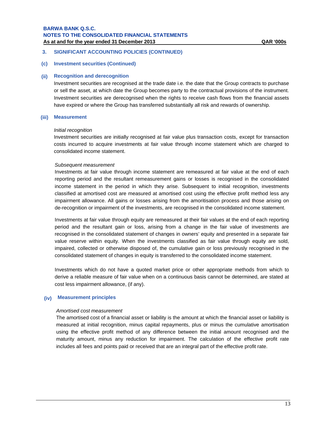# **3. SIGNIFICANT ACCOUNTING POLICIES (CONTINUED)**

# **(c) Investment securities (Continued)**

### **(ii) Recognition and derecognition**

Investment securities are recognised at the trade date i.e. the date that the Group contracts to purchase or sell the asset, at which date the Group becomes party to the contractual provisions of the instrument. Investment securities are derecognised when the rights to receive cash flows from the financial assets have expired or where the Group has transferred substantially all risk and rewards of ownership.

# **(iii) Measurement**

#### *Initial recognition*

Investment securities are initially recognised at fair value plus transaction costs, except for transaction costs incurred to acquire investments at fair value through income statement which are charged to consolidated income statement.

### *Subsequent measurement*

Investments at fair value through income statement are remeasured at fair value at the end of each reporting period and the resultant remeasurement gains or losses is recognised in the consolidated income statement in the period in which they arise. Subsequent to initial recognition, investments classified at amortised cost are measured at amortised cost using the effective profit method less any impairment allowance. All gains or losses arising from the amoritisation process and those arising on de-recognition or impairment of the investments, are recognised in the consolidated income statement.

Investments at fair value through equity are remeasured at their fair values at the end of each reporting period and the resultant gain or loss, arising from a change in the fair value of investments are recognised in the consolidated statement of changes in owners' equity and presented in a separate fair value reserve within equity. When the investments classified as fair value through equity are sold, impaired, collected or otherwise disposed of, the cumulative gain or loss previously recognised in the consolidated statement of changes in equity is transferred to the consolidated income statement.

Investments which do not have a quoted market price or other appropriate methods from which to derive a reliable measure of fair value when on a continuous basis cannot be determined, are stated at cost less impairment allowance, (if any).

### **(iv) Measurement principles**

### *Amortised cost measurement*

The amortised cost of a financial asset or liability is the amount at which the financial asset or liability is measured at initial recognition, minus capital repayments, plus or minus the cumulative amortisation using the effective profit method of any difference between the initial amount recognised and the maturity amount, minus any reduction for impairment. The calculation of the effective profit rate includes all fees and points paid or received that are an integral part of the effective profit rate.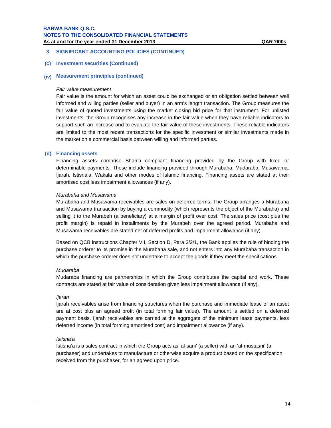# **3. SIGNIFICANT ACCOUNTING POLICIES (CONTINUED)**

# **(c) Investment securities (Continued)**

# **(iv) Measurement principles (continued)**

#### *Fair value measurement*

Fair value is the amount for which an asset could be exchanged or an obligation settled between well informed and willing parties (seller and buyer) in an arm's length transaction. The Group measures the fair value of quoted investments using the market closing bid price for that instrument. For unlisted investments, the Group recognises any increase in the fair value when they have reliable indicators to support such an increase and to evaluate the fair value of these investments. These reliable indicators are limited to the most recent transactions for the specific investment or similar investments made in the market on a commercial basis between willing and informed parties.

#### **(d) Financing assets**

Financing assets comprise Shari'a compliant financing provided by the Group with fixed or determinable payments. These include financing provided through Murabaha, Mudaraba, Musawama, Ijarah, Istisna'a, Wakala and other modes of Islamic financing. Financing assets are stated at their amortised cost less impairment allowances (if any).

#### *Murabaha and Musawama*

Murabaha and Musawama receivables are sales on deferred terms. The Group arranges a Murabaha and Musawama transaction by buying a commodity (which represents the object of the Murabaha) and selling it to the Murabeh (a beneficiary) at a margin of profit over cost. The sales price (cost plus the profit margin) is repaid in installments by the Murabeh over the agreed period. Murabaha and Musawama receivables are stated net of deferred profits and impairment allowance (if any).

Based on QCB instructions Chapter VII, Section D, Para 3/2/1, the Bank applies the rule of binding the purchase orderer to its promise in the Murabaha sale, and not enters into any Murabaha transaction in which the purchase orderer does not undertake to accept the goods if they meet the specifications.

#### *Mudaraba*

Mudaraba financing are partnerships in which the Group contributes the capital and work. These contracts are stated at fair value of consideration given less impairment allowance (if any).

#### *Ijarah*

Ijarah receivables arise from financing structures when the purchase and immediate lease of an asset are at cost plus an agreed profit (in total forming fair value). The amount is settled on a deferred payment basis. Ijarah receivables are carried at the aggregate of the minimum lease payments, less deferred income (in total forming amortised cost) and impairment allowance (if any).

#### *Istisna'a*

Istisna'a is a sales contract in which the Group acts as 'al-sani' (a seller) with an 'al-mustasni' (a purchaser) and undertakes to manufacture or otherwise acquire a product based on the specification received from the purchaser, for an agreed upon price.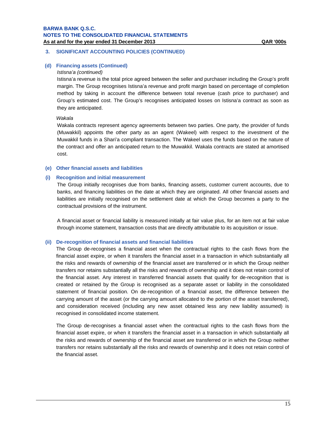# **3. SIGNIFICANT ACCOUNTING POLICIES (CONTINUED)**

# **(d) Financing assets (Continued)**

#### *Istisna'a (continued)*

Istisna'a revenue is the total price agreed between the seller and purchaser including the Group's profit margin. The Group recognises Istisna'a revenue and profit margin based on percentage of completion method by taking in account the difference between total revenue (cash price to purchaser) and Group's estimated cost. The Group's recognises anticipated losses on Istisna'a contract as soon as they are anticipated.

#### *Wakala*

Wakala contracts represent agency agreements between two parties. One party, the provider of funds (Muwakkil) appoints the other party as an agent (Wakeel) with respect to the investment of the Muwakkil funds in a Shari'a compliant transaction. The Wakeel uses the funds based on the nature of the contract and offer an anticipated return to the Muwakkil. Wakala contracts are stated at amortised cost.

# **(e) Other financial assets and liabilities**

### **(i) Recognition and initial measurement**

The Group initially recognises due from banks, financing assets, customer current accounts, due to banks, and financing liabilities on the date at which they are originated. All other financial assets and liabilities are initially recognised on the settlement date at which the Group becomes a party to the contractual provisions of the instrument.

A financial asset or financial liability is measured initially at fair value plus, for an item not at fair value through income statement, transaction costs that are directly attributable to its acquisition or issue.

#### **(ii) De-recognition of financial assets and financial liabilities**

The Group de-recognises a financial asset when the contractual rights to the cash flows from the financial asset expire, or when it transfers the financial asset in a transaction in which substantially all the risks and rewards of ownership of the financial asset are transferred or in which the Group neither transfers nor retains substantially all the risks and rewards of ownership and it does not retain control of the financial asset. Any interest in transferred financial assets that qualify for de-recognition that is created or retained by the Group is recognised as a separate asset or liability in the consolidated statement of financial position. On de-recognition of a financial asset, the difference between the carrying amount of the asset (or the carrying amount allocated to the portion of the asset transferred), and consideration received (including any new asset obtained less any new liability assumed) is recognised in consolidated income statement.

The Group de-recognises a financial asset when the contractual rights to the cash flows from the financial asset expire, or when it transfers the financial asset in a transaction in which substantially all the risks and rewards of ownership of the financial asset are transferred or in which the Group neither transfers nor retains substantially all the risks and rewards of ownership and it does not retain control of the financial asset.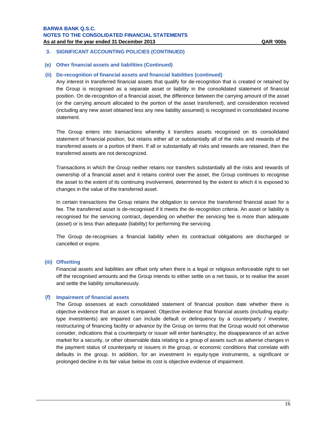# **3. SIGNIFICANT ACCOUNTING POLICIES (CONTINUED)**

### **(e) Other financial assets and liabilities (Continued)**

# **(ii) De-recognition of financial assets and financial liabilities (continued)**

Any interest in transferred financial assets that qualify for de-recognition that is created or retained by the Group is recognised as a separate asset or liability in the consolidated statement of financial position. On de-recognition of a financial asset, the difference between the carrying amount of the asset (or the carrying amount allocated to the portion of the asset transferred), and consideration received (including any new asset obtained less any new liability assumed) is recognised in consolidated income statement.

The Group enters into transactions whereby it transfers assets recognised on its consolidated statement of financial position, but retains either all or substantially all of the risks and rewards of the transferred assets or a portion of them. If all or substantially all risks and rewards are retained, then the transferred assets are not derecognized.

Transactions in which the Group neither retains nor transfers substantially all the risks and rewards of ownership of a financial asset and it retains control over the asset, the Group continues to recognise the asset to the extent of its continuing involvement, determined by the extent to which it is exposed to changes in the value of the transferred asset.

In certain transactions the Group retains the obligation to service the transferred financial asset for a fee. The transferred asset is de-recognised if it meets the de-recognition criteria. An asset or liability is recognised for the servicing contract, depending on whether the servicing fee is more than adequate (asset) or is less than adequate (liability) for performing the servicing.

The Group de-recognises a financial liability when its contractual obligations are discharged or cancelled or expire.

#### **(iii) Offsetting**

Financial assets and liabilities are offset only when there is a legal or religious enforceable right to set off the recognised amounts and the Group intends to either settle on a net basis, or to realise the asset and settle the liability simultaneously.

#### **(f) Impairment of financial assets**

The Group assesses at each consolidated statement of financial position date whether there is objective evidence that an asset is impaired. Objective evidence that financial assets (including equitytype investments) are impaired can include default or delinquency by a counterparty / investee, restructuring of financing facility or advance by the Group on terms that the Group would not otherwise consider, indications that a counterparty or issuer will enter bankruptcy, the disappearance of an active market for a security, or other observable data relating to a group of assets such as adverse changes in the payment status of counterparty or issuers in the group, or economic conditions that correlate with defaults in the group. In addition, for an investment in equity-type instruments, a significant or prolonged decline in its fair value below its cost is objective evidence of impairment.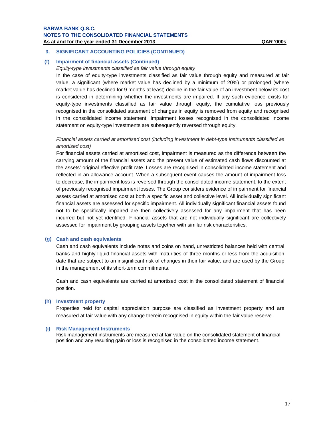# **3. SIGNIFICANT ACCOUNTING POLICIES (CONTINUED)**

# **(f) Impairment of financial assets (Continued)**

# *Equity-type investments classified as fair value through equity*

In the case of equity-type investments classified as fair value through equity and measured at fair value, a significant (where market value has declined by a minimum of 20%) or prolonged (where market value has declined for 9 months at least) decline in the fair value of an investment below its cost is considered in determining whether the investments are impaired. If any such evidence exists for equity-type investments classified as fair value through equity, the cumulative loss previously recognised in the consolidated statement of changes in equity is removed from equity and recognised in the consolidated income statement. Impairment losses recognised in the consolidated income statement on equity-type investments are subsequently reversed through equity.

# *Financial assets carried at amortised cost (including investment in debt-type instruments classified as amortised cost)*

For financial assets carried at amortised cost, impairment is measured as the difference between the carrying amount of the financial assets and the present value of estimated cash flows discounted at the assets' original effective profit rate. Losses are recognised in consolidated income statement and reflected in an allowance account. When a subsequent event causes the amount of impairment loss to decrease, the impairment loss is reversed through the consolidated income statement, to the extent of previously recognised impairment losses. The Group considers evidence of impairment for financial assets carried at amortised cost at both a specific asset and collective level. All individually significant financial assets are assessed for specific impairment. All individually significant financial assets found not to be specifically impaired are then collectively assessed for any impairment that has been incurred but not yet identified. Financial assets that are not individually significant are collectively assessed for impairment by grouping assets together with similar risk characteristics.

### **(g) Cash and cash equivalents**

Cash and cash equivalents include notes and coins on hand, unrestricted balances held with central banks and highly liquid financial assets with maturities of three months or less from the acquisition date that are subject to an insignificant risk of changes in their fair value, and are used by the Group in the management of its short-term commitments.

Cash and cash equivalents are carried at amortised cost in the consolidated statement of financial position.

#### **(h) Investment property**

Properties held for capital appreciation purpose are classified as investment property and are measured at fair value with any change therein recognised in equity within the fair value reserve.

#### **(i) Risk Management Instruments**

Risk management instruments are measured at fair value on the consolidated statement of financial position and any resulting gain or loss is recognised in the consolidated income statement.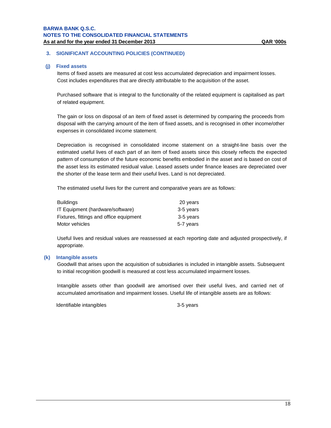# **3. SIGNIFICANT ACCOUNTING POLICIES (CONTINUED)**

### **(j) Fixed assets**

Items of fixed assets are measured at cost less accumulated depreciation and impairment losses. Cost includes expenditures that are directly attributable to the acquisition of the asset.

Purchased software that is integral to the functionality of the related equipment is capitalised as part of related equipment.

The gain or loss on disposal of an item of fixed asset is determined by comparing the proceeds from disposal with the carrying amount of the item of fixed assets, and is recognised in other income/other expenses in consolidated income statement.

Depreciation is recognised in consolidated income statement on a straight-line basis over the estimated useful lives of each part of an item of fixed assets since this closely reflects the expected pattern of consumption of the future economic benefits embodied in the asset and is based on cost of the asset less its estimated residual value. Leased assets under finance leases are depreciated over the shorter of the lease term and their useful lives. Land is not depreciated.

The estimated useful lives for the current and comparative years are as follows:

| <b>Buildings</b>                        | 20 years  |
|-----------------------------------------|-----------|
| IT Equipment (hardware/software)        | 3-5 years |
| Fixtures, fittings and office equipment | 3-5 years |
| Motor vehicles                          | 5-7 years |

Useful lives and residual values are reassessed at each reporting date and adjusted prospectively, if appropriate.

### **(k) Intangible assets**

Goodwill that arises upon the acquisition of subsidiaries is included in intangible assets. Subsequent to initial recognition goodwill is measured at cost less accumulated impairment losses.

Intangible assets other than goodwill are amortised over their useful lives, and carried net of accumulated amortisation and impairment losses. Useful life of intangible assets are as follows:

Identifiable intangibles 3-5 years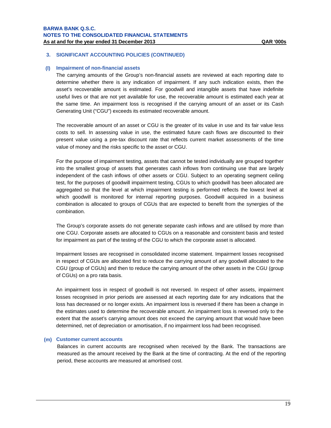### **(l) Impairment of non-financial assets**

The carrying amounts of the Group's non-financial assets are reviewed at each reporting date to determine whether there is any indication of impairment. If any such indication exists, then the asset's recoverable amount is estimated. For goodwill and intangible assets that have indefinite useful lives or that are not yet available for use, the recoverable amount is estimated each year at the same time. An impairment loss is recognised if the carrying amount of an asset or its Cash Generating Unit ("CGU") exceeds its estimated recoverable amount.

The recoverable amount of an asset or CGU is the greater of its value in use and its fair value less costs to sell. In assessing value in use, the estimated future cash flows are discounted to their present value using a pre-tax discount rate that reflects current market assessments of the time value of money and the risks specific to the asset or CGU.

For the purpose of impairment testing, assets that cannot be tested individually are grouped together into the smallest group of assets that generates cash inflows from continuing use that are largely independent of the cash inflows of other assets or CGU. Subject to an operating segment ceiling test, for the purposes of goodwill impairment testing, CGUs to which goodwill has been allocated are aggregated so that the level at which impairment testing is performed reflects the lowest level at which goodwill is monitored for internal reporting purposes. Goodwill acquired in a business combination is allocated to groups of CGUs that are expected to benefit from the synergies of the combination.

The Group's corporate assets do not generate separate cash inflows and are utilised by more than one CGU. Corporate assets are allocated to CGUs on a reasonable and consistent basis and tested for impairment as part of the testing of the CGU to which the corporate asset is allocated.

Impairment losses are recognised in consolidated income statement. Impairment losses recognised in respect of CGUs are allocated first to reduce the carrying amount of any goodwill allocated to the CGU (group of CGUs) and then to reduce the carrying amount of the other assets in the CGU (group of CGUs) on a pro rata basis.

An impairment loss in respect of goodwill is not reversed. In respect of other assets, impairment losses recognised in prior periods are assessed at each reporting date for any indications that the loss has decreased or no longer exists. An impairment loss is reversed if there has been a change in the estimates used to determine the recoverable amount. An impairment loss is reversed only to the extent that the asset's carrying amount does not exceed the carrying amount that would have been determined, net of depreciation or amortisation, if no impairment loss had been recognised.

#### **(m) Customer current accounts**

Balances in current accounts are recognised when received by the Bank. The transactions are measured as the amount received by the Bank at the time of contracting. At the end of the reporting period, these accounts are measured at amortised cost.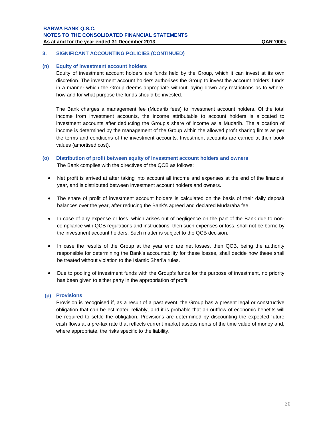# **3. SIGNIFICANT ACCOUNTING POLICIES (CONTINUED)**

#### **(n) Equity of investment account holders**

Equity of investment account holders are funds held by the Group, which it can invest at its own discretion. The investment account holders authorises the Group to invest the account holders' funds in a manner which the Group deems appropriate without laying down any restrictions as to where, how and for what purpose the funds should be invested.

The Bank charges a management fee (Mudarib fees) to investment account holders. Of the total income from investment accounts, the income attributable to account holders is allocated to investment accounts after deducting the Group's share of income as a Mudarib. The allocation of income is determined by the management of the Group within the allowed profit sharing limits as per the terms and conditions of the investment accounts. Investment accounts are carried at their book values (amortised cost).

- **(o) Distribution of profit between equity of investment account holders and owners**  The Bank complies with the directives of the QCB as follows:
	- Net profit is arrived at after taking into account all income and expenses at the end of the financial year, and is distributed between investment account holders and owners.
	- The share of profit of investment account holders is calculated on the basis of their daily deposit balances over the year, after reducing the Bank's agreed and declared Mudaraba fee.
	- In case of any expense or loss, which arises out of negligence on the part of the Bank due to noncompliance with QCB regulations and instructions, then such expenses or loss, shall not be borne by the investment account holders. Such matter is subject to the QCB decision.
	- In case the results of the Group at the year end are net losses, then QCB, being the authority responsible for determining the Bank's accountability for these losses, shall decide how these shall be treated without violation to the Islamic Shari'a rules.
	- Due to pooling of investment funds with the Group's funds for the purpose of investment, no priority has been given to either party in the appropriation of profit.

# **(p) Provisions**

Provision is recognised if, as a result of a past event, the Group has a present legal or constructive obligation that can be estimated reliably, and it is probable that an outflow of economic benefits will be required to settle the obligation. Provisions are determined by discounting the expected future cash flows at a pre-tax rate that reflects current market assessments of the time value of money and, where appropriate, the risks specific to the liability.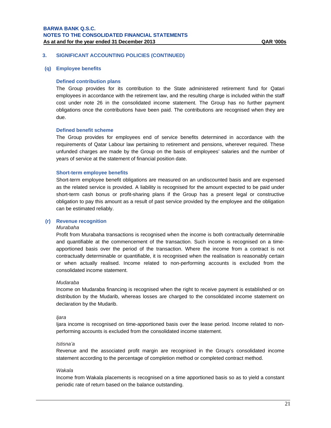### **(q) Employee benefits**

#### **Defined contribution plans**

The Group provides for its contribution to the State administered retirement fund for Qatari employees in accordance with the retirement law, and the resulting charge is included within the staff cost under note 26 in the consolidated income statement. The Group has no further payment obligations once the contributions have been paid. The contributions are recognised when they are due.

### **Defined benefit scheme**

The Group provides for employees end of service benefits determined in accordance with the requirements of Qatar Labour law pertaining to retirement and pensions, wherever required. These unfunded charges are made by the Group on the basis of employees' salaries and the number of years of service at the statement of financial position date.

#### **Short-term employee benefits**

Short-term employee benefit obligations are measured on an undiscounted basis and are expensed as the related service is provided. A liability is recognised for the amount expected to be paid under short-term cash bonus or profit-sharing plans if the Group has a present legal or constructive obligation to pay this amount as a result of past service provided by the employee and the obligation can be estimated reliably.

# **(r) Revenue recognition**

#### *Murabaha*

Profit from Murabaha transactions is recognised when the income is both contractually determinable and quantifiable at the commencement of the transaction. Such income is recognised on a timeapportioned basis over the period of the transaction. Where the income from a contract is not contractually determinable or quantifiable, it is recognised when the realisation is reasonably certain or when actually realised. Income related to non-performing accounts is excluded from the consolidated income statement.

#### *Mudaraba*

Income on Mudaraba financing is recognised when the right to receive payment is established or on distribution by the Mudarib, whereas losses are charged to the consolidated income statement on declaration by the Mudarib.

#### *Ijara*

Ijara income is recognised on time-apportioned basis over the lease period. Income related to nonperforming accounts is excluded from the consolidated income statement.

#### *Istisna'a*

Revenue and the associated profit margin are recognised in the Group's consolidated income statement according to the percentage of completion method or completed contract method.

# *Wakala*

Income from Wakala placements is recognised on a time apportioned basis so as to yield a constant periodic rate of return based on the balance outstanding.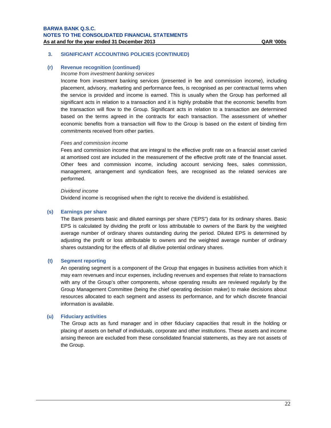### **(r) Revenue recognition (continued)**

#### *Income from investment banking services*

Income from investment banking services (presented in fee and commission income), including placement, advisory, marketing and performance fees, is recognised as per contractual terms when the service is provided and income is earned. This is usually when the Group has performed all significant acts in relation to a transaction and it is highly probable that the economic benefits from the transaction will flow to the Group. Significant acts in relation to a transaction are determined based on the terms agreed in the contracts for each transaction. The assessment of whether economic benefits from a transaction will flow to the Group is based on the extent of binding firm commitments received from other parties.

# *Fees and commission income*

Fees and commission income that are integral to the effective profit rate on a financial asset carried at amortised cost are included in the measurement of the effective profit rate of the financial asset. Other fees and commission income, including account servicing fees, sales commission, management, arrangement and syndication fees, are recognised as the related services are performed.

#### *Dividend income*

Dividend income is recognised when the right to receive the dividend is established.

#### **(s) Earnings per share**

The Bank presents basic and diluted earnings per share ("EPS") data for its ordinary shares. Basic EPS is calculated by dividing the profit or loss attributable to owners of the Bank by the weighted average number of ordinary shares outstanding during the period. Diluted EPS is determined by adjusting the profit or loss attributable to owners and the weighted average number of ordinary shares outstanding for the effects of all dilutive potential ordinary shares.

# **(t) Segment reporting**

An operating segment is a component of the Group that engages in business activities from which it may earn revenues and incur expenses, including revenues and expenses that relate to transactions with any of the Group's other components, whose operating results are reviewed regularly by the Group Management Committee (being the chief operating decision maker) to make decisions about resources allocated to each segment and assess its performance, and for which discrete financial information is available.

#### **(u) Fiduciary activities**

The Group acts as fund manager and in other fiduciary capacities that result in the holding or placing of assets on behalf of individuals, corporate and other institutions. These assets and income arising thereon are excluded from these consolidated financial statements, as they are not assets of the Group.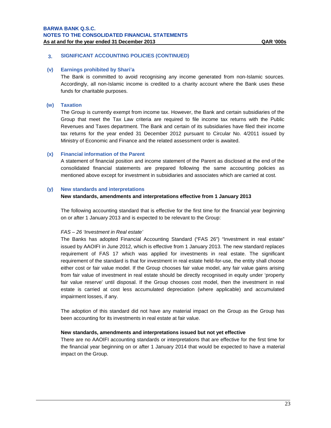# **(v) Earnings prohibited by Shari'a**

The Bank is committed to avoid recognising any income generated from non-Islamic sources. Accordingly, all non-Islamic income is credited to a charity account where the Bank uses these funds for charitable purposes.

# **(w) Taxation**

The Group is currently exempt from income tax. However, the Bank and certain subsidiaries of the Group that meet the Tax Law criteria are required to file income tax returns with the Public Revenues and Taxes department. The Bank and certain of its subsidiaries have filed their income tax returns for the year ended 31 December 2012 pursuant to Circular No. 4/2011 issued by Ministry of Economic and Finance and the related assessment order is awaited.

# **(x) Financial information of the Parent**

A statement of financial position and income statement of the Parent as disclosed at the end of the consolidated financial statements are prepared following the same accounting policies as mentioned above except for investment in subsidiaries and associates which are carried at cost.

### **(y) New standards and interpretations**

### **New standards, amendments and interpretations effective from 1 January 2013**

The following accounting standard that is effective for the first time for the financial year beginning on or after 1 January 2013 and is expected to be relevant to the Group:

### *FAS – 26 'Investment in Real estate'*

The Banks has adopted Financial Accounting Standard ("FAS 26") "Investment in real estate" issued by AAOIFI in June 2012, which is effective from 1 January 2013. The new standard replaces requirement of FAS 17 which was applied for investments in real estate. The significant requirement of the standard is that for investment in real estate held-for-use, the entity shall choose either cost or fair value model. If the Group chooses fair value model, any fair value gains arising from fair value of investment in real estate should be directly recognised in equity under 'property fair value reserve' until disposal. If the Group chooses cost model, then the investment in real estate is carried at cost less accumulated depreciation (where applicable) and accumulated impairment losses, if any.

The adoption of this standard did not have any material impact on the Group as the Group has been accounting for its investments in real estate at fair value.

## **New standards, amendments and interpretations issued but not yet effective**

There are no AAOIFI accounting standards or interpretations that are effective for the first time for the financial year beginning on or after 1 January 2014 that would be expected to have a material impact on the Group.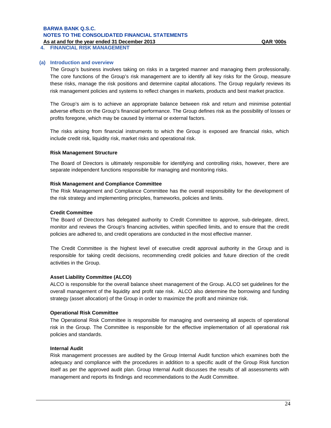**4. FINANCIAL RISK MANAGEMENT** 

# **(a) Introduction and overview**

The Group's business involves taking on risks in a targeted manner and managing them professionally. The core functions of the Group's risk management are to identify all key risks for the Group, measure these risks, manage the risk positions and determine capital allocations. The Group regularly reviews its risk management policies and systems to reflect changes in markets, products and best market practice.

The Group's aim is to achieve an appropriate balance between risk and return and minimise potential adverse effects on the Group's financial performance. The Group defines risk as the possibility of losses or profits foregone, which may be caused by internal or external factors.

The risks arising from financial instruments to which the Group is exposed are financial risks, which include credit risk, liquidity risk, market risks and operational risk.

### **Risk Management Structure**

The Board of Directors is ultimately responsible for identifying and controlling risks, however, there are separate independent functions responsible for managing and monitoring risks.

### **Risk Management and Compliance Committee**

The Risk Management and Compliance Committee has the overall responsibility for the development of the risk strategy and implementing principles, frameworks, policies and limits.

# **Credit Committee**

The Board of Directors has delegated authority to Credit Committee to approve, sub-delegate, direct, monitor and reviews the Group's financing activities, within specified limits, and to ensure that the credit policies are adhered to, and credit operations are conducted in the most effective manner.

The Credit Committee is the highest level of executive credit approval authority in the Group and is responsible for taking credit decisions, recommending credit policies and future direction of the credit activities in the Group.

### **Asset Liability Committee (ALCO)**

ALCO is responsible for the overall balance sheet management of the Group. ALCO set guidelines for the overall management of the liquidity and profit rate risk. ALCO also determine the borrowing and funding strategy (asset allocation) of the Group in order to maximize the profit and minimize risk.

### **Operational Risk Committee**

The Operational Risk Committee is responsible for managing and overseeing all aspects of operational risk in the Group. The Committee is responsible for the effective implementation of all operational risk policies and standards.

# **Internal Audit**

Risk management processes are audited by the Group Internal Audit function which examines both the adequacy and compliance with the procedures in addition to a specific audit of the Group Risk function itself as per the approved audit plan. Group Internal Audit discusses the results of all assessments with management and reports its findings and recommendations to the Audit Committee.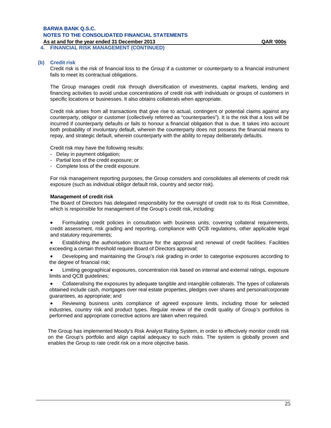**4. FINANCIAL RISK MANAGEMENT (CONTINUED)** 

#### **(b) Credit risk**

Credit risk is the risk of financial loss to the Group if a customer or counterparty to a financial instrument fails to meet its contractual obligations.

The Group manages credit risk through diversification of investments, capital markets, lending and financing activities to avoid undue concentrations of credit risk with individuals or groups of customers in specific locations or businesses. It also obtains collaterals when appropriate.

Credit risk arises from all transactions that give rise to actual, contingent or potential claims against any counterparty, obligor or customer (collectively referred as "counterparties"). It is the risk that a loss will be incurred if counterparty defaults or fails to honour a financial obligation that is due. It takes into account both probability of involuntary default, wherein the counterparty does not possess the financial means to repay, and strategic default, wherein counterparty with the ability to repay deliberately defaults.

Credit risk may have the following results:

- Delay in payment obligation;
- Partial loss of the credit exposure; or
- Complete loss of the credit exposure.

For risk management reporting purposes, the Group considers and consolidates all elements of credit risk exposure (such as individual obligor default risk, country and sector risk).

#### **Management of credit risk**

The Board of Directors has delegated responsibility for the oversight of credit risk to its Risk Committee, which is responsible for management of the Group's credit risk, including:

 Formulating credit policies in consultation with business units, covering collateral requirements, credit assessment, risk grading and reporting, compliance with QCB regulations, other applicable legal and statutory requirements;

 Establishing the authorisation structure for the approval and renewal of credit facilities. Facilities exceeding a certain threshold require Board of Directors approval;

 Developing and maintaining the Group's risk grading in order to categorise exposures according to the degree of financial risk;

 Limiting geographical exposures, concentration risk based on internal and external ratings, exposure limits and QCB guidelines;

 Collateralising the exposures by adequate tangible and intangible collaterals. The types of collaterals obtained include cash, mortgages over real estate properties, pledges over shares and personal/corporate guarantees, as appropriate; and

 Reviewing business units compliance of agreed exposure limits, including those for selected industries, country risk and product types. Regular review of the credit quality of Group's portfolios is performed and appropriate corrective actions are taken when required.

The Group has implemented Moody's Risk Analyst Rating System, in order to effectively monitor credit risk on the Group's portfolio and align capital adequacy to such risks. The system is globally proven and enables the Group to rate credit risk on a more objective basis.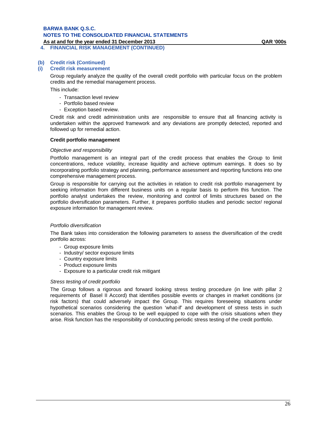#### **As at and for the year ended 31 December 2013 QAR '000s 4. FINANCIAL RISK MANAGEMENT (CONTINUED)**

# **(b) Credit risk (Continued)**

### **(i) Credit risk measurement**

Group regularly analyze the quality of the overall credit portfolio with particular focus on the problem credits and the remedial management process.

This include:

- Transaction level review
- Portfolio based review
- Exception based review.

Credit risk and credit administration units are responsible to ensure that all financing activity is undertaken within the approved framework and any deviations are promptly detected, reported and followed up for remedial action.

#### **Credit portfolio management**

#### *Objective and responsibility*

Portfolio management is an integral part of the credit process that enables the Group to limit concentrations, reduce volatility, increase liquidity and achieve optimum earnings. It does so by incorporating portfolio strategy and planning, performance assessment and reporting functions into one comprehensive management process.

Group is responsible for carrying out the activities in relation to credit risk portfolio management by seeking information from different business units on a regular basis to perform this function. The portfolio analyst undertakes the review, monitoring and control of limits structures based on the portfolio diversification parameters. Further, it prepares portfolio studies and periodic sector/ regional exposure information for management review.

### *Portfolio diversification*

The Bank takes into consideration the following parameters to assess the diversification of the credit portfolio across:

- Group exposure limits
- Industry/ sector exposure limits
- Country exposure limits
- Product exposure limits
- Exposure to a particular credit risk mitigant

### *Stress testing of credit portfolio*

The Group follows a rigorous and forward looking stress testing procedure (in line with pillar 2 requirements of Basel II Accord) that identifies possible events or changes in market conditions (or risk factors) that could adversely impact the Group. This requires foreseeing situations under hypothetical scenarios considering the question 'what-if' and development of stress tests in such scenarios. This enables the Group to be well equipped to cope with the crisis situations when they arise. Risk function has the responsibility of conducting periodic stress testing of the credit portfolio.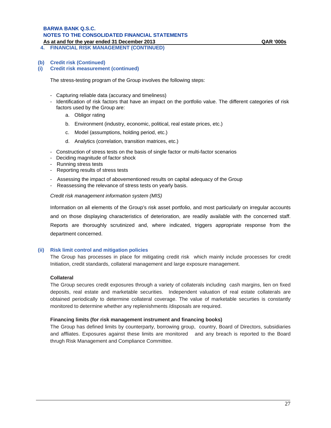# **BARWA BANK Q.S.C. NOTES TO THE CONSOLIDATED FINANCIAL STATEMENTS**

**As at and for the year ended 31 December 2013 QAR '000s**

**4. FINANCIAL RISK MANAGEMENT (CONTINUED)** 

**(i) Credit risk measurement (continued)**

The stress-testing program of the Group involves the following steps:

- Capturing reliable data (accuracy and timeliness)
- Identification of risk factors that have an impact on the portfolio value. The different categories of risk factors used by the Group are:
	- a. Obligor rating
	- b. Environment (industry, economic, political, real estate prices, etc.)
	- c. Model (assumptions, holding period, etc.)
	- d. Analytics (correlation, transition matrices, etc.)
- Construction of stress tests on the basis of single factor or multi-factor scenarios
- Deciding magnitude of factor shock
- Running stress tests
- Reporting results of stress tests
- Assessing the impact of abovementioned results on capital adequacy of the Group
- Reassessing the relevance of stress tests on yearly basis.

*Credit risk management information system (MIS)*

Information on all elements of the Group's risk asset portfolio, and most particularly on irregular accounts and on those displaying characteristics of deterioration, are readily available with the concerned staff. Reports are thoroughly scrutinized and, where indicated, triggers appropriate response from the department concerned.

# **(ii) Risk limit control and mitigation policies**

The Group has processes in place for mitigating credit risk which mainly include processes for credit Initiation, credit standards, collateral management and large exposure management.

# **Collateral**

The Group secures credit exposures through a variety of collaterals including cash margins, lien on fixed deposits, real estate and marketable securities. Independent valuation of real estate collaterals are obtained periodically to determine collateral coverage. The value of marketable securties is constantly monitored to determine whether any replenishments /disposals are required.

### **Financing limits (for risk management instrument and financing books)**

The Group has defined limits by counterparty, borrowing group, country, Board of Directors, subsidiaries and affliates. Exposures against these limits are monitored and any breach is reported to the Board thrugh Risk Management and Compliance Committee.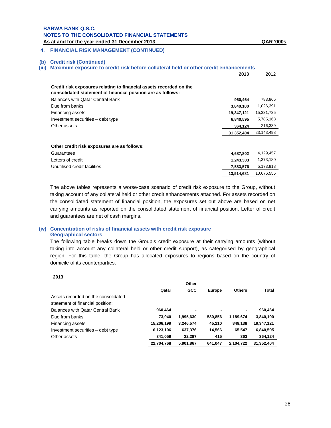# **4. FINANCIAL RISK MANAGEMENT (CONTINUED)**

#### **(b) Credit risk (Continued)**

**(iii) Maximum exposure to credit risk before collateral held or other credit enhancements** 

|                                                                                                                                    | 2013       | 2012       |
|------------------------------------------------------------------------------------------------------------------------------------|------------|------------|
| Credit risk exposures relating to financial assets recorded on the<br>consolidated statement of financial position are as follows: |            |            |
| Balances with Qatar Central Bank                                                                                                   | 960,464    | 783,865    |
| Due from banks                                                                                                                     | 3,840,100  | 1,026,391  |
| Financing assets                                                                                                                   | 19,347,121 | 15,331,735 |
| Investment securities – debt type                                                                                                  | 6,840,595  | 5,785,168  |
| Other assets                                                                                                                       | 364,124    | 216,339    |
|                                                                                                                                    | 31,352,404 | 23,143,498 |
| Other credit risk exposures are as follows:                                                                                        |            |            |
| Guarantees                                                                                                                         | 4,687,802  | 4,129,457  |
| Letters of credit                                                                                                                  | 1,243,303  | 1,373,180  |
| Unutilised credit facilities                                                                                                       | 7.583.576  | 5,173,918  |
|                                                                                                                                    | 13,514,681 | 10,676,555 |

The above tables represents a worse-case scenario of credit risk exposure to the Group, without taking account of any collateral held or other credit enhancements attached. For assets recorded on the consolidated statement of financial position, the exposures set out above are based on net carrying amounts as reported on the consolidated statement of financial position. Letter of credit and guarantees are net of cash margins.

# **(iv) Concentration of risks of financial assets with credit risk exposure Geographical sectors**

The following table breaks down the Group's credit exposure at their carrying amounts (without taking into account any collateral held or other credit support), as categorised by geographical region. For this table, the Group has allocated exposures to regions based on the country of domicile of its counterparties.

**2013** 

|                                     |            | Other      |         |               |            |
|-------------------------------------|------------|------------|---------|---------------|------------|
|                                     | Qatar      | <b>GCC</b> | Europe  | <b>Others</b> | Total      |
| Assets recorded on the consolidated |            |            |         |               |            |
| statement of financial position:    |            |            |         |               |            |
| Balances with Qatar Central Bank    | 960,464    |            |         | ۰.            | 960,464    |
| Due from banks                      | 73.940     | 1,995,630  | 580,856 | 1,189,674     | 3,840,100  |
| Financing assets                    | 15,206,199 | 3,246,574  | 45,210  | 849,138       | 19,347,121 |
| Investment securities - debt type   | 6,123,106  | 637,376    | 14,566  | 65.547        | 6,840,595  |
| Other assets                        | 341,059    | 22,287     | 415     | 363           | 364,124    |
|                                     | 22.704.768 | 5.901.867  | 641.047 | 2.104.722     | 31.352.404 |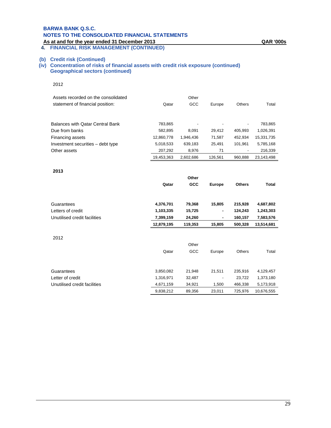# **BARWA BANK Q.S.C. NOTES TO THE CONSOLIDATED FINANCIAL STATEMENTS**

#### **As at and for the year ended 31 December 2013 QAR '000s 4. FINANCIAL RISK MANAGEMENT (CONTINUED)**

# **(b) Credit risk (Continued)**

**(iv) Concentration of risks of financial assets with credit risk exposure (continued) Geographical sectors (continued)**

| 2012 |  |
|------|--|
|------|--|

| Assets recorded on the consolidated |            | Other     |         |         |            |
|-------------------------------------|------------|-----------|---------|---------|------------|
| statement of financial position:    | Qatar      | GCC       | Europe  | Others  | Total      |
|                                     |            |           |         |         |            |
|                                     |            |           |         |         |            |
| Balances with Qatar Central Bank    | 783,865    | ٠         |         |         | 783,865    |
| Due from banks                      | 582,895    | 8.091     | 29.412  | 405.993 | 1,026,391  |
| Financing assets                    | 12,860,778 | 1,946,436 | 71,587  | 452.934 | 15,331,735 |
| Investment securities – debt type   | 5,018,533  | 639.183   | 25.491  | 101.961 | 5,785,168  |
| Other assets                        | 207,292    | 8.976     | 71      |         | 216,339    |
|                                     | 19,453,363 | 2,602,686 | 126,561 | 960.888 | 23,143,498 |

#### **2013**

|                              | Qatar      | Other<br><b>GCC</b> | <b>Europe</b>  | <b>Others</b> | <b>Total</b> |
|------------------------------|------------|---------------------|----------------|---------------|--------------|
|                              |            |                     |                |               |              |
| Guarantees                   | 4,376,701  | 79,368              | 15,805         | 215,928       | 4,687,802    |
| Letters of credit            | 1,103,335  | 15,725              | ٠              | 124,243       | 1,243,303    |
| Unutilised credit facilities | 7,399,159  | 24,260              | $\blacksquare$ | 160,157       | 7,583,576    |
|                              | 12,879,195 | 119,353             | 15,805         | 500,328       | 13,514,681   |
| 2012                         |            |                     |                |               |              |
|                              |            | Other               |                |               |              |
|                              | Qatar      | GCC                 | Europe         | <b>Others</b> | Total        |
|                              |            |                     |                |               |              |
| Guarantees                   | 3,850,082  | 21,948              | 21,511         | 235,916       | 4,129,457    |
| Letter of credit             | 1,316,971  | 32,487              |                | 23,722        | 1,373,180    |
| Unutilised credit facilities | 4,671,159  | 34,921              | 1,500          | 466,338       | 5,173,918    |

9,838,212 89,356 23,011 725,976 10,676,555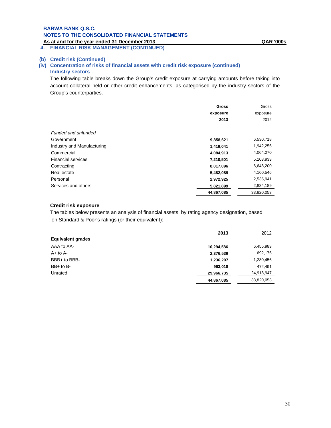**4. FINANCIAL RISK MANAGEMENT (CONTINUED)**

# **(b) Credit risk (Continued)**

# **(iv) Concentration of risks of financial assets with credit risk exposure (continued) Industry sectors**

The following table breaks down the Group's credit exposure at carrying amounts before taking into account collateral held or other credit enhancements, as categorised by the industry sectors of the Group's counterparties.

|                            | <b>Gross</b> | Gross      |
|----------------------------|--------------|------------|
|                            | exposure     | exposure   |
|                            | 2013         | 2012       |
| Funded and unfunded        |              |            |
| Government                 | 9,858,621    | 6,530,718  |
| Industry and Manufacturing | 1,419,041    | 1,942,256  |
| Commercial                 | 4,084,913    | 4,064,270  |
| <b>Financial services</b>  | 7,210,501    | 5,103,933  |
| Contracting                | 8,017,096    | 6,648,200  |
| Real estate                | 5,482,089    | 4,160,546  |
| Personal                   | 2,972,925    | 2,535,941  |
| Services and others        | 5,821,899    | 2,834,189  |
|                            | 44,867,085   | 33,820,053 |

# **Credit risk exposure**

The tables below presents an analysis of financial assets by rating agency designation, based on Standard & Poor's ratings (or their equivalent):

|                          | 2013       | 2012       |
|--------------------------|------------|------------|
| <b>Equivalent grades</b> |            |            |
| AAA to AA-               | 10,294,586 | 6,455,983  |
| $A+$ to $A-$             | 2,376,539  | 692,176    |
| BBB+ to BBB-             | 1,236,207  | 1,280,456  |
| $BB+$ to $B-$            | 993,018    | 472,491    |
| Unrated                  | 29,966,735 | 24,918,947 |
|                          | 44,867,085 | 33,820,053 |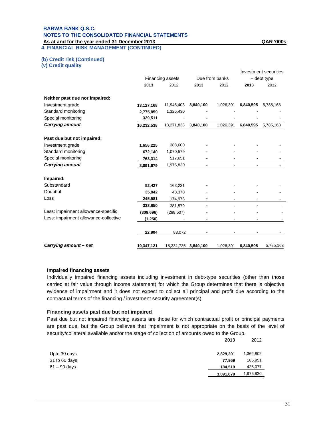# **BARWA BANK Q.S.C. NOTES TO THE CONSOLIDATED FINANCIAL STATEMENTS**

**As at and for the year ended 31 December 2013 QAR '000s 4. FINANCIAL RISK MANAGEMENT (CONTINUED)** 

**(b) Credit risk (Continued)** 

**(v) Credit quality** 

|                                       |                  |            |                |           |             | Investment securities |
|---------------------------------------|------------------|------------|----------------|-----------|-------------|-----------------------|
|                                       | Financing assets |            | Due from banks |           | - debt type |                       |
|                                       | 2013             | 2012       | 2013           | 2012      | 2013        | 2012                  |
| Neither past due nor impaired:        |                  |            |                |           |             |                       |
| Investment grade                      | 13,127,168       | 11,946,403 | 3,840,100      | 1,026,391 | 6,840,595   | 5,785,168             |
| Standard monitoring                   | 2,775,859        | 1,325,430  |                |           |             |                       |
| Special monitoring                    | 329,511          |            |                |           |             |                       |
| <b>Carrying amount</b>                | 16,232,538       | 13,271,833 | 3,840,100      | 1,026,391 | 6,840,595   | 5,785,168             |
| Past due but not impaired:            |                  |            |                |           |             |                       |
| Investment grade                      | 1,656,225        | 388,600    |                |           |             |                       |
| Standard monitoring                   | 672,140          | 1,070,579  |                |           |             |                       |
| Special monitoring                    | 763,314          | 517,651    |                |           |             |                       |
| <b>Carrying amount</b>                | 3,091,679        | 1,976,830  |                |           |             |                       |
| Impaired:                             |                  |            |                |           |             |                       |
| Substandard                           | 52,427           | 163,231    |                |           |             |                       |
| Doubtful                              | 35,842           | 43,370     |                |           |             |                       |
| Loss                                  | 245,581          | 174,978    |                |           |             |                       |
|                                       | 333,850          | 381,579    |                |           |             |                       |
| Less: impairment allowance-specific   | (309, 696)       | (298, 507) |                |           |             |                       |
| Less: impairment allowance-collective | (1, 250)         |            |                |           |             |                       |
|                                       | 22,904           | 83,072     |                |           |             |                       |
| Carrying amount - net                 | 19,347,121       | 15,331,735 | 3,840,100      | 1,026,391 | 6,840,595   | 5,785,168             |

# **Impaired financing assets**

Individually impaired financing assets including investment in debt-type securities (other than those carried at fair value through income statement) for which the Group determines that there is objective evidence of impairment and it does not expect to collect all principal and profit due according to the contractual terms of the financing / investment security agreement(s).

# **Financing assets past due but not impaired**

Past due but not impaired financing assets are those for which contractual profit or principal payments are past due, but the Group believes that impairment is not appropriate on the basis of the level of security/collateral available and/or the stage of collection of amounts owed to the Group.

|                | 20 I J    | ZUIZ      |
|----------------|-----------|-----------|
| Upto 30 days   | 2,829,201 | 1,362,802 |
| 31 to 60 days  | 77.959    | 185,951   |
| $61 - 90$ days | 184.519   | 428,077   |
|                | 3,091,679 | 1,976,830 |

**2013** 2012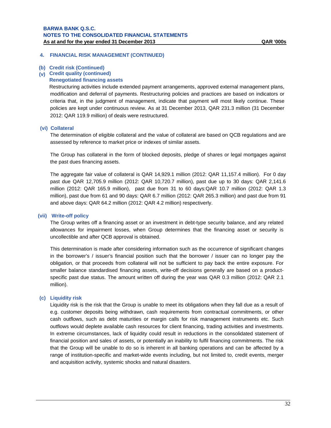# **4. FINANCIAL RISK MANAGEMENT (CONTINUED)**

# **(b) Credit risk (Continued)**

#### **(v) Credit quality (continued)**

#### **Renegotiated financing assets**

Restructuring activities include extended payment arrangements, approved external management plans, modification and deferral of payments. Restructuring policies and practices are based on indicators or criteria that, in the judgment of management, indicate that payment will most likely continue. These policies are kept under continuous review. As at 31 December 2013, QAR 231.3 million (31 December 2012: QAR 119.9 million) of deals were restructured.

#### **(vi) Collateral**

The determination of eligible collateral and the value of collateral are based on QCB regulations and are assessed by reference to market price or indexes of similar assets.

The Group has collateral in the form of blocked deposits, pledge of shares or legal mortgages against the past dues financing assets.

The aggregate fair value of collateral is QAR 14,929.1 million (2012: QAR 11,157.4 million). For 0 day past due QAR 12,705.9 million (2012: QAR 10,720.7 million), past due up to 30 days: QAR 2,141.6 million (2012: QAR 165.9 million), past due from 31 to 60 days:QAR 10.7 million (2012: QAR 1.3 million), past due from 61 and 90 days: QAR 6.7 million (2012: QAR 265.3 million) and past due from 91 and above days: QAR 64.2 million (2012: QAR 4.2 million) respectiverly.

#### **(vii) Write-off policy**

The Group writes off a financing asset or an investment in debt-type security balance, and any related allowances for impairment losses, when Group determines that the financing asset or security is uncollectible and after QCB approval is obtained.

This determination is made after considering information such as the occurrence of significant changes in the borrower's / issuer's financial position such that the borrower / issuer can no longer pay the obligation, or that proceeds from collateral will not be sufficient to pay back the entire exposure. For smaller balance standardised financing assets, write-off decisions generally are based on a productspecific past due status. The amount written off during the year was QAR 0.3 million (2012: QAR 2.1 million).

### **(c) Liquidity risk**

Liquidity risk is the risk that the Group is unable to meet its obligations when they fall due as a result of e.g. customer deposits being withdrawn, cash requirements from contractual commitments, or other cash outflows, such as debt maturities or margin calls for risk management instruments etc. Such outflows would deplete available cash resources for client financing, trading activities and investments. In extreme circumstances, lack of liquidity could result in reductions in the consolidated statement of financial position and sales of assets, or potentially an inability to fulfil financing commitments. The risk that the Group will be unable to do so is inherent in all banking operations and can be affected by a range of institution-specific and market-wide events including, but not limited to, credit events, merger and acquisition activity, systemic shocks and natural disasters.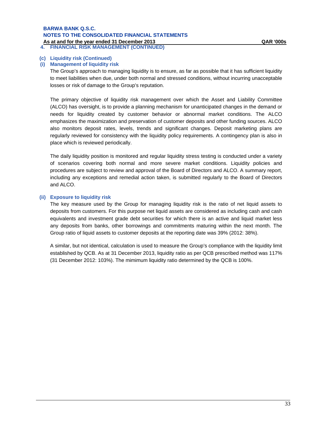# **BARWA BANK Q.S.C. NOTES TO THE CONSOLIDATED FINANCIAL STATEMENTS**

**As at and for the year ended 31 December 2013**<br>4. FINANCIAL RISK MANAGEMENT (CONTINUED) **4. FINANCIAL RISK MANAGEMENT (CONTINUED)**

### **(c) Liquidity risk (Continued)**

#### **(i) Management of liquidity risk**

The Group's approach to managing liquidity is to ensure, as far as possible that it has sufficient liquidity to meet liabilities when due, under both normal and stressed conditions, without incurring unacceptable losses or risk of damage to the Group's reputation.

The primary objective of liquidity risk management over which the Asset and Liability Committee (ALCO) has oversight, is to provide a planning mechanism for unanticipated changes in the demand or needs for liquidity created by customer behavior or abnormal market conditions. The ALCO emphasizes the maximization and preservation of customer deposits and other funding sources. ALCO also monitors deposit rates, levels, trends and significant changes. Deposit marketing plans are regularly reviewed for consistency with the liquidity policy requirements. A contingency plan is also in place which is reviewed periodically.

The daily liquidity position is monitored and regular liquidity stress testing is conducted under a variety of scenarios covering both normal and more severe market conditions. Liquidity policies and procedures are subject to review and approval of the Board of Directors and ALCO. A summary report, including any exceptions and remedial action taken, is submitted regularly to the Board of Directors and ALCO.

#### **(ii) Exposure to liquidity risk**

The key measure used by the Group for managing liquidity risk is the ratio of net liquid assets to deposits from customers. For this purpose net liquid assets are considered as including cash and cash equivalents and investment grade debt securities for which there is an active and liquid market less any deposits from banks, other borrowings and commitments maturing within the next month. The Group ratio of liquid assets to customer deposits at the reporting date was 39% (2012: 38%).

A similar, but not identical, calculation is used to measure the Group's compliance with the liquidity limit established by QCB. As at 31 December 2013, liquidity ratio as per QCB prescribed method was 117% (31 December 2012: 103%). The mimimum liquidity ratio determined by the QCB is 100%.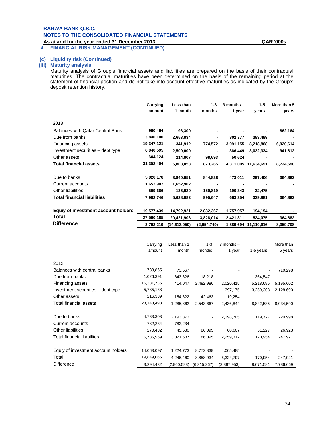# **BARWA BANK Q.S.C. NOTES TO THE CONSOLIDATED FINANCIAL STATEMENTS**

**As at and for the year ended 31 December 2013 QAR '000s**

**4. FINANCIAL RISK MANAGEMENT (CONTINUED)**

#### **(c) Liquidity risk (Continued)**

#### **(iii) Maturity analysis**

Maturity analysis of Group's financial assets and liabilities are prepared on the basis of their contractual maturities. The contractual maturities have been determined on the basis of the remaining period at the statement of financial postion and do not take into account effective maturities as indicated by the Group's deposit retention history.

|                                         | Carrying<br>amount | Less than<br>1 month | $1 - 3$<br>months | $3$ months $-$<br>1 year | $1 - 5$<br>vears     | More than 5<br>years |
|-----------------------------------------|--------------------|----------------------|-------------------|--------------------------|----------------------|----------------------|
| 2013                                    |                    |                      |                   |                          |                      |                      |
| <b>Balances with Qatar Central Bank</b> | 960,464            | 98,300               |                   |                          |                      | 862,164              |
| Due from banks                          | 3,840,100          | 2,653,834            |                   | 802,777                  | 383,489              |                      |
| <b>Financing assets</b>                 | 19,347,121         | 341,912              | 774,572           | 3,091,155                | 8,218,868            | 6,920,614            |
| Investment securities – debt type       | 6,840,595          | 2,500,000            | ٠                 | 366,449                  | 3,032,334            | 941,812              |
| Other assets                            | 364,124            | 214,807              | 98,693            | 50,624                   |                      |                      |
| <b>Total financial assets</b>           | 31,352,404         | 5,808,853            | 873,265           |                          | 4,311,005 11,634,691 | 8,724,590            |
|                                         |                    |                      |                   |                          |                      |                      |
| Due to banks                            | 5,820,178          | 3,840,051            | 844,828           | 473,011                  | 297,406              | 364,882              |
| Current accounts                        | 1,652,902          | 1,652,902            |                   |                          |                      |                      |
| Other liabilities                       | 509,666            | 136,029              | 150,819           | 190,343                  | 32,475               |                      |
| <b>Total financial liabilities</b>      | 7,982,746          | 5,628,982            | 995,647           | 663,354                  | 329,881              | 364,882              |
|                                         |                    |                      |                   |                          |                      |                      |
| Equiy of investment account holders     | 19,577,439         | 14,792,921           | 2,832,367         | 1,757,957                | 194,194              |                      |
| Total                                   | 27,560,185         | 20,421,903           | 3,828,014         | 2,421,311                | 524,075              | 364,882              |
| <b>Difference</b>                       | 3,792,219          | (14, 613, 050)       | (2,954,749)       |                          | 1,889,694 11,110,616 | 8,359,708            |
|                                         |                    |                      |                   |                          |                      |                      |

|                                     | Carrying   | Less than 1 | $1 - 3$     | $3$ months $-$ |           | More than |
|-------------------------------------|------------|-------------|-------------|----------------|-----------|-----------|
|                                     | amount     | month       | months      | 1 year         | 1-5 years | 5 years   |
| 2012                                |            |             |             |                |           |           |
| Balances with central banks         | 783,865    | 73,567      |             |                |           | 710,298   |
| Due from banks                      | 1,026,391  | 643,626     | 18,218      |                | 364,547   |           |
| Financing assets                    | 15,331,735 | 414,047     | 2,482,986   | 2,020,415      | 5,218,685 | 5,195,602 |
| Investment securities - debt type   | 5,785,168  |             |             | 397,175        | 3,259,303 | 2,128,690 |
| Other assets                        | 216,339    | 154,622     | 42,463      | 19,254         |           |           |
| Total financial assets              | 23,143,498 | 1,285,862   | 2,543,667   | 2,436,844      | 8,842,535 | 8,034,590 |
|                                     |            |             |             |                |           |           |
| Due to banks                        | 4,733,303  | 2,193,873   |             | 2,198,705      | 119,727   | 220,998   |
| Current accounts                    | 782,234    | 782,234     |             |                |           |           |
| Other liabilities                   | 270,432    | 45,580      | 86,095      | 60,607         | 51,227    | 26,923    |
| Total financial liabilites          | 5,785,969  | 3,021,687   | 86,095      | 2,259,312      | 170,954   | 247,921   |
|                                     |            |             |             |                |           |           |
| Equiy of investment account holders | 14,063,097 | 1,224,773   | 8,772,839   | 4,065,485      |           |           |
| Total                               | 19,849,066 | 4,246,460   | 8,858,934   | 6,324,797      | 170,954   | 247,921   |
| <b>Difference</b>                   | 3,294,432  | (2,960,598) | (6,315,267) | (3,887,953)    | 8,671,581 | 7,786,669 |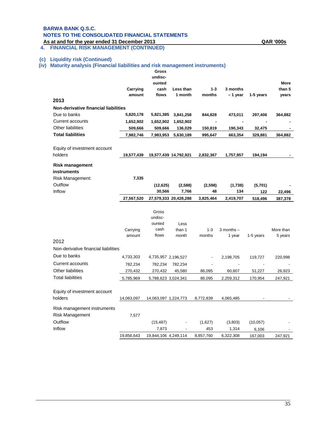### **BARWA BANK Q.S.C. NOTES TO THE CONSOLIDATED FINANCIAL STATEMENTS**

**As at and for the year ended 31 December 2013 QAR '000s 4. FINANCIAL RISK MANAGEMENT (CONTINUED)**

#### **(c) Liquidity risk (Continued)**

**(iv) Maturity analysis (Financial liabilities and risk management instruments)**

|                                                | Carrying           | Gross<br>undisc-<br>ounted<br>cash | Less than             | $1 - 3$           | 3 months                 |                | <b>More</b><br>than 5 |
|------------------------------------------------|--------------------|------------------------------------|-----------------------|-------------------|--------------------------|----------------|-----------------------|
|                                                | amount             | flows                              | 1 month               | months            | - 1 year                 | 1-5 years      | years                 |
| 2013                                           |                    |                                    |                       |                   |                          |                |                       |
| <b>Non-derivative financial liabilities</b>    |                    |                                    |                       |                   |                          |                |                       |
| Due to banks                                   | 5,820,178          | 5,821,385                          | 3,841,258             | 844,828           | 473,011                  | 297,406        | 364,882               |
| <b>Current accounts</b>                        | 1,652,902          | 1,652,902                          | 1,652,902             |                   |                          |                |                       |
| Other liabilities                              | 509,666            | 509,666                            | 136,029               | 150,819           | 190,343                  | 32,475         |                       |
| <b>Total liabilities</b>                       | 7,982,746          | 7,983,953                          | 5,630,189             | 995,647           | 663,354                  | 329,881        | 364,882               |
| Equity of investment account<br>holders        | 19,577,439         |                                    | 19,577,439 14,792,921 | 2,832,367         | 1,757,957                | 194,194        |                       |
|                                                |                    |                                    |                       |                   |                          |                |                       |
| <b>Risk management</b><br>instruments          |                    |                                    |                       |                   |                          |                |                       |
| Risk Management:                               | 7,335              |                                    |                       |                   |                          |                |                       |
| Outflow                                        |                    | (12, 625)                          | (2,588)               | (2, 598)          | (1,738)                  | (5,701)        |                       |
| Inflow                                         |                    | 30,566                             | 7,766                 | 48                | 134                      | 122            | 22,496                |
|                                                | 27,567,520         |                                    | 27,579,333 20,428,288 | 3,825,464         | 2,419,707                | 518,496        | 387,378               |
|                                                |                    | Gross<br>undisc-<br>ounted         | Less                  |                   |                          |                |                       |
|                                                | Carrying<br>amount | cash<br>flows                      | than 1<br>month       | $1 - 3$<br>months | $3$ months $-$<br>1 year | 1-5 years      | More than<br>5 years  |
| 2012                                           |                    |                                    |                       |                   |                          |                |                       |
| Non-derivative financial liabilities           |                    |                                    |                       |                   |                          |                |                       |
| Due to banks                                   | 4,733,303          | 4,735,957 2,196,527                |                       |                   | 2,198,705                | 119,727        | 220,998               |
| Current accounts                               | 782,234            | 782,234                            | 782,234               |                   |                          | $\blacksquare$ |                       |
| Other liabilities                              | 270,432            | 270,432                            | 45,580                | 86,095            | 60,607                   | 51,227         | 26,923                |
| <b>Total liabilities</b>                       | 5,785,969          | 5,788,623 3,024,341                |                       | 86,095            | 2,259,312                | 170,954        | 247,921               |
| Equity of investment account                   |                    |                                    |                       |                   |                          |                |                       |
| holders                                        | 14,063,097         | 14,063,097 1,224,773               |                       | 8,772,839         | 4,065,485                |                |                       |
| Risk management instruments<br>Risk Management | 7,577              |                                    |                       |                   |                          |                |                       |
| Outflow                                        |                    | (15, 487)                          |                       | (1,627)           | (3,803)                  | (10, 057)      |                       |
| Inflow                                         |                    | 7,873                              |                       | 453               | 1,314                    | 6,106          |                       |
|                                                |                    |                                    |                       |                   |                          |                |                       |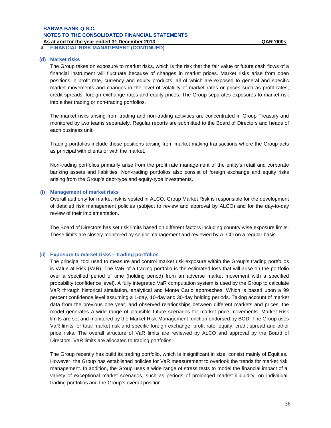**4. FINANCIAL RISK MANAGEMENT (CONTINUED)**

#### **(d) Market risks**

The Group takes on exposure to market risks, which is the risk that the fair value or future cash flows of a financial instrument will fluctuate because of changes in market prices. Market risks arise from open positions in profit rate, currency and equity products, all of which are exposed to general and specific market movements and changes in the level of volatility of market rates or prices such as profit rates, credit spreads, foreign exchange rates and equity prices. The Group separates exposures to market risk into either trading or non-trading portfolios.

The market risks arising from trading and non-trading activities are concentrated in Group Treasury and monitored by two teams separately. Regular reports are submitted to the Board of Directors and heads of each business unit.

Trading portfolios include those positions arising from market-making transactions where the Group acts as principal with clients or with the market.

Non-trading portfolios primarily arise from the profit rate management of the entity's retail and corporate banking assets and liabilities. Non-trading portfolios also consist of foreign exchange and equity risks arising from the Group's debt-type and equity-type investments.

#### **(i) Management of market risks**

Overall authority for market risk is vested in ALCO. Group Market Risk is responsible for the development of detailed risk management policies (subject to review and approval by ALCO) and for the day-to-day review of their implementation.

The Board of Directors has set risk limits based on different factors including country wise exposure limits. These limits are closely monitored by senior management and reviewed by ALCO on a regular basis.

#### **(ii) Exposure to market risks – trading portfolios**

The principal tool used to measure and control market risk exposure within the Group's trading portfolios is Value at Risk (VaR). The VaR of a trading portfolio is the estimated loss that will arise on the portfolio over a specified period of time (holding period) from an adverse market movement with a specified probability (confidence level). A fully integrated VaR computation system is used by the Group to calculate VaR through historical simulation, analytical and Monte Carlo approaches. Which is based upon a 99 percent confidence level assuming a 1-day, 10-day and 30-day holding periods. Taking account of market data from the previous one year, and observed relationships between different markets and prices, the model generates a wide range of plausible future scenarios for market price movements. Market Risk limits are set and monitored by the Market Risk Management function endorsed by BOD. The Group uses VaR limits for total market risk and specific foreign exchange, profit rate, equity, credit spread and other price risks. The overall structure of VaR limits are reviewed by ALCO and approval by the Board of Directors. VaR limits are allocated to trading portfolios

The Group recently has build its trading portfolio, which is insignificant in size, consist mainly of Equities. However, the Group has established policies for VaR measurement to overlook the trends for market risk management. In addition, the Group uses a wide range of stress tests to model the financial impact of a variety of exceptional market scenarios, such as periods of prolonged market illiquidity, on individual trading portfolios and the Group's overall position.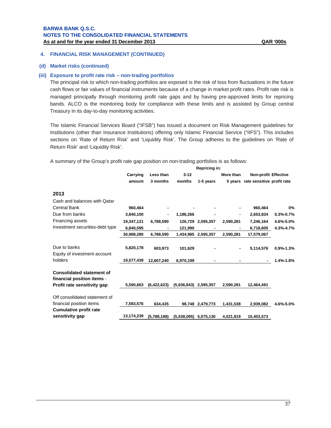#### **4. FINANCIAL RISK MANAGEMENT (CONTINUED)**

#### **(d) Market risks (continued)**

#### **(iii) Exposure to profit rate risk – non-trading portfolios**

The principal risk to which non-trading portfolios are exposed is the risk of loss from fluctuations in the future cash flows or fair values of financial instruments because of a change in market profit rates. Profit rate risk is managed principally through monitoring profit rate gaps and by having pre-approved limits for repricing bands. ALCO is the monitoring body for compliance with these limits and is assisted by Group central Treasury in its day-to-day monitoring activities.

The Islamic Financial Services Board ("IFSB") has issued a document on Risk Management guidelines for Institutions (other than Insurance Institutions) offering only Islamic Financial Service ("IIFS"). This includes sections on 'Rate of Return Risk' and 'Liquidity Risk'. The Group adheres to the guidelines on 'Rate of Return Risk' and 'Liquidity Risk'.

A summary of the Group's profit rate gap position on non-trading portfolios is as follows:

|                                                                                               | Repricing in: |             |                         |                   |           |                                    |                 |
|-----------------------------------------------------------------------------------------------|---------------|-------------|-------------------------|-------------------|-----------|------------------------------------|-----------------|
|                                                                                               | Carrying      | Less than   | $3 - 12$                |                   | More than | <b>Non-profit Effective</b>        |                 |
|                                                                                               | amount        | 3 months    | months                  | 1-5 years         |           | 5 years rate sensitive profit rate |                 |
| 2013                                                                                          |               |             |                         |                   |           |                                    |                 |
| Cash and balances with Qatar                                                                  |               |             |                         |                   |           |                                    |                 |
| <b>Central Bank</b>                                                                           | 960,464       |             |                         |                   |           | 960,464                            | 0%              |
| Due from banks                                                                                | 3,840,100     |             | 1,186,266               |                   |           | 2,653,834                          | $0.3% -0.7%$    |
| Financing assets                                                                              | 19,347,121    | 6,788,590   |                         | 126,729 2,595,357 | 2,590,281 | 7,246,164                          | 4.6%-5.0%       |
| Investment securities-debt type                                                               | 6,840,595     |             | 121,990                 |                   |           | 6,718,605                          | 4.3%-4.7%       |
|                                                                                               | 30,988,280    | 6,788,590   | 1,434,985               | 2,595,357         | 2,590,281 | 17,579,067                         |                 |
| Due to banks<br>Equity of investment account                                                  | 5,820,178     | 603,973     | 101,629                 |                   | ۰         | 5,114,576                          | $0.9\% - 1.3\%$ |
| holders                                                                                       | 19,577,439    | 12.607.240  | 6,970,199               |                   |           |                                    | $1.4% - 1.8%$   |
| <b>Consolidated statement of</b><br>financial position items -<br>Profit rate sensitivity gap | 5,590,663     | (6,422,623) | (5,636,843)             | 2,595,357         | 2,590,281 | 12,464,491                         |                 |
| Off consolidated statement of<br>financial position items                                     | 7,583,576     | 634,435     |                         | 98,748 2,479,773  | 1,431,538 | 2,939,082                          | 4.6%-5.0%       |
| <b>Cumulative profit rate</b><br>sensitivity gap                                              | 13,174,239    | (5,788,188) | $(5,538,095)$ 5,075,130 |                   | 4,021,819 | 15,403,573                         |                 |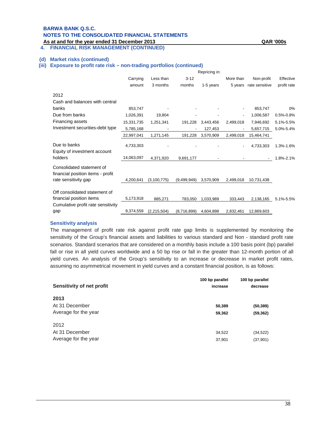### **BARWA BANK Q.S.C. NOTES TO THE CONSOLIDATED FINANCIAL STATEMENTS**

**As at and for the year ended 31 December 2013 QAR '000s**

### **4. FINANCIAL RISK MANAGEMENT (CONTINUED)**

#### **(d) Market risks (continued)**

#### **(iii) Exposure to profit rate risk – non-trading portfolios (continued)**

|                                                                |            |             |             | Repricing in: |                          |                          |               |
|----------------------------------------------------------------|------------|-------------|-------------|---------------|--------------------------|--------------------------|---------------|
|                                                                | Carrying   | Less than   | $3 - 12$    |               | More than                | Non-profit               | Effective     |
|                                                                | amount     | 3 months    | months      | 1-5 years     |                          | 5 years rate sensitive   | profit rate   |
| 2012                                                           |            |             |             |               |                          |                          |               |
| Cash and balances with central                                 |            |             |             |               |                          |                          |               |
| banks                                                          | 853,747    |             |             |               |                          | 853,747                  | 0%            |
| Due from banks                                                 | 1,026,391  | 19,804      |             |               | $\overline{\phantom{a}}$ | 1,006,587                | $0.5% - 0.8%$ |
| Financing assets                                               | 15,331,735 | 1,251,341   | 191,228     | 3,443,456     | 2,499,018                | 7,946,692                | 5.1%-5.5%     |
| Investment securities-debt type                                | 5,785,168  |             |             | 127,453       | $\overline{\phantom{a}}$ | 5,657,715                | 5.0%-5.4%     |
|                                                                | 22,997,041 | 1,271,145   | 191,228     | 3,570,909     | 2,499,018                | 15,464,741               |               |
| Due to banks<br>Equity of investment account                   | 4,733,303  |             |             |               |                          | 4,733,303                | 1.3%-1.6%     |
| holders                                                        | 4,063,097  | 4,371,920   | 9,691,177   |               |                          | $\overline{\phantom{a}}$ | 1.8%-2.1%     |
| Consolidated statement of<br>financial position items - profit |            |             |             |               |                          |                          |               |
| rate sensitivity gap                                           | 4,200,641  | (3,100,775) | (9,499,949) | 3,570,909     | 2,499,018                | 10,731,438               |               |
| Off consolidated statement of                                  |            |             |             |               |                          |                          |               |
| financial position items                                       | 5,173,918  | 885,271     | 783,050     | 1,033,989     | 333,443                  | 2,138,165                | 5.1%-5.5%     |
| Cumulative profit rate sensitivity                             |            |             |             |               |                          |                          |               |
| gap                                                            | 9,374,559  | (2,215,504) | (8,716,899) | 4,604,898     | 2,832,461                | 12,869,603               |               |

#### **Sensitivity analysis**

The management of profit rate risk against profit rate gap limits is supplemented by monitoring the sensitivity of the Group's financial assets and liabilities to various standard and Non - standard profit rate scenarios. Standard scenarios that are considered on a monthly basis include a 100 basis point (bp) parallel fall or rise in all yield curves worldwide and a 50 bp rise or fall in the greater than 12-month portion of all yield curves. An analysis of the Group's sensitivity to an increase or decrease in market profit rates, assuming no asymmetrical movement in yield curves and a constant financial position, is as follows:

| Sensitivity of net profit | 100 bp parallel<br>increase | 100 bp parallel<br>decrease |  |
|---------------------------|-----------------------------|-----------------------------|--|
| 2013                      |                             |                             |  |
| At 31 December            | 50,389                      | (50, 389)                   |  |
| Average for the year      | 59,362                      | (59, 362)                   |  |
| 2012                      |                             |                             |  |
| At 31 December            | 34,522                      | (34, 522)                   |  |
| Average for the year      | 37,901                      | (37,901)                    |  |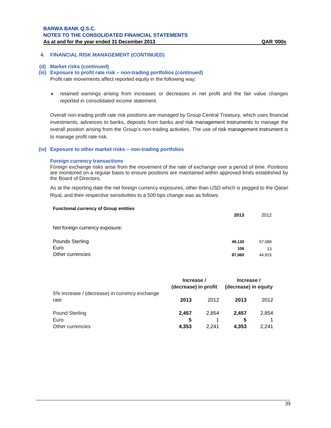#### **4. FINANCIAL RISK MANAGEMENT (CONTINUED)**

#### **(d) Market risks (continued)**

#### **(iii) Exposure to profit rate risk – non-trading portfolios (continued)**

Profit rate movements affect reported equity in the following way:

 retained earnings arising from increases or decreases in net profit and the fair value changes reported in consolidated income statement.

Overall non-trading profit rate risk positions are managed by Group Central Treasury, which uses financial investments, advances to banks, deposits from banks and risk management instruments to manage the overall position arising from the Group's non-trading activities. The use of risk management instrument is to manage profit rate risk.

#### **(iv) Exposure to other market risks – non-trading portfolios**

#### **Foreign currency transactions**

Foreign exchange risks arise from the movement of the rate of exchange over a period of time. Positions are monitored on a regular basis to ensure positions are maintained within approved limits established by the Board of Directors.

As at the reporting date the net foreign currency exposures, other than USD which is pegged to the Qatari Riyal, and their respective sensitivities to a 500 bps change was as follows:

| <b>Functional currency of Group entities</b> | 2013   | 2012   |
|----------------------------------------------|--------|--------|
| Net foreign currency exposure:               |        |        |
| Pounds Sterling                              | 49.130 | 57,088 |
| Euro                                         | 106    | 13     |
| Other currencies                             | 87,060 | 44,815 |

|                                                       | Increase /<br>(decrease) in profit |       | Increase /<br>(decrease) in equity |       |  |
|-------------------------------------------------------|------------------------------------|-------|------------------------------------|-------|--|
| 5% increase / (decrease) in currency exchange<br>rate | 2013                               | 2012  | 2013                               | 2012  |  |
| <b>Pound Sterling</b>                                 | 2.457                              | 2.854 | 2.457                              | 2,854 |  |
| Euro                                                  | 5                                  |       | 5                                  |       |  |
| Other currencies                                      | 4.353                              | 2.241 | 4.353                              | 2.241 |  |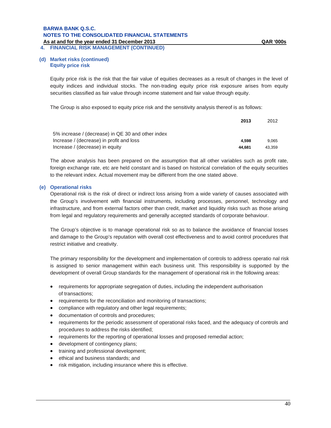**4. FINANCIAL RISK MANAGEMENT (CONTINUED)**

#### **(d) Market risks (continued) Equity price risk**

Equity price risk is the risk that the fair value of equities decreases as a result of changes in the level of equity indices and individual stocks. The non-trading equity price risk exposure arises from equity securities classified as fair value through income statement and fair value through equity.

The Group is also exposed to equity price risk and the sensitivity analysis thereof is as follows:

|                                                   | 2013   | 2012   |
|---------------------------------------------------|--------|--------|
| 5% increase / (decrease) in QE 30 and other index |        |        |
| Increase / (decrease) in profit and loss          | 4.598  | 9.065  |
| Increase / (decrease) in equity                   | 44.681 | 43.359 |

The above analysis has been prepared on the assumption that all other variables such as profit rate, foreign exchange rate, etc are held constant and is based on historical correlation of the equity securities to the relevant index. Actual movement may be different from the one stated above.

### **(e) Operational risks**

Operational risk is the risk of direct or indirect loss arising from a wide variety of causes associated with the Group's involvement with financial instruments, including processes, personnel, technology and infrastructure, and from external factors other than credit, market and liquidity risks such as those arising from legal and regulatory requirements and generally accepted standards of corporate behaviour.

The Group's objective is to manage operational risk so as to balance the avoidance of financial losses and damage to the Group's reputation with overall cost effectiveness and to avoid control procedures that restrict initiative and creativity.

The primary responsibility for the development and implementation of controls to address operatio nal risk is assigned to senior management within each business unit. This responsibility is supported by the development of overall Group standards for the management of operational risk in the following areas:

- requirements for appropriate segregation of duties, including the independent authorisation of transactions;
- requirements for the reconciliation and monitoring of transactions;
- compliance with regulatory and other legal requirements;
- documentation of controls and procedures;
- requirements for the periodic assessment of operational risks faced, and the adequacy of controls and procedures to address the risks identified;
- requirements for the reporting of operational losses and proposed remedial action;
- development of contingency plans;
- training and professional development;
- ethical and business standards; and
- risk mitigation, including insurance where this is effective.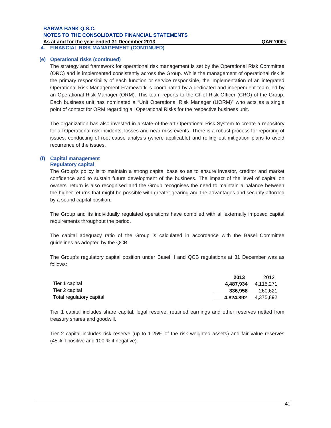**4. FINANCIAL RISK MANAGEMENT (CONTINUED)**

#### **(e) Operational risks (continued)**

The strategy and framework for operational risk management is set by the Operational Risk Committee (ORC) and is implemented consistently across the Group. While the management of operational risk is the primary responsibility of each function or service responsible, the implementation of an integrated Operational Risk Management Framework is coordinated by a dedicated and independent team led by an Operational Risk Manager (ORM). This team reports to the Chief Risk Officer (CRO) of the Group. Each business unit has nominated a "Unit Operational Risk Manager (UORM)" who acts as a single point of contact for ORM regarding all Operational Risks for the respective business unit.

The organization has also invested in a state-of-the-art Operational Risk System to create a repository for all Operational risk incidents, losses and near-miss events. There is a robust process for reporting of issues, conducting of root cause analysis (where applicable) and rolling out mitigation plans to avoid recurrence of the issues.

#### **(f) Capital management Regulatory capital**

The Group's policy is to maintain a strong capital base so as to ensure investor, creditor and market confidence and to sustain future development of the business. The impact of the level of capital on owners' return is also recognised and the Group recognises the need to maintain a balance between the higher returns that might be possible with greater gearing and the advantages and security afforded by a sound capital position.

The Group and its individually regulated operations have complied with all externally imposed capital requirements throughout the period.

The capital adequacy ratio of the Group is calculated in accordance with the Basel Committee guidelines as adopted by the QCB.

The Group's regulatory capital position under Basel II and QCB regulations at 31 December was as follows:

|                          | 2013      | 2012                |
|--------------------------|-----------|---------------------|
| Tier 1 capital           |           | 4.487.934 4.115.271 |
| Tier 2 capital           | 336.958   | 260,621             |
| Total regulatory capital | 4,824,892 | 4,375,892           |

Tier 1 capital includes share capital, legal reserve, retained earnings and other reserves netted from treasury shares and goodwill.

Tier 2 capital includes risk reserve (up to 1.25% of the risk weighted assets) and fair value reserves (45% if positive and 100 % if negative).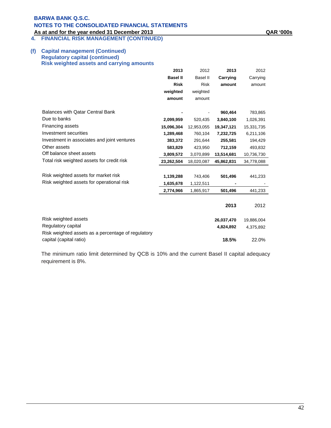**4. FINANCIAL RISK MANAGEMENT (CONTINUED)**

### **(f) Capital management (Continued) Regulatory capital (continued) Risk weighted assets and carrying amounts**

|                                                    | 2013                    | 2012                  | 2013                    | 2012                    |
|----------------------------------------------------|-------------------------|-----------------------|-------------------------|-------------------------|
|                                                    | <b>Basel II</b>         | <b>Basel II</b>       | Carrying                | Carrying                |
|                                                    | <b>Risk</b>             | <b>Risk</b>           | amount                  | amount                  |
|                                                    | weighted                | weighted              |                         |                         |
|                                                    | amount                  | amount                |                         |                         |
| <b>Balances with Qatar Central Bank</b>            |                         |                       | 960,464                 | 783,865                 |
| Due to banks                                       | 2,099,959               | 520,435               | 3,840,100               | 1,026,391               |
| Financing assets                                   |                         |                       |                         |                         |
| Investment securities                              | 15,096,304<br>1,289,468 | 12,953,055<br>760,104 | 19,347,121<br>7,232,725 | 15,331,735<br>6,211,106 |
| Investment in associates and joint ventures        | 383,372                 | 291,644               | 255,581                 | 194,429                 |
| Other assets                                       |                         |                       |                         |                         |
| Off balance sheet assets                           | 583,829                 | 423,950               | 712,159                 | 493,832                 |
| Total risk weighted assets for credit risk         | 3,809,572               | 3,070,899             | 13,514,681              | 10,736,730              |
|                                                    | 23,262,504              | 18,020,087            | 45,862,831              | 34,778,088              |
| Risk weighted assets for market risk               |                         |                       |                         |                         |
| Risk weighted assets for operational risk          | 1,139,288               | 743,406               | 501,496                 | 441,233                 |
|                                                    | 1,635,678               | 1,122,511             |                         |                         |
|                                                    | 2,774,966               | 1,865,917             | 501,496                 | 441,233                 |
|                                                    |                         |                       |                         |                         |
|                                                    |                         |                       | 2013                    | 2012                    |
| Risk weighted assets                               |                         |                       | 26,037,470              | 19,886,004              |
| Regulatory capital                                 |                         |                       | 4,824,892               | 4,375,892               |
| Risk weighted assets as a percentage of regulatory |                         |                       |                         |                         |
| capital (capital ratio)                            |                         |                       | 18.5%                   | 22.0%                   |

The minimum ratio limit determined by QCB is 10% and the current Basel II capital adequacy requirement is 8%.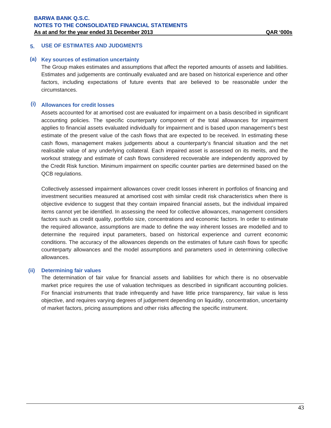### **5. USE OF ESTIMATES AND JUDGMENTS**

#### **(a) Key sources of estimation uncertainty**

The Group makes estimates and assumptions that affect the reported amounts of assets and liabilities. Estimates and judgements are continually evaluated and are based on historical experience and other factors, including expectations of future events that are believed to be reasonable under the circumstances.

### **(i) Allowances for credit losses**

Assets accounted for at amortised cost are evaluated for impairment on a basis described in significant accounting policies. The specific counterparty component of the total allowances for impairment applies to financial assets evaluated individually for impairment and is based upon management's best estimate of the present value of the cash flows that are expected to be received. In estimating these cash flows, management makes judgements about a counterparty's financial situation and the net realisable value of any underlying collateral. Each impaired asset is assessed on its merits, and the workout strategy and estimate of cash flows considered recoverable are independently approved by the Credit Risk function. Minimum impairment on specific counter parties are determined based on the QCB regulations.

Collectively assessed impairment allowances cover credit losses inherent in portfolios of financing and investment securities measured at amortised cost with similar credit risk characteristics when there is objective evidence to suggest that they contain impaired financial assets, but the individual impaired items cannot yet be identified. In assessing the need for collective allowances, management considers factors such as credit quality, portfolio size, concentrations and economic factors. In order to estimate the required allowance, assumptions are made to define the way inherent losses are modelled and to determine the required input parameters, based on historical experience and current economic conditions. The accuracy of the allowances depends on the estimates of future cash flows for specific counterparty allowances and the model assumptions and parameters used in determining collective allowances.

#### **(ii) Determining fair values**

The determination of fair value for financial assets and liabilities for which there is no observable market price requires the use of valuation techniques as described in significant accounting policies. For financial instruments that trade infrequently and have little price transparency, fair value is less objective, and requires varying degrees of judgement depending on liquidity, concentration, uncertainty of market factors, pricing assumptions and other risks affecting the specific instrument.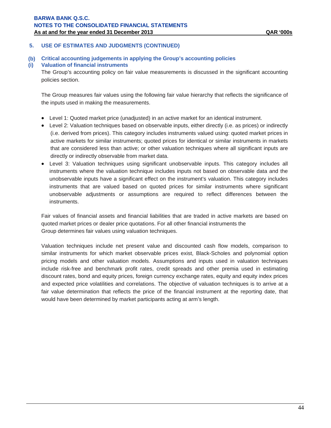### **5. USE OF ESTIMATES AND JUDGMENTS (CONTINUED)**

**(b) Critical accounting judgements in applying the Group's accounting policies** 

### **(i) Valuation of financial instruments**

The Group's accounting policy on fair value measurements is discussed in the significant accounting policies section.

The Group measures fair values using the following fair value hierarchy that reflects the significance of the inputs used in making the measurements.

- Level 1: Quoted market price (unadjusted) in an active market for an identical instrument.
- Level 2: Valuation techniques based on observable inputs, either directly (i.e. as prices) or indirectly (i.e. derived from prices). This category includes instruments valued using: quoted market prices in active markets for similar instruments; quoted prices for identical or similar instruments in markets that are considered less than active; or other valuation techniques where all significant inputs are directly or indirectly observable from market data.
- Level 3: Valuation techniques using significant unobservable inputs. This category includes all instruments where the valuation technique includes inputs not based on observable data and the unobservable inputs have a significant effect on the instrument's valuation. This category includes instruments that are valued based on quoted prices for similar instruments where significant unobservable adjustments or assumptions are required to reflect differences between the instruments.

Fair values of financial assets and financial liabilities that are traded in active markets are based on quoted market prices or dealer price quotations. For all other financial instruments the Group determines fair values using valuation techniques.

Valuation techniques include net present value and discounted cash flow models, comparison to similar instruments for which market observable prices exist, Black-Scholes and polynomial option pricing models and other valuation models. Assumptions and inputs used in valuation techniques include risk-free and benchmark profit rates, credit spreads and other premia used in estimating discount rates, bond and equity prices, foreign currency exchange rates, equity and equity index prices and expected price volatilities and correlations. The objective of valuation techniques is to arrive at a fair value determination that reflects the price of the financial instrument at the reporting date, that would have been determined by market participants acting at arm's length.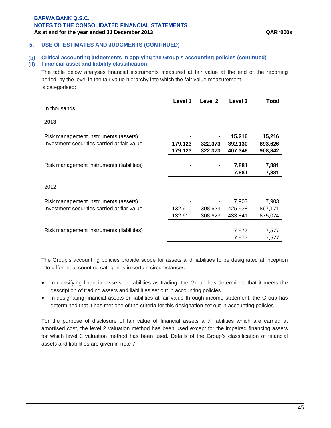### **5. USE OF ESTIMATES AND JUDGMENTS (CONTINUED)**

#### **(b) Critical accounting judgements in applying the Group's accounting policies (continued)**

### **(ii) Financial asset and liability classification**

The table below analyses financial instruments measured at fair value at the end of the reporting period, by the level in the fair value hierarchy into which the fair value measurement is categorised:

| In thousands                                | Level 1 | Level 2 | Level 3 | Total   |
|---------------------------------------------|---------|---------|---------|---------|
| 2013                                        |         |         |         |         |
| Risk management instruments (assets)        |         |         | 15,216  | 15,216  |
| Investment securities carried at fair value | 179,123 | 322,373 | 392,130 | 893,626 |
|                                             | 179,123 | 322,373 | 407,346 | 908,842 |
|                                             |         |         |         |         |
| Risk management instruments (liabilities)   |         |         | 7,881   | 7,881   |
|                                             |         |         | 7,881   | 7,881   |
| 2012                                        |         |         |         |         |
| Risk management instruments (assets)        |         |         | 7,903   | 7,903   |
| Investment securities carried at fiar value | 132,610 | 308,623 | 425,938 | 867,171 |
|                                             | 132,610 | 308,623 | 433,841 | 875,074 |
|                                             |         |         |         |         |
| Risk management instruments (liabilities)   |         |         | 7,577   | 7,577   |
|                                             |         |         | 7,577   | 7,577   |

The Group's accounting policies provide scope for assets and liabilities to be designated at inception into different accounting categories in certain circumstances:

- in classifying financial assets or liabilities as trading, the Group has determined that it meets the description of trading assets and liabilities set out in accounting policies.
- in designating financial assets or liabilities at fair value through income statement, the Group has determined that it has met one of the criteria for this designation set out in accounting policies.

For the purpose of disclosure of fair value of financial assets and liabilities which are carried at amortised cost, the level 2 valuation method has been used except for the impaired financing assets for which level 3 valuation method has been used. Details of the Group's classification of financial assets and liabilities are given in note 7.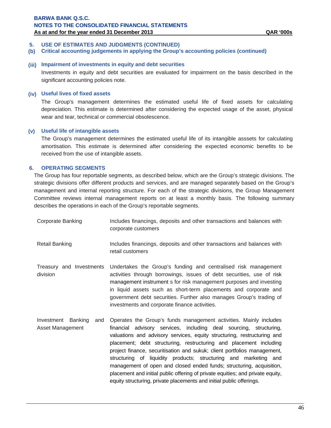### **5. USE OF ESTIMATES AND JUDGMENTS (CONTINUED)**

**(b) Critical accounting judgements in applying the Group's accounting policies (continued)**

### **(iii) Impairment of investments in equity and debt securities**

Investments in equity and debt securities are evaluated for impairment on the basis described in the significant accounting policies note.

#### **(iv) Useful lives of fixed assets**

The Group's management determines the estimated useful life of fixed assets for calculating depreciation. This estimate is determined after considering the expected usage of the asset, physical wear and tear, technical or commercial obsolescence.

#### **(v) Useful life of intangible assets**

 The Group's management determines the estimated useful life of its intangible asssets for calculating amortisation. This estimate is determined after considering the expected economic benefits to be received from the use of intangible assets.

### **6. OPERATING SEGMENTS**

The Group has four reportable segments, as described below, which are the Group's strategic divisions. The strategic divisions offer different products and services, and are managed separately based on the Group's management and internal reporting structure. For each of the strategic divisions, the Group Management Committee reviews internal management reports on at least a monthly basis. The following summary describes the operations in each of the Group's reportable segments.

| Corporate Banking | Includes financings, deposits and other transactions and balances with<br>corporate customers |
|-------------------|-----------------------------------------------------------------------------------------------|
| Dotail Donking    | Ingludes financings, depecits and other transpotions and belances with                        |

- Retail Banking The Includes financings, deposits and other transactions and balances with retail customers
- Treasury and Investments division Undertakes the Group's funding and centralised risk management activities through borrowings, issues of debt securities, use of risk management instrument s for risk management purposes and investing in liquid assets such as short-term placements and corporate and government debt securities. Further also manages Group's trading of investments and corporate finance activities.
- Investment Banking and Asset Management Operates the Group's funds management activities. Mainly includes financial advisory services, including deal sourcing, structuring, valuations and advisory services, equity structuring, restructuring and placement; debt structuring, restructuring and placement including project finance, securitisation and sukuk; client portfolios management, structuring of liquidity products; structuring and marketing and management of open and closed ended funds; structuring, acquisition, placement and initial public offering of private equities; and private equity, equity structuring, private placements and initial public offerings.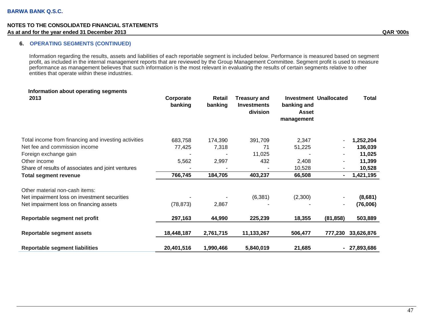### **6. OPERATING SEGMENTS (CONTINUED)**

Information regarding the results, assets and liabilities of each reportable segment is included below. Performance is measured based on segment profit, as included in the internal management reports that are reviewed by the Group Management Committee. Segment profit is used to measure performance as management believes that such information is the most relevant in evaluating the results of certain segments relative to other entities that operate within these industries.

| Information about operating segments<br>2013         | Corporate<br>banking | Retail<br>banking | <b>Treasury and</b><br><b>Investments</b><br>division | banking and<br>Asset<br>management | <b>Investment Unallocated</b> | <b>Total</b> |
|------------------------------------------------------|----------------------|-------------------|-------------------------------------------------------|------------------------------------|-------------------------------|--------------|
| Total income from financing and investing activities | 683,758              | 174,390           | 391,709                                               | 2,347                              |                               | 1,252,204    |
| Net fee and commission income                        | 77,425               | 7,318             | 71                                                    | 51,225                             | $\blacksquare$                | 136,039      |
| Foreign exchange gain                                |                      |                   | 11,025                                                |                                    |                               | 11,025       |
| Other income                                         | 5,562                | 2,997             | 432                                                   | 2,408                              |                               | 11,399       |
| Share of results of associates and joint ventures    |                      |                   |                                                       | 10,528                             |                               | 10,528       |
| <b>Total segment revenue</b>                         | 766,745              | 184,705           | 403,237                                               | 66,508                             | $\blacksquare$                | 1,421,195    |
| Other material non-cash items:                       |                      |                   |                                                       |                                    |                               |              |
| Net impairment loss on investment securities         |                      |                   | (6, 381)                                              | (2,300)                            |                               | (8,681)      |
| Net impairment loss on financing assets              | (78, 873)            | 2,867             |                                                       |                                    |                               | (76,006)     |
| Reportable segment net profit                        | 297,163              | 44,990            | 225,239                                               | 18,355                             | (81, 858)                     | 503,889      |
| <b>Reportable segment assets</b>                     | 18,448,187           | 2,761,715         | 11,133,267                                            | 506,477                            | 777,230                       | 33,626,876   |
| <b>Reportable segment liabilities</b>                | 20,401,516           | 1,990,466         | 5,840,019                                             | 21,685                             | $\blacksquare$                | 27,893,686   |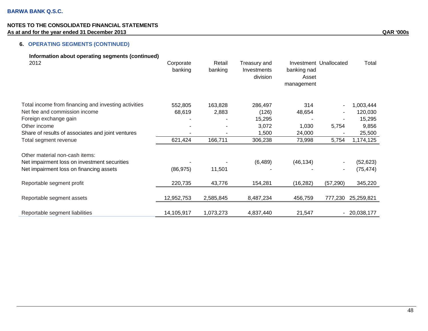# **6. OPERATING SEGMENTS (CONTINUED)**

| Information about operating segments (continued)<br>2012 | Corporate<br>banking | Retail<br>banking | Treasury and<br>Investments<br>division | banking nad<br>Asset<br>management | Investment Unallocated | Total         |
|----------------------------------------------------------|----------------------|-------------------|-----------------------------------------|------------------------------------|------------------------|---------------|
| Total income from financing and investing activities     | 552,805              | 163,828           | 286,497                                 | 314                                |                        | 1,003,444     |
| Net fee and commission income                            | 68,619               | 2,883             | (126)                                   | 48,654                             |                        | 120,030       |
| Foreign exchange gain                                    |                      |                   | 15,295                                  |                                    |                        | 15,295        |
| Other income                                             |                      |                   | 3,072                                   | 1,030                              | 5,754                  | 9,856         |
| Share of results of associates and joint ventures        |                      |                   | 1,500                                   | 24,000                             |                        | 25,500        |
| Total segment revenue                                    | 621,424              | 166,711           | 306,238                                 | 73,998                             | 5,754                  | 1,174,125     |
| Other material non-cash items:                           |                      |                   |                                         |                                    |                        |               |
| Net impairment loss on investment securities             |                      |                   | (6, 489)                                | (46, 134)                          |                        | (52, 623)     |
| Net impairment loss on financing assets                  | (86, 975)            | 11,501            |                                         |                                    |                        | (75, 474)     |
| Reportable segment profit                                | 220,735              | 43,776            | 154,281                                 | (16, 282)                          | (57, 290)              | 345,220       |
| Reportable segment assets                                | 12,952,753           | 2,585,845         | 8,487,234                               | 456,759                            | 777,230                | 25,259,821    |
| Reportable segment liabilities                           | 14,105,917           | 1,073,273         | 4,837,440                               | 21,547                             |                        | $-20,038,177$ |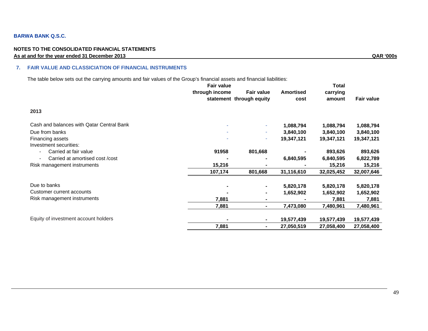### **BARWA BANK Q.S.C.**

#### **NOTES TO THE CONSOLIDATED FINANCIAL STATEMENTS As at and for the year ended 31 December 2013 QAR '000s**

#### **7. FAIR VALUE AND CLASSICIATION OF FINANCIAL INSTRUMENTS**

The table below sets out the carrying amounts and fair values of the Group's financial assets and financial liabilities:

|                                           | <b>Fair value</b> |                          |                  | Total      |                   |
|-------------------------------------------|-------------------|--------------------------|------------------|------------|-------------------|
|                                           | through income    | <b>Fair value</b>        | <b>Amortised</b> | carrying   |                   |
|                                           |                   | statement through equity | cost             | amount     | <b>Fair value</b> |
| 2013                                      |                   |                          |                  |            |                   |
| Cash and balances with Qatar Central Bank |                   | ٠                        | 1,088,794        | 1,088,794  | 1,088,794         |
| Due from banks                            |                   | ٠                        | 3,840,100        | 3,840,100  | 3,840,100         |
| Financing assets                          |                   | ٠                        | 19,347,121       | 19,347,121 | 19,347,121        |
| Investment securities:                    |                   |                          |                  |            |                   |
| Carried at fair value                     | 91958             | 801,668                  |                  | 893,626    | 893,626           |
| Carried at amortised cost /cost           |                   | $\blacksquare$           | 6,840,595        | 6,840,595  | 6,822,789         |
| Risk management instruments               | 15,216            |                          |                  | 15,216     | 15,216            |
|                                           | 107,174           | 801,668                  | 31,116,610       | 32,025,452 | 32,007,646        |
| Due to banks                              |                   | ٠                        | 5,820,178        | 5,820,178  | 5,820,178         |
| Customer current accounts                 |                   | ۰.                       | 1,652,902        | 1,652,902  | 1,652,902         |
| Risk management instruments               | 7,881             | ۰                        |                  | 7,881      | 7,881             |
|                                           | 7,881             | ۰                        | 7,473,080        | 7,480,961  | 7,480,961         |
| Equity of investment account holders      |                   | ٠                        | 19,577,439       | 19,577,439 | 19,577,439        |
|                                           | 7,881             | ۰.                       | 27,050,519       | 27,058,400 | 27,058,400        |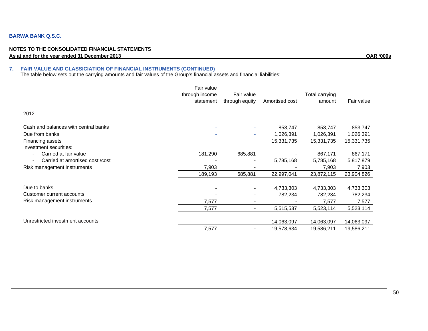#### **BARWA BANK Q.S.C.**

#### **NOTES TO THE CONSOLIDATED FINANCIAL STATEMENTS As at and for the year ended 31 December 2013 QAR '000s**

#### **7. FAIR VALUE AND CLASSICIATION OF FINANCIAL INSTRUMENTS (CONTINUED)**

The table below sets out the carrying amounts and fair values of the Group's financial assets and financial liabilities:

|                                            | Fair value<br>through income<br>statement | Fair value<br>through equity | Amortised cost | <b>Total carrying</b><br>amount | Fair value |
|--------------------------------------------|-------------------------------------------|------------------------------|----------------|---------------------------------|------------|
| 2012                                       |                                           |                              |                |                                 |            |
| Cash and balances with central banks       |                                           |                              | 853,747        | 853,747                         | 853,747    |
| Due from banks                             |                                           | $\overline{\phantom{a}}$     | 1,026,391      | 1,026,391                       | 1,026,391  |
| Financing assets<br>Investment securities: |                                           | ٠                            | 15,331,735     | 15,331,735                      | 15,331,735 |
| Carried at fair value                      | 181,290                                   | 685,881                      |                | 867,171                         | 867,171    |
| Carried at amortised cost /cost            |                                           |                              | 5,785,168      | 5,785,168                       | 5,817,879  |
| Risk management instruments                | 7,903                                     |                              |                | 7,903                           | 7,903      |
|                                            | 189,193                                   | 685,881                      | 22,997,041     | 23,872,115                      | 23,904,826 |
| Due to banks                               |                                           | $\blacksquare$               | 4,733,303      | 4,733,303                       | 4,733,303  |
| Customer current accounts                  |                                           |                              | 782,234        | 782,234                         | 782,234    |
| Risk management instruments                | 7,577                                     |                              |                | 7,577                           | 7,577      |
|                                            | 7,577                                     | $\overline{\phantom{0}}$     | 5,515,537      | 5,523,114                       | 5,523,114  |
| Unrestricted investment accounts           | $\overline{\phantom{a}}$                  |                              | 14,063,097     | 14,063,097                      | 14,063,097 |
|                                            | 7,577                                     |                              | 19,578,634     | 19,586,211                      | 19,586,211 |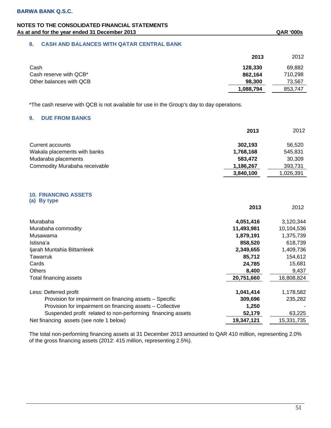### **8. CASH AND BALANCES WITH QATAR CENTRAL BANK**

|                         | 2013      | 2012    |
|-------------------------|-----------|---------|
| Cash                    | 128,330   | 69,882  |
| Cash reserve with QCB*  | 862,164   | 710.298 |
| Other balances with QCB | 98,300    | 73,567  |
|                         | 1,088,794 | 853,747 |

\*The cash reserve with QCB is not available for use in the Group's day to day operations.

### **9. DUE FROM BANKS**

|                               | 2013      | 2012      |
|-------------------------------|-----------|-----------|
| Current accounts              | 302.193   | 56.520    |
| Wakala placements with banks  | 1,768,168 | 545.831   |
| Mudaraba placements           | 583,472   | 30,309    |
| Commodity Murabaha receivable | 1,186,267 | 393,731   |
|                               | 3,840,100 | 1,026,391 |

#### **10. FINANCING ASSETS (a) By type**

|                                                             | 2013       | 2012       |
|-------------------------------------------------------------|------------|------------|
| Murabaha                                                    | 4,051,416  | 3,120,344  |
| Murabaha commodity                                          | 11,493,981 | 10,104,536 |
| Musawama                                                    | 1,879,191  | 1,375,739  |
| Istisna'a                                                   | 858,520    | 618,739    |
| Ijarah Muntahia Bittamleek                                  | 2,349,655  | 1,409,736  |
| Tawarruk                                                    | 85,712     | 154,612    |
| Cards                                                       | 24,785     | 15,681     |
| <b>Others</b>                                               | 8,400      | 9,437      |
| Total financing assets                                      | 20,751,660 | 16,808,824 |
| Less: Deferred profit                                       | 1,041,414  | 1,178,582  |
| Provision for impairment on financing assets - Specific     | 309,696    | 235,282    |
| Provision for impairment on financing assets – Collective   | 1,250      |            |
| Suspended profit related to non-performing financing assets | 52,179     | 63,225     |
| Net financing assets (see note 1 below)                     | 19,347,121 | 15,331,735 |

The total non-performing financing assets at 31 December 2013 amounted to QAR 410 million, representing 2.0% of the gross financing assets (2012: 415 million, representing 2.5%).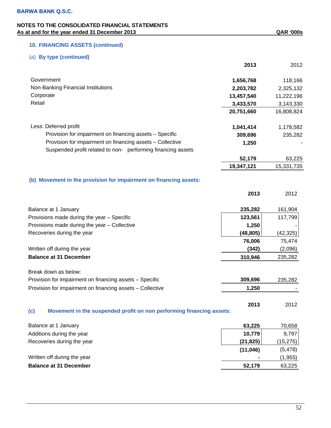# **10. FINANCING ASSETS (continued)**

# (a) **By type (continued)**

|                                                                   | 2013       | 2012       |
|-------------------------------------------------------------------|------------|------------|
| Government                                                        | 1,656,768  | 118,166    |
| Non-Banking Financial Institutions                                | 2,203,782  | 2,325,132  |
| Corporate                                                         | 13,457,540 | 11,222,196 |
| Retail                                                            | 3,433,570  | 3,143,330  |
|                                                                   | 20,751,660 | 16,808,824 |
| Less: Deferred profit                                             | 1,041,414  | 1,178,582  |
| Provision for impairment on financing assets - Specific           | 309,696    | 235,282    |
| Provision for impairment on financing assets - Collective         | 1,250      |            |
| Suspended profit related to non- performing financing assets      |            |            |
|                                                                   | 52,179     | 63,225     |
|                                                                   | 19,347,121 | 15,331,735 |
| (b) Movement in the provision for impairment on financing assets: |            |            |
|                                                                   | 2013       | 2012       |
| Balance at 1 January                                              | 235,282    | 161,904    |
| Provisions made during the year - Specific                        | 123,561    | 117,799    |
| Provisions made during the year - Collective                      | 1,250      |            |
| Recoveries during the year                                        | (48,805)   | (42, 325)  |
|                                                                   | 76,006     | 75,474     |
| Written off during the year                                       | (342)      | (2,096)    |
|                                                                   |            |            |

**Balance at 31 December 310,946** 235,282

Break down as below:

| Provision for impairment on financing assets - Specific   | 309.696 | 235,282 |
|-----------------------------------------------------------|---------|---------|
| Provision for impairment on financing assets - Collective | 1.250   |         |

**2013** 2012 **(c) Movement in the suspended profit on non performing financing assets:** 

| Balance at 1 January          | 63.225    | 70,658    |
|-------------------------------|-----------|-----------|
| Additions during the year     | 10,779    | 9,797     |
| Recoveries during the year    | (21, 825) | (15, 275) |
|                               | (11, 046) | (5, 478)  |
| Written off during the year   |           | (1,955)   |
| <b>Balance at 31 December</b> | 52,179    | 63,225    |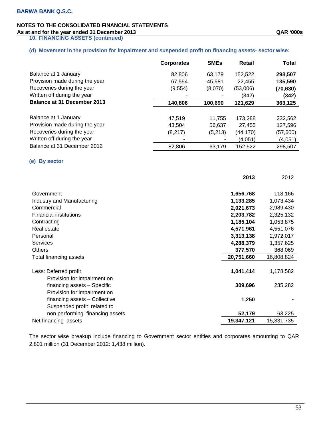**10. FINANCING ASSETS (continued)** 

# **(d) Movement in the provision for impairment and suspended profit on financing assets- sector wise:**

|                                    | <b>Corporates</b> | <b>SMEs</b> | Retail    | <b>Total</b> |
|------------------------------------|-------------------|-------------|-----------|--------------|
| Balance at 1 January               | 82,806            | 63,179      | 152,522   | 298,507      |
| Provision made during the year     | 67.554            | 45.581      | 22,455    | 135,590      |
| Recoveries during the year         | (9, 554)          | (8,070)     | (53,006)  | (70, 630)    |
| Written off during the year        |                   |             | (342)     | (342)        |
| <b>Balance at 31 December 2013</b> | 140,806           | 100,690     | 121,629   | 363,125      |
|                                    |                   |             |           |              |
| Balance at 1 January               | 47.519            | 11.755      | 173,288   | 232,562      |
| Provision made during the year     | 43.504            | 56.637      | 27,455    | 127,596      |
| Recoveries during the year         | (8,217)           | (5,213)     | (44, 170) | (57,600)     |
| Written off during the year        |                   |             | (4,051)   | (4,051)      |
| Balance at 31 December 2012        | 82,806            | 63,179      | 152,522   | 298,507      |

### **(e) By sector**

|                                                              | 2013       | 2012       |
|--------------------------------------------------------------|------------|------------|
| Government                                                   | 1,656,768  | 118,166    |
| Industry and Manufacturing                                   | 1,133,285  | 1,073,434  |
| Commercial                                                   | 2,021,673  | 2,989,430  |
| <b>Financial institutions</b>                                | 2,203,782  | 2,325,132  |
| Contracting                                                  | 1,185,104  | 1,053,875  |
| Real estate                                                  | 4,571,961  | 4,551,076  |
| Personal                                                     | 3,313,138  | 2,972,017  |
| <b>Services</b>                                              | 4,288,379  | 1,357,625  |
| <b>Others</b>                                                | 377,570    | 368,069    |
| Total financing assets                                       | 20,751,660 | 16,808,824 |
| Less: Deferred profit<br>Provision for impairment on         | 1,041,414  | 1,178,582  |
| financing assets - Specific<br>Provision for impairment on   | 309,696    | 235,282    |
| financing assets - Collective<br>Suspended profit related to | 1,250      |            |
| non performing financing assets                              | 52,179     | 63,225     |
| Net financing assets                                         | 19,347,121 | 15,331,735 |

The sector wise breakup include financing to Government sector entities and corporates amounting to QAR 2,801 million (31 December 2012: 1,438 million).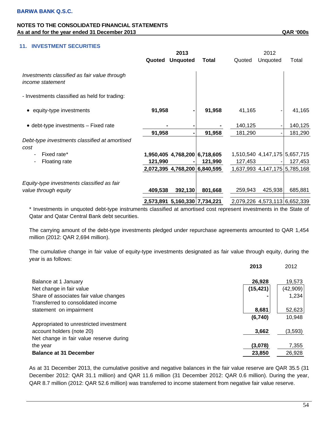# **11. INVESTMENT SECURITIES**

|                                                                         | 2013    |                               |              |         | 2012                          |                               |  |
|-------------------------------------------------------------------------|---------|-------------------------------|--------------|---------|-------------------------------|-------------------------------|--|
|                                                                         | Quoted  | <b>Unquoted</b>               | <b>Total</b> | Quoted  | Unquoted                      | Total                         |  |
| Investments classified as fair value through<br><i>income statement</i> |         |                               |              |         |                               |                               |  |
| - Investments classified as held for trading:                           |         |                               |              |         |                               |                               |  |
| • equity-type investments                                               | 91,958  |                               | 91,958       | 41,165  |                               | 41,165                        |  |
| $\bullet$ debt-type investments $-$ Fixed rate                          |         |                               |              | 140,125 |                               | 140,125                       |  |
|                                                                         | 91,958  | $\blacksquare$                | 91,958       | 181,290 |                               | 181,290                       |  |
| Debt-type investments classified at amortised<br>cost                   |         |                               |              |         |                               |                               |  |
| Fixed rate*<br>٠                                                        |         | 1,950,405 4,768,200 6,718,605 |              |         |                               | 1,510,540 4,147,175 5,657,715 |  |
| Floating rate                                                           | 121,990 |                               | 121,990      | 127,453 |                               | 127,453                       |  |
|                                                                         |         | 2,072,395 4,768,200 6,840,595 |              |         |                               | 1,637,993 4,147,175 5,785,168 |  |
| Equity-type investments classified as fair                              |         |                               |              |         |                               |                               |  |
| value through equity                                                    | 409,538 | 392,130                       | 801,668      | 259,943 | 425,938                       | 685,881                       |  |
|                                                                         |         | 2,573,891 5,160,330 7,734,221 |              |         | 2,079,226 4,573,113 6,652,339 |                               |  |

\* Investments in unquoted debt-type instruments classified at amortised cost represent investments in the State of Qatar and Qatar Central Bank debt securities.

The carrying amount of the debt-type investments pledged under repurchase agreements amounted to QAR 1,454 million (2012: QAR 2,694 million).

The cumulative change in fair value of equity-type investments designated as fair value through equity, during the year is as follows:

|                                                               | 2013      | 2012     |
|---------------------------------------------------------------|-----------|----------|
| Balance at 1 January                                          | 26,928    | 19,573   |
| Net change in fair value                                      | (15, 421) | (42,909) |
| Share of associates fair value changes                        |           | 1,234    |
| Transferred to consolidated income<br>statement on impairment | 8,681     | 52,623   |
|                                                               | (6,740)   | 10,948   |
| Appropriated to unrestricted investment                       |           |          |
| account holders (note 20)                                     | 3,662     | (3,593)  |
| Net change in fair value reserve during<br>the year           | (3.078)   | 7,355    |
| <b>Balance at 31 December</b>                                 | 23,850    | 26,928   |

As at 31 December 2013, the cumulative positive and negative balances in the fair value reserve are QAR 35.5 (31 December 2012: QAR 31.1 million) and QAR 11.6 million (31 December 2012: QAR 0.6 million). During the year, QAR 8.7 million (2012: QAR 52.6 million) was transferred to income statement from negative fair value reserve.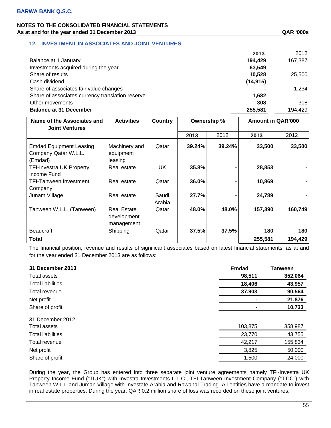# **12. INVESTMENT IN ASSOCIATES AND JOINT VENTURES**

|                                                  | 2013      | 2012    |
|--------------------------------------------------|-----------|---------|
| Balance at 1 January                             | 194,429   | 167,387 |
| Investments acquired during the year             | 63,549    |         |
| Share of results                                 | 10,528    | 25,500  |
| Cash dividend                                    | (14, 915) |         |
| Share of associates fair value changes           |           | 1.234   |
| Share of associates currency translation reserve | 1,682     |         |
| Other movements                                  | 308       | 308     |
| <b>Balance at 31 December</b>                    | 255,581   | 194,429 |

| Name of the Associates and<br><b>Joint Ventures</b>               | <b>Activities</b>                               | <b>Country</b>  | Ownership % |        | <b>Amount in QAR'000</b> |         |
|-------------------------------------------------------------------|-------------------------------------------------|-----------------|-------------|--------|--------------------------|---------|
|                                                                   |                                                 |                 | 2013        | 2012   | 2013                     | 2012    |
| <b>Emdad Equipment Leasing</b><br>Company Qatar W.L.L.<br>(Emdad) | Machinery and<br>equipment<br>leasing           | Qatar           | 39.24%      | 39.24% | 33,500                   | 33,500  |
| <b>TFI-Investra UK Property</b>                                   | Real estate                                     | UK              | 35.8%       |        | 28,853                   |         |
| Income Fund<br><b>TFI-Tanween Investment</b><br>Company           | Real estate                                     | Qatar           | 36.0%       |        | 10,869                   |         |
| Junam Village                                                     | Real estate                                     | Saudi<br>Arabia | 27.7%       |        | 24,789                   |         |
| Tanween W.L.L. (Tanween)                                          | <b>Real Estate</b><br>development<br>management | Qatar           | 48.0%       | 48.0%  | 157,390                  | 160,749 |
| <b>Beaucraft</b>                                                  | Shipping                                        | Qatar           | 37.5%       | 37.5%  | 180                      | 180     |
| Total                                                             |                                                 |                 |             |        | 255,581                  | 194,429 |

The financial position, revenue and results of significant associates based on latest financial statements, as at and for the year ended 31 December 2013 are as follows:

| 31 December 2013         | <b>Emdad</b> | <b>Tanween</b> |
|--------------------------|--------------|----------------|
| Total assets             | 98,511       | 352,064        |
| <b>Total liabilities</b> | 18,406       | 43,957         |
| Total revenue            | 37,903       | 90,564         |
| Net profit               |              | 21,876         |
| Share of profit          |              | 10,733         |
| 31 December 2012         |              |                |
| Total assets             | 103,875      | 358,987        |
| <b>Total liabilities</b> | 23,770       | 43,755         |
| Total revenue            | 42,217       | 155,834        |
| Net profit               | 3,825        | 50,000         |
| Share of profit          | 1,500        | 24,000         |

During the year, the Group has entered into three separate joint venture agreements namely TFI-Investra UK Property Income Fund ("TIUK") with Investra Investments L.L.C., TFI-Tanween Investment Company ("TTIC") with Tanween W.L.L and Juman Village with Investate Arabia and Rawahal Trading. All entities have a mandate to invest in real estate properties. During the year, QAR 0.2 million share of loss was recorded on these joint ventures.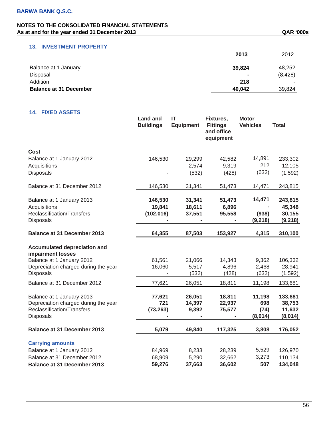### **13. INVESTMENT PROPERTY**

|                               | 2013   | 2012     |
|-------------------------------|--------|----------|
| Balance at 1 January          | 39,824 | 48,252   |
| Disposal                      |        | (8, 428) |
| Addition                      | 218    | -        |
| <b>Balance at 31 December</b> | 40,042 | 39,824   |

# **14. FIXED ASSETS**

|                                                          | <b>Land and</b><br><b>Buildings</b> | IT<br><b>Equipment</b> | Fixtures,<br><b>Fittings</b><br>and office<br>equipment | <b>Motor</b><br><b>Vehicles</b> | <b>Total</b> |
|----------------------------------------------------------|-------------------------------------|------------------------|---------------------------------------------------------|---------------------------------|--------------|
| Cost                                                     |                                     |                        |                                                         |                                 |              |
| Balance at 1 January 2012                                | 146,530                             | 29,299                 | 42,582                                                  | 14,891                          | 233,302      |
| Acquisitions                                             |                                     | 2,574                  | 9,319                                                   | 212                             | 12,105       |
| <b>Disposals</b>                                         |                                     | (532)                  | (428)                                                   | (632)                           | (1, 592)     |
| Balance at 31 December 2012                              | 146,530                             | 31,341                 | 51,473                                                  | 14,471                          | 243,815      |
| Balance at 1 January 2013                                | 146,530                             | 31,341                 | 51,473                                                  | 14,471                          | 243,815      |
| Acquisitions                                             | 19,841                              | 18,611                 | 6,896                                                   |                                 | 45,348       |
| Reclassification/Transfers                               | (102, 016)                          | 37,551                 | 95,558                                                  | (938)                           | 30,155       |
| Disposals                                                |                                     |                        |                                                         | (9, 218)                        | (9, 218)     |
| <b>Balance at 31 December 2013</b>                       | 64,355                              | 87,503                 | 153,927                                                 | 4,315                           | 310,100      |
| <b>Accumulated depreciation and</b><br>impairment losses |                                     |                        |                                                         |                                 |              |
| Balance at 1 January 2012                                | 61,561                              | 21,066                 | 14,343                                                  | 9,362                           | 106,332      |
| Depreciation charged during the year                     | 16,060                              | 5,517                  | 4,896                                                   | 2,468                           | 28,941       |
| Disposals                                                |                                     | (532)                  | (428)                                                   | (632)                           | (1, 592)     |
| Balance at 31 December 2012                              | 77,621                              | 26,051                 | 18,811                                                  | 11,198                          | 133,681      |
| Balance at 1 January 2013                                | 77,621                              | 26,051                 | 18,811                                                  | 11,198                          | 133,681      |
| Depreciation charged during the year                     | 721                                 | 14,397                 | 22,937                                                  | 698                             | 38,753       |
| Reclassification/Transfers                               | (73, 263)                           | 9,392                  | 75,577                                                  | (74)                            | 11,632       |
| Disposals                                                |                                     |                        |                                                         | (8,014)                         | (8,014)      |
| <b>Balance at 31 December 2013</b>                       | 5,079                               | 49,840                 | 117,325                                                 | 3,808                           | 176,052      |
| <b>Carrying amounts</b>                                  |                                     |                        |                                                         |                                 |              |
| Balance at 1 January 2012                                | 84,969                              | 8,233                  | 28,239                                                  | 5,529                           | 126,970      |
| Balance at 31 December 2012                              | 68,909                              | 5,290                  | 32,662                                                  | 3,273                           | 110,134      |
| <b>Balance at 31 December 2013</b>                       | 59,276                              | 37,663                 | 36,602                                                  | 507                             | 134,048      |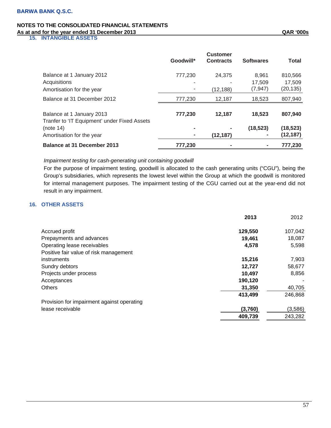**15. INTANGIBLE ASSETS** 

|                                                                           | Goodwill*      | <b>Customer</b><br><b>Contracts</b> | <b>Softwares</b> | Total     |
|---------------------------------------------------------------------------|----------------|-------------------------------------|------------------|-----------|
| Balance at 1 January 2012                                                 | 777,230        | 24.375                              | 8,961            | 810,566   |
| Acquisitions                                                              | -              |                                     | 17.509           | 17,509    |
| Amortisation for the year                                                 |                | (12,188)                            | (7, 947)         | (20, 135) |
| Balance at 31 December 2012                                               | 777,230        | 12,187                              | 18,523           | 807,940   |
| Balance at 1 January 2013<br>Tranfer to 'IT Equipment' under Fixed Assets | 777,230        | 12,187                              | 18.523           | 807,940   |
| (note 14)                                                                 | $\blacksquare$ |                                     | (18, 523)        | (18, 523) |
| Amortisation for the year                                                 |                | (12, 187)                           |                  | (12, 187) |
| <b>Balance at 31 December 2013</b>                                        | 777,230        |                                     |                  | 777.230   |

### *Impairment testing for cash-generating unit containing goodwill*

For the purpose of impairment testing, goodwill is allocated to the cash generating units ("CGU"), being the Group's subsidiaries, which represents the lowest level within the Group at which the goodwill is monitored for internal management purposes. The impairment testing of the CGU carried out at the year-end did not result in any impairment.

### **16. OTHER ASSETS**

|                                            | 2013    | 2012    |
|--------------------------------------------|---------|---------|
| Accrued profit                             | 129,550 | 107,042 |
| Prepayments and advances                   | 19,461  | 18,087  |
| Operating lease receivables                | 4,578   | 5,598   |
| Positive fair value of risk management     |         |         |
| instruments                                | 15,216  | 7,903   |
| Sundry debtors                             | 12,727  | 58,677  |
| Projects under process                     | 10,497  | 8,856   |
| Acceptances                                | 190,120 |         |
| <b>Others</b>                              | 31,350  | 40,705  |
|                                            | 413,499 | 246,868 |
| Provision for impairment against operating |         |         |
| lease receivable                           | (3,760) | (3,586) |
|                                            | 409,739 | 243,282 |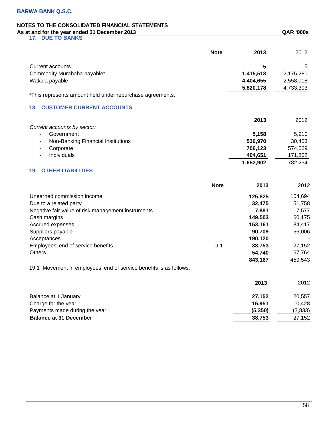**17. DUE TO BANKS** 

|                                                                    | <b>Note</b> | 2013      | 2012      |
|--------------------------------------------------------------------|-------------|-----------|-----------|
| <b>Current accounts</b>                                            |             | 5         | 5         |
| Commodity Murabaha payable*                                        |             | 1,415,518 | 2,175,280 |
| Wakala payable                                                     |             | 4,404,655 | 2,558,018 |
|                                                                    |             | 5,820,178 | 4,733,303 |
| *This represents amount held under repurchase agreements.          |             |           |           |
| <b>18. CUSTOMER CURRENT ACCOUNTS</b>                               |             |           |           |
|                                                                    |             | 2013      | 2012      |
| Current accounts by sector:                                        |             |           |           |
| Government<br>$\overline{\phantom{0}}$                             |             | 5,158     | 5,910     |
| Non-Banking Financial Institutions<br>÷,                           |             | 536,970   | 30,453    |
| Corporate<br>÷,                                                    |             | 706,123   | 574,069   |
| Individuals<br>۰                                                   |             | 404,651   | 171,802   |
|                                                                    |             | 1,652,902 | 782,234   |
| <b>OTHER LIABILITIES</b><br>19.                                    |             |           |           |
|                                                                    | <b>Note</b> | 2013      | 2012      |
| Unearned commission income                                         |             | 125,825   | 104,694   |
| Due to a related party                                             |             | 32,475    | 51,758    |
| Negative fair value of risk management instruments                 |             | 7,881     | 7,577     |
| Cash margins                                                       |             | 149,503   | 60,175    |
| Accrued expenses                                                   |             | 153,161   | 84,417    |
| Suppliers payable                                                  |             | 90,709    | 56,006    |
| Acceptances                                                        |             | 190,120   |           |
| Employees' end of service benefits                                 | 19.1        | 38,753    | 27,152    |
| <b>Others</b>                                                      |             | 54,740    | 67,764    |
|                                                                    |             | 843,167   | 459,543   |
| 19.1 Movement in employees' end of service benefits is as follows: |             |           |           |
|                                                                    |             | 2013      | 2012      |
| Balance at 1 January                                               |             | 27,152    | 20,557    |
| Charge for the year                                                |             | 16,951    | 10,428    |
| Payments made during the year                                      |             | (5, 350)  | (3, 833)  |
| <b>Balance at 31 December</b>                                      |             | 38,753    | 27,152    |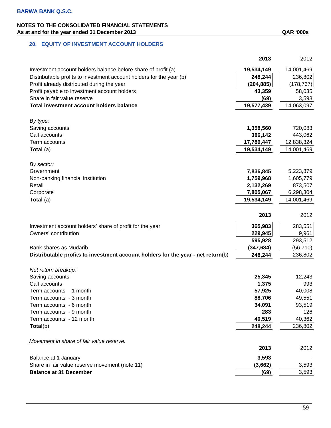|                                                                                  | 2013       | 2012       |
|----------------------------------------------------------------------------------|------------|------------|
| Investment account holders balance before share of profit (a)                    | 19,534,149 | 14,001,469 |
| Distributable profits to investment account holders for the year (b)             | 248,244    | 236,802    |
| Profit already distributed during the year                                       | (204, 885) | (178, 767) |
| Profit payable to investment account holders                                     | 43,359     | 58,035     |
| Share in fair value reserve                                                      | (69)       | 3,593      |
| Total investment account holders balance                                         | 19,577,439 | 14,063,097 |
| By type:                                                                         |            |            |
| Saving accounts                                                                  | 1,358,560  | 720,083    |
| Call accounts                                                                    | 386,142    | 443,062    |
| Term accounts                                                                    | 17,789,447 | 12,838,324 |
| Total (a)                                                                        | 19,534,149 | 14,001,469 |
| By sector:                                                                       |            |            |
| Government                                                                       | 7,836,845  | 5,223,879  |
| Non-banking financial institution                                                | 1,759,968  | 1,605,779  |
| Retail                                                                           | 2,132,269  | 873,507    |
| Corporate                                                                        | 7,805,067  | 6,298,304  |
| Total (a)                                                                        | 19,534,149 | 14,001,469 |
|                                                                                  |            |            |
|                                                                                  | 2013       | 2012       |
| Investment account holders' share of profit for the year                         | 365,983    | 283,551    |
| Owners' contribution                                                             | 229,945    | 9,961      |
|                                                                                  | 595,928    | 293,512    |
| Bank shares as Mudarib                                                           | (347, 684) | (56, 710)  |
| Distributable profits to investment account holders for the year - net return(b) | 248,244    | 236,802    |
| Net return breakup:                                                              |            |            |
| Saving accounts                                                                  | 25,345     | 12,243     |
| Call accounts                                                                    | 1,375      | 993        |
| Term accounts - 1 month                                                          | 57,925     | 40,008     |
| Term accounts - 3 month                                                          | 88,706     | 49,551     |
| Term accounts - 6 month                                                          | 34,091     | 93,519     |
| Term accounts - 9 month                                                          | 283        | 126        |
| Term accounts - 12 month                                                         | 40,519     | 40,362     |
| Total(b)                                                                         | 248,244    | 236,802    |
| Movement in share of fair value reserve:                                         |            |            |
|                                                                                  | 2013       | 2012       |
| Balance at 1 January                                                             | 3,593      |            |
| Share in fair value reserve movement (note 11)                                   | (3,662)    | 3,593      |

59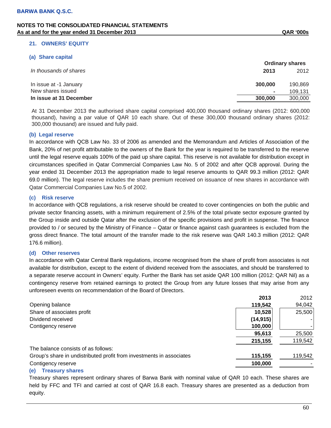### **21. OWNERS' EQUITY**

### **(a) Share capital**

|                         |         | <b>Ordinary shares</b> |
|-------------------------|---------|------------------------|
| In thousands of shares  | 2013    | 2012                   |
| In issue at -1 January  | 300,000 | 190.869                |
| New shares issued       | ۰       | 109.131                |
| In issue at 31 December | 300,000 | 300,000                |

At 31 December 2013 the authorised share capital comprised 400,000 thousand ordinary shares (2012: 600,000 thousand), having a par value of QAR 10 each share. Out of these 300,000 thousand ordinary shares (2012: 300,000 thousand) are issued and fully paid.

### **(b) Legal reserve**

In accordance with QCB Law No. 33 of 2006 as amended and the Memorandum and Articles of Association of the Bank, 20% of net profit attributable to the owners of the Bank for the year is required to be transferred to the reserve until the legal reserve equals 100% of the paid up share capital. This reserve is not available for distribution except in circumstances specified in Qatar Commercial Companies Law No. 5 of 2002 and after QCB approval. During the year ended 31 December 2013 the appropriation made to legal reserve amounts to QAR 99.3 million (2012: QAR 69.0 million). The legal reserve includes the share premium received on issuance of new shares in accordance with Qatar Commercial Companies Law No.5 of 2002.

### **(c) Risk reserve**

In accordance with QCB regulations, a risk reserve should be created to cover contingencies on both the public and private sector financing assets, with a minimum requirement of 2.5% of the total private sector exposure granted by the Group inside and outside Qatar after the exclusion of the specific provisions and profit in suspense. The finance provided to / or secured by the Ministry of Finance – Qatar or finance against cash guarantees is excluded from the gross direct finance. The total amount of the transfer made to the risk reserve was QAR 140.3 million (2012: QAR 176.6 million).

#### **(d) Other reserves**

In accordance with Qatar Central Bank regulations, income recognised from the share of profit from associates is not available for distribution, except to the extent of dividend received from the associates, and should be transferred to a separate reserve account in Owners' equity. Further the Bank has set aside QAR 100 million (2012: QAR Nil) as a contingency reserve from retained earnings to protect the Group from any future losses that may arise from any unforeseen events on recommendation of the Board of Directors.

|                                                                      | 2013      | 2012    |
|----------------------------------------------------------------------|-----------|---------|
| Opening balance                                                      | 119,542   | 94,042  |
| Share of associates profit                                           | 10,528    | 25,500  |
| Dividend received                                                    | (14, 915) |         |
| Contigency reserve                                                   | 100,000   | ۰.      |
|                                                                      | 95,613    | 25,500  |
|                                                                      | 215,155   | 119,542 |
| The balance consists of as follows:                                  |           |         |
| Group's share in undistributed profit from investments in associates | 115,155   | 119,542 |
| Contigency reserve                                                   | 100,000   |         |
|                                                                      |           |         |

#### **(e) Treasury shares**

Treasury shares represent ordinary shares of Barwa Bank with nominal value of QAR 10 each. These shares are held by FFC and TFI and carried at cost of QAR 16.8 each. Treasury shares are presented as a deduction from equity.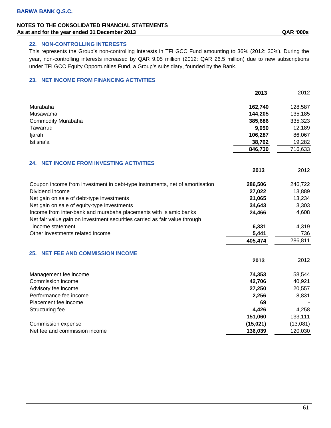# **22. NON-CONTROLLING INTERESTS**

This represents the Group's non-controlling interests in TFI GCC Fund amounting to 36% (2012: 30%). During the year, non-controlling interests increased by QAR 9.05 million (2012: QAR 26.5 million) due to new subscriptions under TFI GCC Equity Opportunities Fund, a Group's subsidiary, founded by the Bank.

# **23. NET INCOME FROM FINANCING ACTIVITIES**

|                                                                             | 2013      | 2012     |
|-----------------------------------------------------------------------------|-----------|----------|
| Murabaha                                                                    | 162,740   | 128,587  |
| Musawama                                                                    | 144,205   | 135,185  |
| <b>Commodity Murabaha</b>                                                   | 385,686   | 335,323  |
| Tawarruq                                                                    | 9,050     | 12,189   |
| ljarah                                                                      | 106,287   | 86,067   |
| Istisna'a                                                                   | 38,762    | 19,282   |
|                                                                             | 846,730   | 716,633  |
| <b>NET INCOME FROM INVESTING ACTIVITIES</b><br>24.                          |           |          |
|                                                                             | 2013      | 2012     |
| Coupon income from investment in debt-type instruments, net of amortisation | 286,506   | 246,722  |
| Dividend income                                                             | 27,022    | 13,889   |
| Net gain on sale of debt-type investments                                   | 21,065    | 13,234   |
| Net gain on sale of equity-type investments                                 | 34,643    | 3,303    |
| Income from inter-bank and murabaha placements with Islamic banks           | 24,466    | 4,608    |
| Net fair value gain on investment securities carried as fair value through  |           |          |
| income statement                                                            | 6,331     | 4,319    |
| Other investments related income                                            | 5,441     | 736      |
|                                                                             | 405,474   | 286,811  |
| <b>NET FEE AND COMMISSION INCOME</b><br>25.                                 |           |          |
|                                                                             | 2013      | 2012     |
| Management fee income                                                       | 74,353    | 58,544   |
| Commission income                                                           | 42,706    | 40,921   |
| Advisory fee income                                                         | 27,250    | 20,557   |
| Performance fee income                                                      | 2,256     | 8,831    |
| Placement fee income                                                        | 69        |          |
| Structuring fee                                                             | 4,426     | 4,258    |
|                                                                             | 151,060   | 133,111  |
| Commission expense                                                          | (15, 021) | (13,081) |
| Net fee and commission income                                               | 136,039   | 120,030  |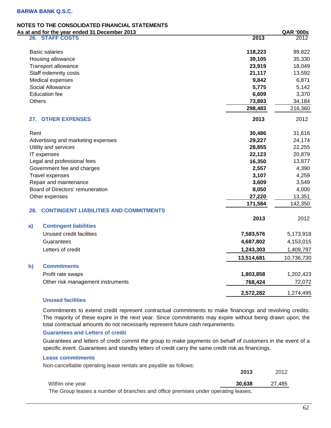# **NOTES TO THE CONSOLIDATED FINANCIAL STATEMENTS**

| As at and for the year ended 31 December 2013        |            | <b>QAR '000s</b> |
|------------------------------------------------------|------------|------------------|
| 26. STAFF COSTS                                      | 2013       | 2012             |
| <b>Basic salaries</b>                                | 118,223    | 99,822           |
| Housing allowance                                    | 39,105     | 35,330           |
| Transport allowance                                  | 23,919     | 18,049           |
| Staff indemnity costs                                | 21,117     | 13,592           |
| Medical expenses                                     | 9,842      | 6,871            |
| Social Allowance                                     | 5,775      | 5,142            |
| <b>Education fee</b>                                 | 6,609      | 3,370            |
| <b>Others</b>                                        | 73,893     | 34,184           |
|                                                      | 298,483    | 216,360          |
| 27. OTHER EXPENSES                                   | 2013       | 2012             |
| Rent                                                 | 30,486     | 31,616           |
| Advertising and marketing expenses                   | 29,227     | 24,174           |
| Utility and services                                 | 28,855     | 22,255           |
| IT expenses                                          | 22,123     | 20,879           |
| Legal and professional fees                          | 16,350     | 13,877           |
| Government fee and charges                           | 2,557      | 4,390            |
| <b>Travel expenses</b>                               | 3,107      | 4,259            |
| Repair and maintenance                               | 3,609      | 3,549            |
| Board of Directors' remuneration                     | 8,050      | 4,000            |
| Other expenses                                       | 27,220     | 13,351           |
|                                                      | 171,584    | 142,350          |
| <b>CONTINGENT LIABILITIES AND COMMITMENTS</b><br>28. |            |                  |
|                                                      | 2013       | 2012             |
| <b>Contingent liabilities</b><br>a)                  |            |                  |
| Unused credit facilities                             | 7,583,576  | 5,173,918        |
| Guarantees                                           | 4,687,802  | 4,153,015        |
| Letters of credit                                    | 1,243,303  | 1,409,797        |
|                                                      | 13,514,681 | 10,736,730       |
| <b>Commitments</b><br>b)                             |            |                  |
| Profit rate swaps                                    | 1,803,858  | 1,202,423        |
| Other risk management instruments                    | 768,424    | 72,072           |
|                                                      | 2,572,282  | 1,274,495        |

# **Unused facilities**

Commitments to extend credit represent contractual commitments to make financings and revolving credits. The majority of these expire in the next year. Since commitments may expire without being drawn upon, the total contractual amounts do not necessarily represent future cash requirements.

#### **Guarantees and Letters of credit**

Guarantees and letters of credit commit the group to make payments on behalf of customers in the event of a specific event. Guarantees and standby letters of credit carry the same credit risk as financings.

### **Lease commitments**

Non-cancellable operating lease rentals are payable as follows:

|                                                                                   | 2013   | 2012   |
|-----------------------------------------------------------------------------------|--------|--------|
| Within one year                                                                   | 30.638 | 27,485 |
| The Group leases a number of branches and office premises under operating leases. |        |        |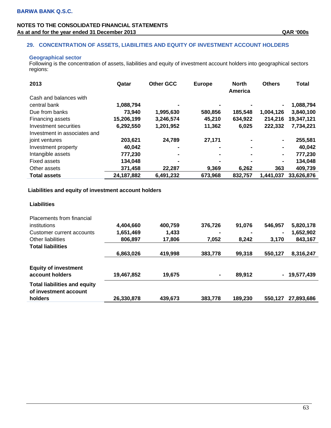# **29. CONCENTRATION OF ASSETS, LIABILITIES AND EQUITY OF INVESTMENT ACCOUNT HOLDERS**

### **Geographical sector**

Following is the concentration of assets, liabilities and equity of investment account holders into geographical sectors regions:

| 2013                         | Qatar        | <b>Other GCC</b> | <b>Europe</b> | <b>North</b><br>America | <b>Others</b> | Total      |
|------------------------------|--------------|------------------|---------------|-------------------------|---------------|------------|
| Cash and balances with       |              |                  |               |                         |               |            |
| central bank                 | 1,088,794    |                  |               |                         |               | 1,088,794  |
| Due from banks               | 73,940       | 1,995,630        | 580,856       | 185,548                 | 1,004,126     | 3,840,100  |
| Financing assets             | 15,206,199   | 3,246,574        | 45,210        | 634,922                 | 214,216       | 19,347,121 |
| Investment securities        | 6,292,550    | 1,201,952        | 11,362        | 6,025                   | 222,332       | 7,734,221  |
| Investment in associates and |              |                  |               |                         |               |            |
| joint ventures               | 203,621      | 24,789           | 27,171        |                         | ۰             | 255,581    |
| Investment property          | 40.042       |                  | -             |                         | ۰             | 40,042     |
| Intangible assets            | 777,230      |                  |               |                         | ۰             | 777,230    |
| <b>Fixed assets</b>          | 134,048      |                  |               |                         | ۰             | 134,048    |
| Other assets                 | 371,458      | 22.287           | 9.369         | 6.262                   | 363           | 409,739    |
| <b>Total assets</b>          | 24, 187, 882 | 6,491,232        | 673,968       | 832,757                 | 1,441,037     | 33,626,876 |

### **Liabilities and equity of investment account holders**

| <b>Placements from financial</b><br>institutions                        | 4,404,660  | 400,759 | 376.726        | 91.076  | 546.957        | 5,820,178    |
|-------------------------------------------------------------------------|------------|---------|----------------|---------|----------------|--------------|
| Customer current accounts                                               | 1,651,469  | 1,433   | -              | -       | $\blacksquare$ | 1,652,902    |
| Other liabilities                                                       | 806,897    | 17,806  | 7,052          | 8.242   | 3,170          | 843,167      |
| <b>Total liabilities</b>                                                |            |         |                |         |                |              |
|                                                                         | 6,863,026  | 419,998 | 383,778        | 99,318  | 550,127        | 8,316,247    |
| <b>Equity of investment</b><br>account holders                          | 19,467,852 | 19.675  | $\blacksquare$ | 89.912  |                | - 19,577,439 |
| <b>Total liabilities and equity</b><br>of investment account<br>holders | 26,330,878 | 439,673 | 383,778        | 189.230 | 550.127        | 27,893,686   |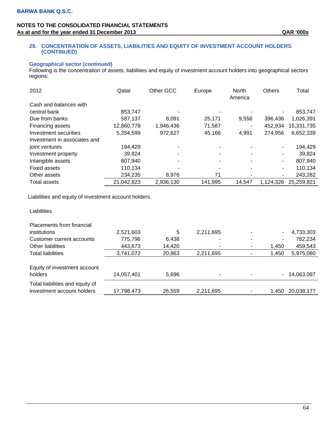### **29. CONCENTRATION OF ASSETS, LIABILITIES AND EQUITY OF INVESTMENT ACCOUNT HOLDERS (CONTINUED)**

### **Geographical sector (continued)**

Following is the concentration of assets, liabilities and equity of investment account holders into geographical sectors regions:

| 2012                         | Qatar      | Other GCC | Europe  | <b>North</b><br>America | <b>Others</b> | Total      |
|------------------------------|------------|-----------|---------|-------------------------|---------------|------------|
| Cash and balances with       |            |           |         |                         |               |            |
| central bank                 | 853,747    |           |         |                         |               | 853,747    |
| Due from banks               | 587,137    | 8.091     | 25,171  | 9,556                   | 396,436       | 1,026,391  |
| Financing assets             | 12,860,778 | 1,946,436 | 71,587  |                         | 452,934       | 15,331,735 |
| Investment securities        | 5,354,599  | 972,627   | 45,166  | 4,991                   | 274,956       | 6,652,339  |
| Investment in associates and |            |           |         |                         |               |            |
| joint ventures               | 194,429    |           |         |                         |               | 194,429    |
| Investment property          | 39.824     |           |         |                         |               | 39.824     |
| Intangible assets            | 807,940    |           |         |                         |               | 807,940    |
| Fixed assets                 | 110,134    |           |         |                         |               | 110,134    |
| Other assets                 | 234,235    | 8.976     | 71      |                         |               | 243,282    |
| <b>Total assets</b>          | 21,042,823 | 2,936,130 | 141,995 | 14,547                  | 1,124,326     | 25,259,821 |

Liabilities and equity of investment account holders

| Placements from financial                                     |            |        |                          |   |       |            |
|---------------------------------------------------------------|------------|--------|--------------------------|---|-------|------------|
| institutions                                                  | 2,521,603  | 5      | 2,211,695                |   | ۰     | 4,733,303  |
| Customer current accounts                                     | 775,796    | 6,438  |                          | - | ۰     | 782,234    |
| Other liabilities                                             | 443,673    | 14,420 | ٠                        | ۰ | 1.450 | 459,543    |
| <b>Total liabilities</b>                                      | 3,741,072  | 20,863 | 2,211,695                |   | 1,450 | 5,975,080  |
| Equity of investment account                                  |            |        |                          |   |       |            |
| holders                                                       | 14,057,401 | 5,696  | $\overline{\phantom{0}}$ |   | ۰     | 14,063,097 |
| Total liabilities and equity of<br>investment account holders |            |        |                          |   | 1.450 |            |
|                                                               | 17,798,473 | 26,559 | 2,211,695                |   |       | 20,038,177 |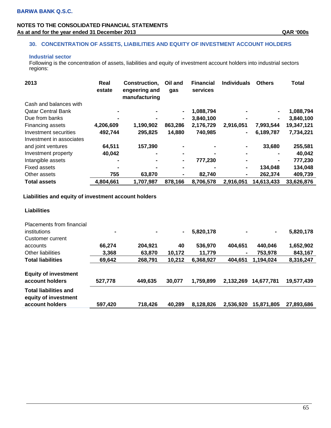### **30. CONCENTRATION OF ASSETS, LIABILITIES AND EQUITY OF INVESTMENT ACCOUNT HOLDERS**

### **Industrial sector**

Following is the concentration of assets, liabilities and equity of investment account holders into industrial sectors regions:

| 2013                      | Real<br>estate | Construction,<br>engeering and<br>manufacturing | Oil and<br>gas | <b>Financial</b><br>services | <b>Individuals</b> | <b>Others</b>  | <b>Total</b> |
|---------------------------|----------------|-------------------------------------------------|----------------|------------------------------|--------------------|----------------|--------------|
| Cash and balances with    |                |                                                 |                |                              |                    |                |              |
| <b>Qatar Central Bank</b> |                |                                                 |                | 1,088,794                    |                    | $\blacksquare$ | 1,088,794    |
| Due from banks            |                |                                                 | $\blacksquare$ | 3,840,100                    |                    | $\blacksquare$ | 3,840,100    |
| Financing assets          | 4,206,609      | 1,190,902                                       | 863,286        | 2,176,729                    | 2,916,051          | 7,993,544      | 19,347,121   |
| Investment securities     | 492,744        | 295,825                                         | 14,880         | 740,985                      | Ξ.                 | 6,189,787      | 7,734,221    |
| Investment in associates  |                |                                                 |                |                              |                    |                |              |
| and joint ventures        | 64,511         | 157,390                                         |                |                              | $\blacksquare$     | 33,680         | 255,581      |
| Investment property       | 40,042         | $\blacksquare$                                  | -              | -                            |                    | -              | 40,042       |
| Intangible assets         |                |                                                 |                | 777,230                      | ٠                  | $\blacksquare$ | 777,230      |
| <b>Fixed assets</b>       |                |                                                 |                |                              | ٠                  | 134.048        | 134,048      |
| Other assets              | 755            | 63,870                                          |                | 82,740                       | Ξ.                 | 262.374        | 409,739      |
| <b>Total assets</b>       | 4,804,661      | 1,707,987                                       | 878,166        | 8,706,578                    | 2,916,051          | 14,613,433     | 33,626,876   |

# **Liabilities and equity of investment account holders**

| <b>Placements from financial</b><br>institutions<br>Customer current    | $\blacksquare$ | $\blacksquare$ | $\blacksquare$ | 5,820,178 |           | $\blacksquare$ | 5,820,178  |
|-------------------------------------------------------------------------|----------------|----------------|----------------|-----------|-----------|----------------|------------|
| accounts                                                                | 66.274         | 204,921        | 40             | 536,970   | 404.651   | 440,046        | 1,652,902  |
| Other liabilities                                                       | 3,368          | 63,870         | 10.172         | 11,779    | ۰         | 753,978        | 843,167    |
| <b>Total liabilities</b>                                                | 69,642         | 268,791        | 10,212         | 6,368,927 | 404.651   | 1,194,024      | 8,316,247  |
| <b>Equity of investment</b><br>account holders                          | 527,778        | 449.635        | 30,077         | 1.759.899 | 2,132,269 | 14.677.781     | 19,577,439 |
| <b>Total liabilities and</b><br>equity of investment<br>account holders | 597,420        | 718,426        | 40.289         | 8,128,826 | 2,536,920 | 15.871.805     | 27,893,686 |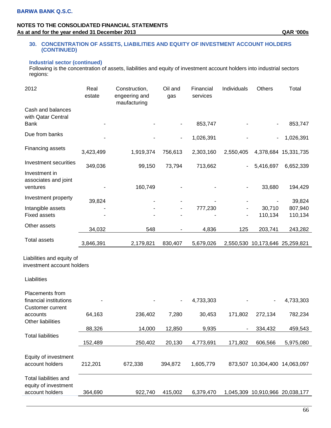### **30. CONCENTRATION OF ASSETS, LIABILITIES AND EQUITY OF INVESTMENT ACCOUNT HOLDERS (CONTINUED)**

### **Industrial sector (continued)**

Following is the concentration of assets, liabilities and equity of investment account holders into industrial sectors regions:

| 2012                                                                 | Real<br>estate | Construction,<br>engeering and<br>maufacturing | Oil and<br>gas | Financial<br>services | Individuals              | <b>Others</b> | Total                           |
|----------------------------------------------------------------------|----------------|------------------------------------------------|----------------|-----------------------|--------------------------|---------------|---------------------------------|
| Cash and balances<br>with Qatar Central<br><b>Bank</b>               |                |                                                |                | 853,747               |                          |               | 853,747                         |
| Due from banks                                                       |                |                                                |                | 1,026,391             |                          |               | 1,026,391                       |
| Financing assets                                                     | 3,423,499      | 1,919,374                                      | 756,613        | 2,303,160             | 2,550,405                |               | 4,378,684 15,331,735            |
| <b>Investment securities</b>                                         | 349,036        | 99,150                                         | 73,794         | 713,662               |                          | 5,416,697     | 6,652,339                       |
| Investment in<br>associates and joint<br>ventures                    |                | 160,749                                        |                |                       |                          | 33,680        | 194,429                         |
| Investment property                                                  |                |                                                |                |                       |                          |               |                                 |
|                                                                      | 39,824         |                                                |                | 777,230               |                          | 30,710        | 39,824<br>807,940               |
| Intangible assets<br><b>Fixed assets</b>                             |                |                                                |                |                       | -                        | 110,134       | 110,134                         |
| Other assets                                                         | 34,032         | 548                                            |                | 4,836                 | 125                      | 203,741       | 243,282                         |
| <b>Total assets</b>                                                  | 3,846,391      | 2,179,821                                      | 830,407        | 5,679,026             |                          |               | 2,550,530 10,173,646 25,259,821 |
| Liabilities and equity of<br>investment account holders              |                |                                                |                |                       |                          |               |                                 |
| Liabilities                                                          |                |                                                |                |                       |                          |               |                                 |
| Placements from<br>financial institutions<br><b>Customer current</b> |                |                                                |                | 4,733,303             |                          |               | 4,733,303                       |
| accounts<br>Other liabilities                                        | 64,163         | 236,402                                        | 7,280          | 30,453                | 171,802                  | 272,134       | 782,234                         |
|                                                                      | 88,326         | 14,000                                         | 12,850         | 9,935                 | $\overline{\phantom{a}}$ | 334,432       | 459,543                         |
| <b>Total liabilities</b>                                             |                |                                                |                |                       |                          |               |                                 |

152,489 250,402 20,130 4,773,691 171,802 606,566 5,975,080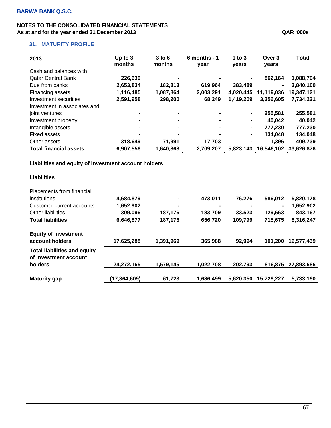| 2013                          | Up to $3$<br>months | $3$ to 6<br>months | $6$ months - 1 | 1 to $3$       | Over 3         | <b>Total</b> |
|-------------------------------|---------------------|--------------------|----------------|----------------|----------------|--------------|
| Cash and balances with        |                     |                    | year           | years          | years          |              |
| <b>Qatar Central Bank</b>     | 226,630             | -                  |                | $\blacksquare$ | 862.164        | 1,088,794    |
| Due from banks                | 2,653,834           | 182,813            | 619,964        | 383,489        | $\blacksquare$ | 3,840,100    |
| Financing assets              | 1,116,485           | 1,087,864          | 2,003,291      | 4,020,445      | 11,119,036     | 19,347,121   |
| Investment securities         | 2,591,958           | 298,200            | 68,249         | 1,419,209      | 3,356,605      | 7,734,221    |
| Investment in associates and  |                     |                    |                |                |                |              |
| joint ventures                | $\blacksquare$      | $\blacksquare$     |                | $\blacksquare$ | 255,581        | 255,581      |
| Investment property           | $\blacksquare$      | $\blacksquare$     |                | $\blacksquare$ | 40.042         | 40.042       |
| Intangible assets             | $\blacksquare$      | $\blacksquare$     |                | $\blacksquare$ | 777,230        | 777,230      |
| <b>Fixed assets</b>           | $\blacksquare$      | ٠                  |                | $\blacksquare$ | 134.048        | 134,048      |
| Other assets                  | 318,649             | 71,991             | 17,703         |                | 1,396          | 409,739      |
| <b>Total financial assets</b> | 6,907,556           | 1,640,868          | 2,709,207      | 5,823,143      | 16,546,102     | 33,626,876   |

### **Liabilities and equity of investment account holders**

| <b>Placements from financial</b>                                        |              |                |           |           |                |            |
|-------------------------------------------------------------------------|--------------|----------------|-----------|-----------|----------------|------------|
| institutions                                                            | 4,684,879    | $\blacksquare$ | 473,011   | 76.276    | 586,012        | 5,820,178  |
| Customer current accounts                                               | 1,652,902    | $\blacksquare$ |           |           | $\blacksquare$ | 1,652,902  |
| Other liabilities                                                       | 309,096      | 187,176        | 183,709   | 33,523    | 129,663        | 843,167    |
| <b>Total liabilities</b>                                                | 6,646,877    | 187,176        | 656,720   | 109,799   | 715,675        | 8,316,247  |
| <b>Equity of investment</b><br>account holders                          | 17,625,288   | 1,391,969      | 365,988   | 92.994    | 101.200        | 19,577,439 |
| <b>Total liabilities and equity</b><br>of investment account<br>holders | 24,272,165   | 1,579,145      | 1,022,708 | 202.793   | 816.875        | 27,893,686 |
| <b>Maturity gap</b>                                                     | (17,364,609) | 61,723         | 1,686,499 | 5,620,350 | 15,729,227     | 5,733,190  |
|                                                                         |              |                |           |           |                |            |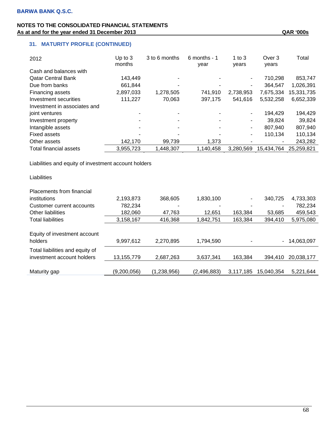# **31. MATURITY PROFILE (CONTINUED)**

| 2012                         | Up to $3$<br>months | 3 to 6 months | 6 months - 1<br>year | 1 to $3$<br>years        | Over 3<br>years | Total      |
|------------------------------|---------------------|---------------|----------------------|--------------------------|-----------------|------------|
| Cash and balances with       |                     |               |                      |                          |                 |            |
| <b>Qatar Central Bank</b>    | 143,449             |               |                      | ۰                        | 710.298         | 853,747    |
| Due from banks               | 661,844             |               |                      | ٠                        | 364.547         | 1,026,391  |
| Financing assets             | 2,897,033           | 1,278,505     | 741.910              | 2,738,953                | 7.675.334       | 15,331,735 |
| Investment securities        | 111,227             | 70,063        | 397,175              | 541,616                  | 5,532,258       | 6,652,339  |
| Investment in associates and |                     |               |                      |                          |                 |            |
| joint ventures               |                     |               |                      | $\overline{\phantom{a}}$ | 194.429         | 194,429    |
| Investment property          |                     |               | ۰                    | ۰                        | 39.824          | 39,824     |
| Intangible assets            |                     |               | ۰                    | $\blacksquare$           | 807,940         | 807,940    |
| Fixed assets                 |                     |               |                      | $\overline{\phantom{a}}$ | 110,134         | 110,134    |
| Other assets                 | 142,170             | 99.739        | 1,373                |                          |                 | 243,282    |
| Total financial assets       | 3,955,723           | 1,448,307     | 1,140,458            | 3.280.569                | 15,434,764      | 25.259.821 |

Liabilities and equity of investment account holders

**Liabilities** Placements from financial institutions 2,193,873 368,605 1,830,100 - 340,725 4,733,303 Customer current accounts 782,234 - - - - - - - 782,234 Other liabilities 182,060 47,763 12,651 163,384 53,685 459,543 Total liabilities 3,158,167 416,368 1,842,751 163,384 394,410 5,975,080

| Equity of investment account    |             |             |             |                          |            |              |
|---------------------------------|-------------|-------------|-------------|--------------------------|------------|--------------|
| holders                         | 9,997,612   | 2,270,895   | 1,794,590   | $\overline{\phantom{0}}$ |            | - 14,063,097 |
| Total liabilities and equity of |             |             |             |                          |            |              |
| investment account holders      | 13,155,779  | 2,687,263   | 3,637,341   | 163,384                  | 394.410    | 20,038,177   |
|                                 |             |             |             |                          |            |              |
| Maturity gap                    | (9,200,056) | (1,238,956) | (2,496,883) | 3,117,185                | 15,040,354 | 5,221,644    |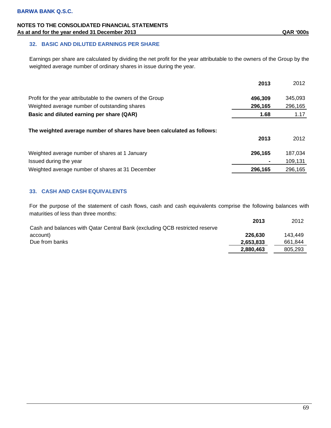### **32. BASIC AND DILUTED EARNINGS PER SHARE**

Earnings per share are calculated by dividing the net profit for the year attributable to the owners of the Group by the weighted average number of ordinary shares in issue during the year.

|                                                                        | 2013    | 2012    |
|------------------------------------------------------------------------|---------|---------|
| Profit for the year attributable to the owners of the Group            | 496,309 | 345,093 |
| Weighted average number of outstanding shares                          | 296,165 | 296,165 |
| Basic and diluted earning per share (QAR)                              | 1.68    | 1.17    |
| The weighted average number of shares have been calculated as follows: | 2013    | 2012    |
| Weighted average number of shares at 1 January                         | 296,165 | 187,034 |
| Issued during the year                                                 | ٠       | 109,131 |
| Weighted average number of shares at 31 December                       | 296,165 | 296,165 |

### **33. CASH AND CASH EQUIVALENTS**

For the purpose of the statement of cash flows, cash and cash equivalents comprise the following balances with maturities of less than three months:

|                                                                             | 2013      | 2012    |
|-----------------------------------------------------------------------------|-----------|---------|
| Cash and balances with Qatar Central Bank (excluding QCB restricted reserve |           |         |
| account)                                                                    | 226,630   | 143.449 |
| Due from banks                                                              | 2,653,833 | 661.844 |
|                                                                             | 2,880,463 | 805,293 |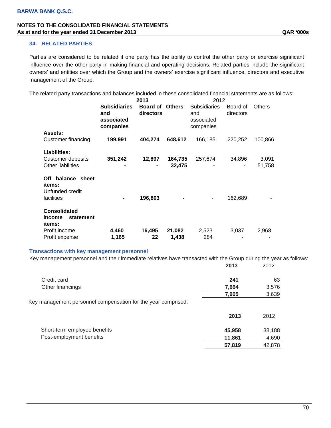### **34. RELATED PARTIES**

Parties are considered to be related if one party has the ability to control the other party or exercise significant influence over the other party in making financial and operating decisions. Related parties include the significant owners' and entities over which the Group and the owners' exercise significant influence, directors and executive management of the Group.

The related party transactions and balances included in these consolidated financial statements are as follows:

|                                                               |                                                       | 2013                         |                   | 2012                                                  |                       |                 |
|---------------------------------------------------------------|-------------------------------------------------------|------------------------------|-------------------|-------------------------------------------------------|-----------------------|-----------------|
| <b>Assets:</b>                                                | <b>Subsidiaries</b><br>and<br>associated<br>companies | <b>Board of</b><br>directors | <b>Others</b>     | <b>Subsidiaries</b><br>and<br>associated<br>companies | Board of<br>directors | <b>Others</b>   |
| Customer financing                                            | 199,991                                               | 404,274                      | 648,612           | 166,185                                               | 220,252               | 100,866         |
| Liabilities:<br>Customer deposits<br><b>Other liabilities</b> | 351,242                                               | 12,897                       | 164,735<br>32,475 | 257,674                                               | 34,896                | 3,091<br>51,758 |
| Off balance sheet<br>items:<br>Unfunded credit<br>facilities  |                                                       | 196,803                      |                   |                                                       | 162,689               |                 |
| <b>Consolidated</b><br>statement<br>income<br>items:          |                                                       |                              |                   |                                                       |                       |                 |
| Profit income<br>Profit expense                               | 4,460<br>1,165                                        | 16,495<br>22                 | 21,082<br>1,438   | 2,523<br>284                                          | 3,037                 | 2,968           |

#### **Transactions with key management personnel**

|                                                               | 2013   | 2012   |
|---------------------------------------------------------------|--------|--------|
| Credit card                                                   | 241    | 63     |
| Other financings                                              | 7,664  | 3,576  |
|                                                               | 7,905  | 3,639  |
| Key management personnel compensation for the year comprised: |        |        |
|                                                               | 2013   | 2012   |
| Short-term employee benefits                                  | 45,958 | 38,188 |
| Post-employment benefits                                      | 11,861 | 4,690  |
|                                                               | 57,819 | 42,878 |

Key management personnel and their immediate relatives have transacted with the Group during the year as follows: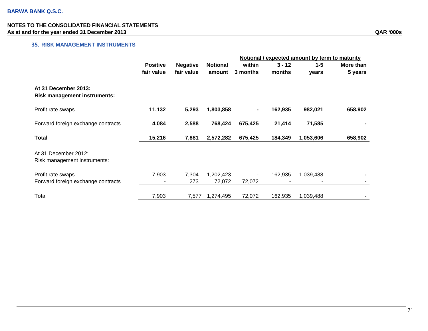## **35. RISK MANAGEMENT INSTRUMENTS**

|                                                             |                 |                 |                     | Notional / expected amount by term to maturity |          |           |           |
|-------------------------------------------------------------|-----------------|-----------------|---------------------|------------------------------------------------|----------|-----------|-----------|
|                                                             | <b>Positive</b> | <b>Negative</b> | <b>Notional</b>     | within                                         | $3 - 12$ | $1 - 5$   | More than |
|                                                             | fair value      | fair value      | amount              | 3 months                                       | months   | years     | 5 years   |
| At 31 December 2013:<br><b>Risk management instruments:</b> |                 |                 |                     |                                                |          |           |           |
| Profit rate swaps                                           | 11,132          | 5,293           | 1,803,858           |                                                | 162,935  | 982,021   | 658,902   |
| Forward foreign exchange contracts                          | 4,084           | 2,588           | 768,424             | 675,425                                        | 21,414   | 71,585    |           |
| <b>Total</b>                                                | 15,216          | 7,881           | 2,572,282           | 675,425                                        | 184,349  | 1,053,606 | 658,902   |
| At 31 December 2012:<br>Risk management instruments:        |                 |                 |                     |                                                |          |           |           |
| Profit rate swaps<br>Forward foreign exchange contracts     | 7,903           | 7,304<br>273    | 1,202,423<br>72,072 | 72,072                                         | 162,935  | 1,039,488 |           |
| Total                                                       | 7,903           | 7,577           | 1,274,495           | 72,072                                         | 162,935  | 1,039,488 |           |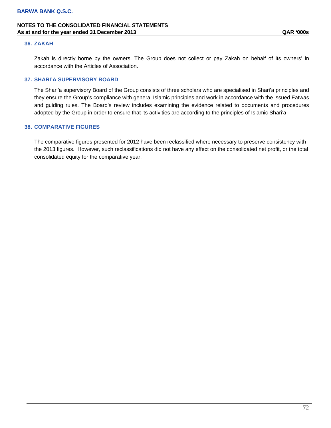# **NOTES TO THE CONSOLIDATED FINANCIAL STATEMENTS As at and for the year ended 31 December 2013 QAR '000s**

#### **36. ZAKAH**

Zakah is directly borne by the owners. The Group does not collect or pay Zakah on behalf of its owners' in accordance with the Articles of Association.

#### **37. SHARI'A SUPERVISORY BOARD**

The Shari'a supervisory Board of the Group consists of three scholars who are specialised in Shari'a principles and they ensure the Group's compliance with general Islamic principles and work in accordance with the issued Fatwas and guiding rules. The Board's review includes examining the evidence related to documents and procedures adopted by the Group in order to ensure that its activities are according to the principles of Islamic Shari'a.

#### **38. COMPARATIVE FIGURES**

The comparative figures presented for 2012 have been reclassified where necessary to preserve consistency with the 2013 figures. However, such reclassifications did not have any effect on the consolidated net profit, or the total consolidated equity for the comparative year.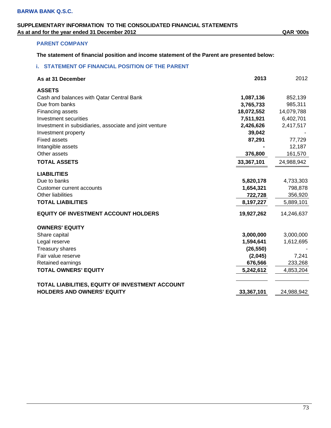## **SUPPLEMENTARY INFORMATION TO THE CONSOLIDATED FINANCIAL STATEMENTS As at and for the year ended 31 December 2012 QAR '000s**

### **PARENT COMPANY**

**The statement of financial position and income statement of the Parent are presented below:** 

### **i. STATEMENT OF FINANCIAL POSITION OF THE PARENT**

| As at 31 December                                       | 2013       | 2012       |
|---------------------------------------------------------|------------|------------|
| <b>ASSETS</b>                                           |            |            |
| Cash and balances with Qatar Central Bank               | 1,087,136  | 852,139    |
| Due from banks                                          | 3,765,733  | 985,311    |
| Financing assets                                        | 18,072,552 | 14,079,788 |
| Investment securities                                   | 7,511,921  | 6,402,701  |
| Investment in subsidiaries, associate and joint venture | 2,426,626  | 2,417,517  |
| Investment property                                     | 39,042     |            |
| <b>Fixed assets</b>                                     | 87,291     | 77,729     |
| Intangible assets                                       |            | 12,187     |
| Other assets                                            | 376,800    | 161,570    |
| <b>TOTAL ASSETS</b>                                     | 33,367,101 | 24,988,942 |
| <b>LIABILITIES</b>                                      |            |            |
| Due to banks                                            | 5,820,178  | 4,733,303  |
| <b>Customer current accounts</b>                        | 1,654,321  | 798,878    |
| <b>Other liabilities</b>                                | 722,728    | 356,920    |
| <b>TOTAL LIABILITIES</b>                                | 8,197,227  | 5,889,101  |
| <b>EQUITY OF INVESTMENT ACCOUNT HOLDERS</b>             | 19,927,262 | 14,246,637 |
| <b>OWNERS' EQUITY</b>                                   |            |            |
| Share capital                                           | 3,000,000  | 3,000,000  |
| Legal reserve                                           | 1,594,641  | 1,612,695  |
| <b>Treasury shares</b>                                  | (26, 550)  |            |
| Fair value reserve                                      | (2,045)    | 7,241      |
| Retained earnings                                       | 676,566    | 233,268    |
| <b>TOTAL OWNERS' EQUITY</b>                             | 5,242,612  | 4,853,204  |
| TOTAL LIABILITIES, EQUITY OF INVESTMENT ACCOUNT         |            |            |
| <b>HOLDERS AND OWNERS' EQUITY</b>                       | 33,367,101 | 24,988,942 |